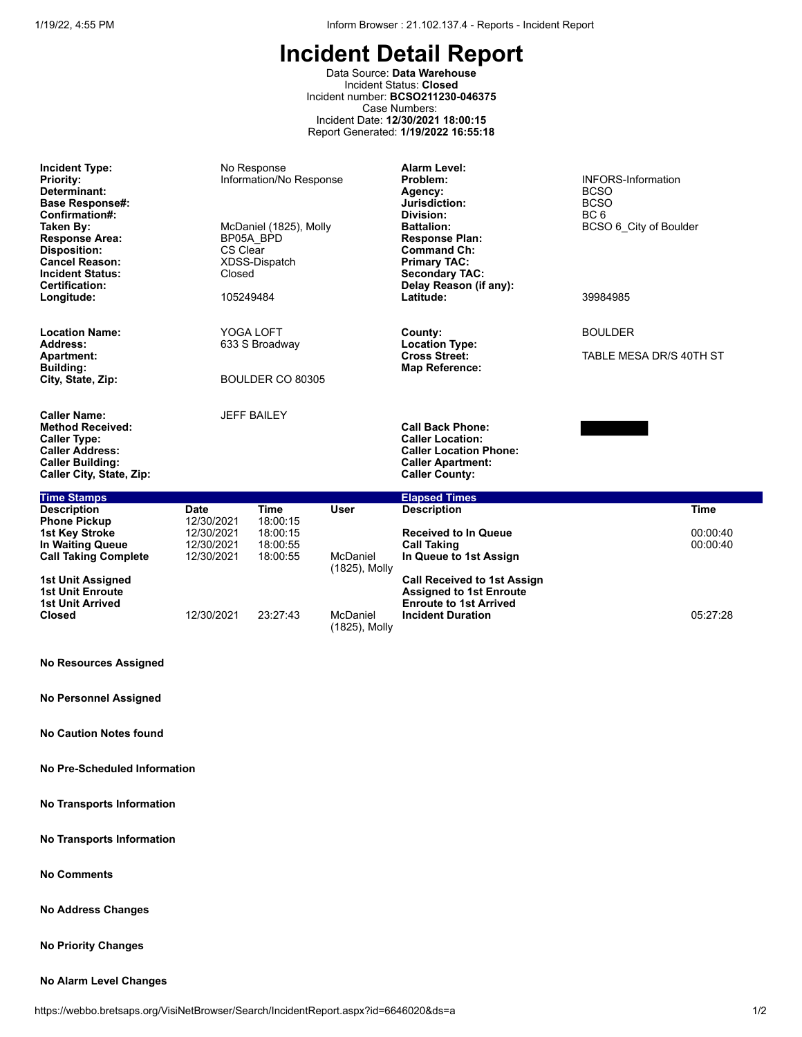Data Source: **Data Warehouse** Incident Status: **Closed** Incident number: **BCSO211230-046375** Case Numbers: Incident Date: **12/30/2021 18:00:15** Report Generated: **1/19/2022 16:55:18**

| <b>Incident Type:</b><br><b>Priority:</b><br>Determinant:<br><b>Base Response#:</b><br>Confirmation#:<br>Taken By:<br><b>Response Area:</b><br><b>Disposition:</b><br><b>Cancel Reason:</b><br><b>Incident Status:</b><br><b>Certification:</b><br>Longitude: | BP05A BPD<br>CS Clear<br>Closed<br>105249484                                                            | No Response<br>Information/No Response<br>McDaniel (1825), Molly<br>XDSS-Dispatch |                                                                             | Alarm Level:<br>Problem:<br>Agency:<br>Jurisdiction:<br>Division:<br><b>Battalion:</b><br><b>Response Plan:</b><br><b>Command Ch:</b><br><b>Primary TAC:</b><br><b>Secondary TAC:</b><br>Delay Reason (if any):<br>Latitude: | <b>INFORS-Information</b><br><b>BCSO</b><br><b>BCSO</b><br>BC <sub>6</sub><br>BCSO 6 City of Boulder<br>39984985 |  |  |
|---------------------------------------------------------------------------------------------------------------------------------------------------------------------------------------------------------------------------------------------------------------|---------------------------------------------------------------------------------------------------------|-----------------------------------------------------------------------------------|-----------------------------------------------------------------------------|------------------------------------------------------------------------------------------------------------------------------------------------------------------------------------------------------------------------------|------------------------------------------------------------------------------------------------------------------|--|--|
| YOGA LOFT<br><b>Location Name:</b>                                                                                                                                                                                                                            |                                                                                                         |                                                                                   |                                                                             | County:                                                                                                                                                                                                                      | <b>BOULDER</b>                                                                                                   |  |  |
| Address:<br>Apartment:<br><b>Building:</b><br>City, State, Zip:                                                                                                                                                                                               |                                                                                                         | 633 S Broadway<br>BOULDER CO 80305                                                |                                                                             | <b>Location Type:</b><br><b>Cross Street:</b><br><b>Map Reference:</b>                                                                                                                                                       | TABLE MESA DR/S 40TH ST                                                                                          |  |  |
| <b>Caller Name:</b><br><b>Method Received:</b><br><b>Caller Type:</b><br><b>Caller Address:</b><br><b>Caller Building:</b><br>Caller City, State, Zip:                                                                                                        |                                                                                                         | <b>JEFF BAILEY</b>                                                                |                                                                             | <b>Call Back Phone:</b><br><b>Caller Location:</b><br><b>Caller Location Phone:</b><br><b>Caller Apartment:</b><br><b>Caller County:</b>                                                                                     |                                                                                                                  |  |  |
| <b>Time Stamps</b>                                                                                                                                                                                                                                            |                                                                                                         |                                                                                   |                                                                             | <b>Elapsed Times</b>                                                                                                                                                                                                         |                                                                                                                  |  |  |
| <b>Description</b><br><b>Phone Pickup</b>                                                                                                                                                                                                                     | <b>Date</b><br>12/30/2021                                                                               | <b>Time</b><br>18:00:15                                                           | <b>User</b>                                                                 | <b>Description</b>                                                                                                                                                                                                           | <b>Time</b>                                                                                                      |  |  |
| <b>1st Key Stroke</b><br>In Waiting Queue<br><b>Call Taking Complete</b>                                                                                                                                                                                      | 12/30/2021<br>18:00:15<br>12/30/2021<br>18:00:55<br>McDaniel<br>12/30/2021<br>18:00:55<br>(1825), Molly |                                                                                   | <b>Received to In Queue</b><br><b>Call Taking</b><br>In Queue to 1st Assign | 00:00:40<br>00:00:40                                                                                                                                                                                                         |                                                                                                                  |  |  |
| 1st Unit Assigned<br><b>1st Unit Enroute</b><br><b>1st Unit Arrived</b>                                                                                                                                                                                       |                                                                                                         |                                                                                   |                                                                             | <b>Call Received to 1st Assign</b><br><b>Assigned to 1st Enroute</b><br><b>Enroute to 1st Arrived</b>                                                                                                                        |                                                                                                                  |  |  |
| <b>Closed</b>                                                                                                                                                                                                                                                 | 12/30/2021                                                                                              | 23:27:43                                                                          | McDaniel<br>(1825), Molly                                                   | <b>Incident Duration</b>                                                                                                                                                                                                     | 05:27:28                                                                                                         |  |  |

**No Resources Assigned**

**No Personnel Assigned**

**No Caution Notes found**

**No Pre-Scheduled Information**

**No Transports Information**

**No Transports Information**

**No Comments**

**No Address Changes**

**No Priority Changes**

#### **No Alarm Level Changes**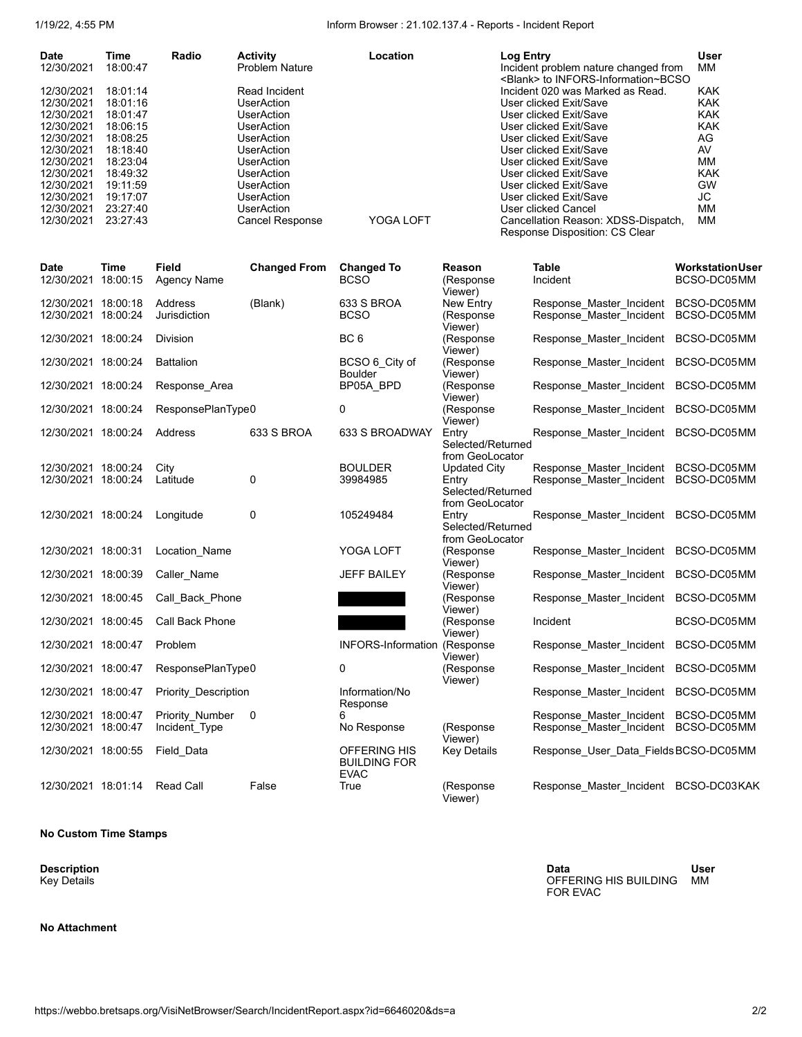1/19/22, 4:55 PM Inform Browser : 21.102.137.4 - Reports - Incident Report

| <b>Date</b> | Time     | Radio | <b>Activity</b>        | Location  | Log Entry                                                                          | <b>User</b> |
|-------------|----------|-------|------------------------|-----------|------------------------------------------------------------------------------------|-------------|
| 12/30/2021  | 18:00:47 |       | <b>Problem Nature</b>  |           | Incident problem nature changed from<br><blank> to INFORS-Information~BCSO</blank> | MМ          |
| 12/30/2021  | 18:01:14 |       | Read Incident          |           | Incident 020 was Marked as Read.                                                   | <b>KAK</b>  |
| 12/30/2021  | 18:01:16 |       | UserAction             |           | User clicked Exit/Save                                                             | <b>KAK</b>  |
| 12/30/2021  | 18:01:47 |       | UserAction             |           | User clicked Exit/Save                                                             | <b>KAK</b>  |
| 12/30/2021  | 18:06:15 |       | <b>UserAction</b>      |           | User clicked Exit/Save                                                             | <b>KAK</b>  |
| 12/30/2021  | 18:08:25 |       | UserAction             |           | User clicked Exit/Save                                                             | AG          |
| 12/30/2021  | 18:18:40 |       | UserAction             |           | User clicked Exit/Save                                                             | AV          |
| 12/30/2021  | 18:23:04 |       | UserAction             |           | User clicked Exit/Save                                                             | MМ          |
| 12/30/2021  | 18:49:32 |       | UserAction             |           | User clicked Exit/Save                                                             | <b>KAK</b>  |
| 12/30/2021  | 19:11:59 |       | UserAction             |           | User clicked Exit/Save                                                             | GW          |
| 12/30/2021  | 19:17:07 |       | UserAction             |           | User clicked Exit/Save                                                             | JC          |
| 12/30/2021  | 23:27:40 |       | <b>UserAction</b>      |           | User clicked Cancel                                                                | MМ          |
| 12/30/2021  | 23:27:43 |       | <b>Cancel Response</b> | YOGA LOFT | Cancellation Reason: XDSS-Dispatch,<br><b>Response Disposition: CS Clear</b>       | МM          |

| <b>Date</b><br>12/30/2021 18:00:15         | <b>Time</b> | <b>Field</b><br><b>Agency Name</b> | <b>Changed From</b> | <b>Changed To</b><br><b>BCSO</b>                   | <b>Reason</b><br>(Response<br>Viewer)                                | <b>Table</b><br>Incident                                         | <b>Workstation User</b><br>BCSO-DC05MM |
|--------------------------------------------|-------------|------------------------------------|---------------------|----------------------------------------------------|----------------------------------------------------------------------|------------------------------------------------------------------|----------------------------------------|
| 12/30/2021 18:00:18<br>12/30/2021 18:00:24 |             | Address<br>Jurisdiction            | (Blank)             | 633 S BROA<br><b>BCSO</b>                          | New Entry<br>(Response<br>Viewer)                                    | Response Master Incident<br>Response Master Incident             | BCSO-DC05MM<br>BCSO-DC05MM             |
| 12/30/2021 18:00:24                        |             | <b>Division</b>                    |                     | BC <sub>6</sub>                                    | (Response<br>Viewer)                                                 | Response Master Incident                                         | BCSO-DC05MM                            |
| 12/30/2021 18:00:24                        |             | <b>Battalion</b>                   |                     | BCSO 6 City of<br><b>Boulder</b>                   | (Response<br>Viewer)                                                 | Response_Master_Incident BCSO-DC05MM                             |                                        |
| 12/30/2021 18:00:24                        |             | Response_Area                      |                     | BP05A_BPD                                          | (Response<br>Viewer)                                                 | Response Master Incident BCSO-DC05MM                             |                                        |
| 12/30/2021 18:00:24                        |             | ResponsePlanType0                  |                     | 0                                                  | (Response<br>Viewer)                                                 | Response_Master_Incident BCSO-DC05MM                             |                                        |
| 12/30/2021 18:00:24                        |             | Address                            | 633 S BROA          | 633 S BROADWAY                                     | Entry<br>Selected/Returned<br>from GeoLocator                        | Response_Master_Incident BCSO-DC05MM                             |                                        |
| 12/30/2021 18:00:24<br>12/30/2021 18:00:24 |             | City<br>Latitude                   | 0                   | <b>BOULDER</b><br>39984985                         | <b>Updated City</b><br>Entry<br>Selected/Returned<br>from GeoLocator | Response Master Incident BCSO-DC05MM<br>Response Master Incident | BCSO-DC05MM                            |
| 12/30/2021 18:00:24                        |             | Longitude                          | 0                   | 105249484                                          | Entry<br>Selected/Returned<br>from GeoLocator                        | Response Master Incident BCSO-DC05MM                             |                                        |
| 12/30/2021 18:00:31                        |             | Location Name                      |                     | YOGA LOFT                                          | (Response<br>Viewer)                                                 | Response Master Incident BCSO-DC05MM                             |                                        |
| 12/30/2021 18:00:39                        |             | Caller_Name                        |                     | <b>JEFF BAILEY</b>                                 | (Response<br>Viewer)                                                 | Response_Master_Incident BCSO-DC05MM                             |                                        |
| 12/30/2021 18:00:45                        |             | Call Back Phone                    |                     |                                                    | (Response<br>Viewer)                                                 | Response_Master_Incident BCSO-DC05MM                             |                                        |
| 12/30/2021 18:00:45                        |             | Call Back Phone                    |                     |                                                    | (Response<br>Viewer)                                                 | Incident                                                         | BCSO-DC05MM                            |
| 12/30/2021 18:00:47                        |             | Problem                            |                     | <b>INFORS-Information (Response</b>                | Viewer)                                                              | Response Master Incident                                         | BCSO-DC05MM                            |
| 12/30/2021 18:00:47                        |             | ResponsePlanType0                  |                     | 0                                                  | (Response<br>Viewer)                                                 | Response_Master_Incident                                         | BCSO-DC05MM                            |
| 12/30/2021 18:00:47                        |             | Priority Description               |                     | Information/No<br>Response                         |                                                                      | Response Master Incident BCSO-DC05MM                             |                                        |
| 12/30/2021 18:00:47<br>12/30/2021 18:00:47 |             | Priority Number<br>Incident_Type   | $\mathbf 0$         | 6<br>No Response                                   | (Response<br>Viewer)                                                 | Response Master Incident<br>Response Master Incident             | BCSO-DC05MM<br>BCSO-DC05MM             |
| 12/30/2021 18:00:55                        |             | Field Data                         |                     | OFFERING HIS<br><b>BUILDING FOR</b><br><b>EVAC</b> | <b>Key Details</b>                                                   | Response_User_Data_Fields BCSO-DC05MM                            |                                        |
| 12/30/2021 18:01:14                        |             | <b>Read Call</b>                   | False               | True                                               | (Response<br>Viewer)                                                 | Response_Master_Incident BCSO-DC03KAK                            |                                        |

#### **No Custom Time Stamps**

**Description**<br>Key Details

**No Attachment**

**Description Data User** Key Details OFFERING HIS BUILDING FOR EVAC User<br>MM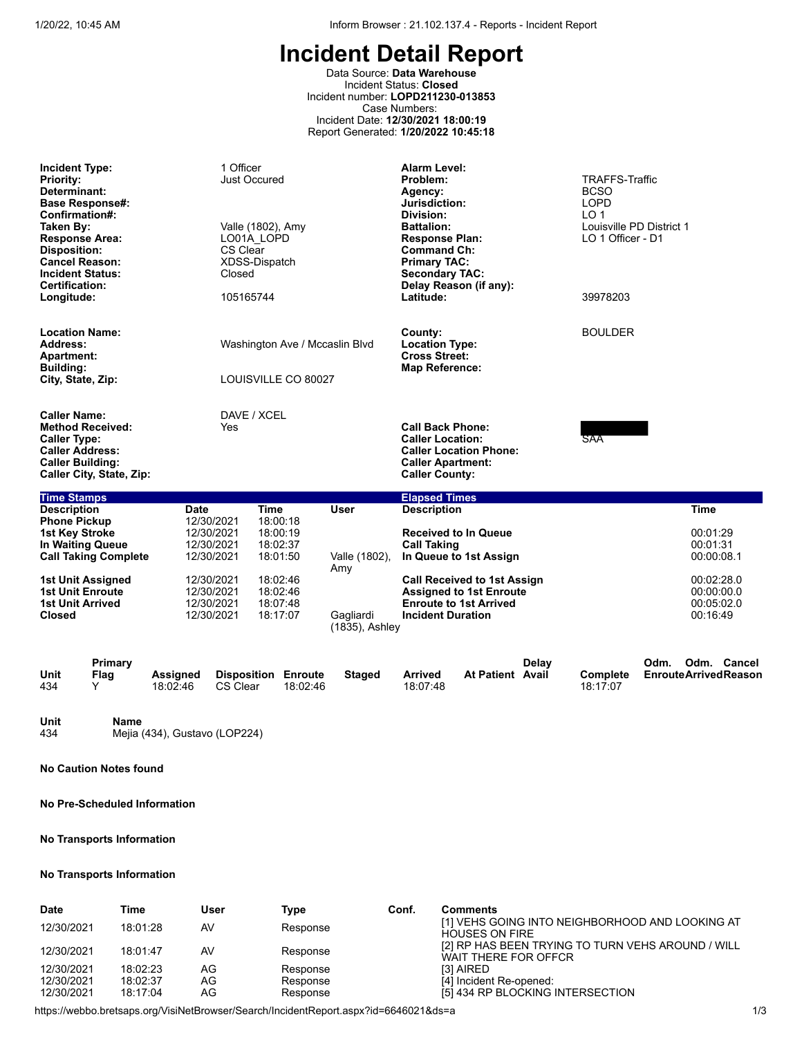Data Source: **Data Warehouse** Incident Status: **Closed** Incident number: **LOPD211230-013853** Case Numbers: Incident Date: **12/30/2021 18:00:19** Report Generated: **1/20/2022 10:45:18**

| <b>Incident Type:</b><br><b>Priority:</b><br>Determinant:<br><b>Base Response#:</b><br>Confirmation#:<br>Taken By:<br><b>Response Area:</b><br><b>Disposition:</b><br><b>Cancel Reason:</b><br><b>Incident Status:</b><br><b>Certification:</b><br>Longitude: |                      |                             | 1 Officer<br><b>Just Occured</b><br>LO01A LOPD<br>CS Clear<br>XDSS-Dispatch<br>Closed<br>105165744 | Valle (1802), Amy                                                       |                                     | Alarm Level:<br>Problem:<br>Agency:<br>Jurisdiction:<br>Division:<br><b>Battalion:</b><br><b>Response Plan:</b><br><b>Command Ch:</b><br><b>Primary TAC:</b><br><b>Secondary TAC:</b><br>Latitude: | Delay Reason (if any):                                                                      |       | <b>TRAFFS-Traffic</b><br><b>BCSO</b><br><b>LOPD</b><br>LO <sub>1</sub><br>Louisville PD District 1<br>LO 1 Officer - D1<br>39978203 |      |                                                                 |                                            |
|---------------------------------------------------------------------------------------------------------------------------------------------------------------------------------------------------------------------------------------------------------------|----------------------|-----------------------------|----------------------------------------------------------------------------------------------------|-------------------------------------------------------------------------|-------------------------------------|----------------------------------------------------------------------------------------------------------------------------------------------------------------------------------------------------|---------------------------------------------------------------------------------------------|-------|-------------------------------------------------------------------------------------------------------------------------------------|------|-----------------------------------------------------------------|--------------------------------------------|
| <b>Location Name:</b><br>Address:<br><b>Apartment:</b><br><b>Building:</b><br>City, State, Zip:                                                                                                                                                               |                      |                             |                                                                                                    | Washington Ave / Mccaslin Blvd<br>LOUISVILLE CO 80027                   |                                     | County:<br><b>Location Type:</b><br><b>Cross Street:</b><br><b>Map Reference:</b>                                                                                                                  |                                                                                             |       | <b>BOULDER</b>                                                                                                                      |      |                                                                 |                                            |
| <b>Caller Name:</b><br><b>Method Received:</b><br><b>Caller Type:</b><br><b>Caller Address:</b><br><b>Caller Building:</b><br>Caller City, State, Zip:                                                                                                        |                      |                             | DAVE / XCEL<br>Yes                                                                                 |                                                                         |                                     | <b>Call Back Phone:</b><br><b>Caller Location:</b><br><b>Caller Apartment:</b><br><b>Caller County:</b>                                                                                            | <b>Caller Location Phone:</b>                                                               |       | SAA                                                                                                                                 |      |                                                                 |                                            |
| <b>Time Stamps</b>                                                                                                                                                                                                                                            |                      |                             |                                                                                                    |                                                                         |                                     | <b>Elapsed Times</b>                                                                                                                                                                               |                                                                                             |       |                                                                                                                                     |      |                                                                 |                                            |
| <b>Description</b><br><b>Phone Pickup</b><br><b>1st Key Stroke</b><br>In Waiting Queue<br><b>Call Taking Complete</b><br>1st Unit Assigned                                                                                                                    |                      | <b>Date</b>                 | 12/30/2021<br>12/30/2021<br>12/30/2021<br>12/30/2021<br>12/30/2021                                 | <b>Time</b><br>18:00:18<br>18:00:19<br>18:02:37<br>18:01:50<br>18:02:46 | <b>User</b><br>Valle (1802),<br>Amy | <b>Description</b><br><b>Call Taking</b>                                                                                                                                                           | <b>Received to In Queue</b><br>In Queue to 1st Assign<br><b>Call Received to 1st Assign</b> |       |                                                                                                                                     |      | <b>Time</b><br>00:01:29<br>00:01:31<br>00:00:08.1<br>00:02:28.0 |                                            |
| <b>1st Unit Enroute</b><br><b>1st Unit Arrived</b><br>Closed                                                                                                                                                                                                  |                      |                             | 12/30/2021<br>12/30/2021<br>12/30/2021                                                             | 18:02:46<br>18:07:48<br>18:17:07                                        | Gagliardi<br>(1835), Ashley         | <b>Incident Duration</b>                                                                                                                                                                           | <b>Assigned to 1st Enroute</b><br><b>Enroute to 1st Arrived</b>                             |       |                                                                                                                                     |      | 00:00:00.0<br>00:05:02.0<br>00:16:49                            |                                            |
| Unit<br>434                                                                                                                                                                                                                                                   | Primary<br>Flag<br>Y | <b>Assigned</b><br>18:02:46 | CS Clear                                                                                           | <b>Disposition Enroute</b><br>18:02:46                                  | <b>Staged</b>                       | <b>Arrived</b><br>18:07:48                                                                                                                                                                         | <b>At Patient Avail</b>                                                                     | Delav | Complete<br>18:17:07                                                                                                                | Odm. |                                                                 | Odm. Cancel<br><b>EnrouteArrivedReason</b> |

**Unit Name** Mejia (434), Gustavo (LOP224)

**No Caution Notes found**

**No Pre-Scheduled Information**

# **No Transports Information**

## **No Transports Information**

| <b>Date</b> | Time     | User | Type     | Conf. | <b>Comments</b>                                                           |
|-------------|----------|------|----------|-------|---------------------------------------------------------------------------|
| 12/30/2021  | 18:01:28 | AV   | Response |       | [1] VEHS GOING INTO NEIGHBORHOOD AND LOOKING AT<br><b>HOUSES ON FIRE</b>  |
| 12/30/2021  | 18:01:47 | AV   | Response |       | [2] RP HAS BEEN TRYING TO TURN VEHS AROUND / WILL<br>WAIT THERE FOR OFFCR |
| 12/30/2021  | 18:02:23 | AG   | Response |       | <b>131 AIRED</b>                                                          |
| 12/30/2021  | 18:02:37 | AG   | Response |       | [4] Incident Re-opened:                                                   |
| 12/30/2021  | 18:17:04 | AG   | Response |       | [5] 434 RP BLOCKING INTERSECTION                                          |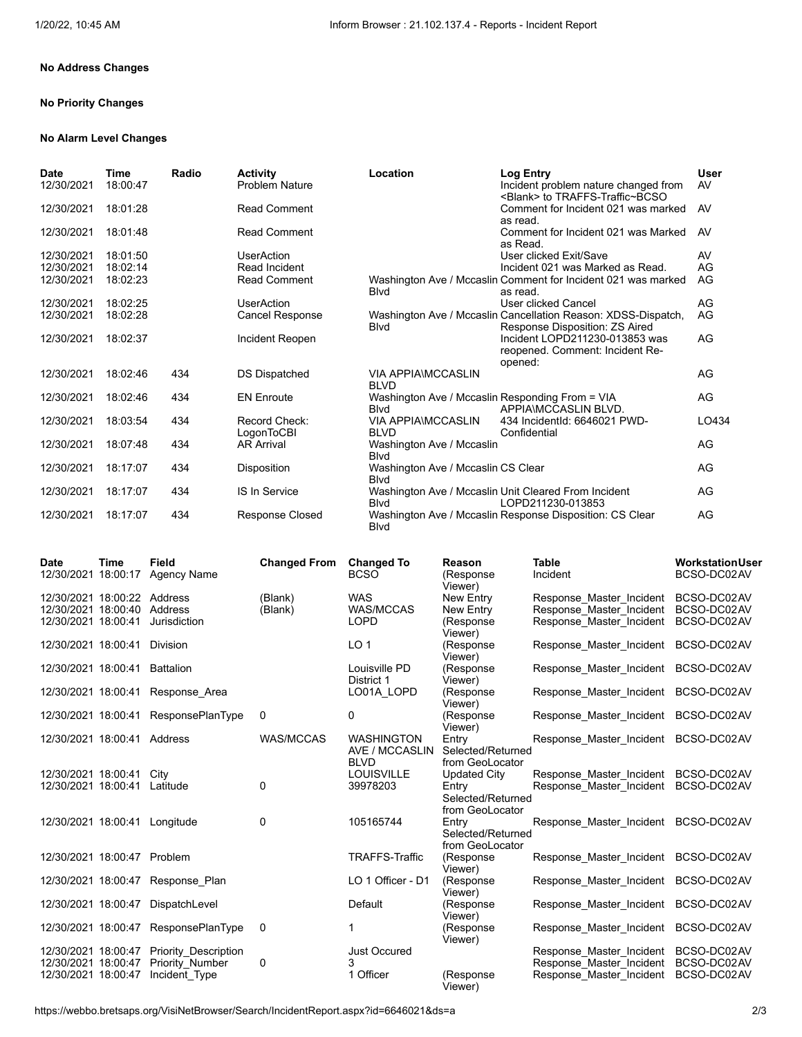# **No Address Changes**

# **No Priority Changes**

#### **No Alarm Level Changes**

| Date<br>12/30/2021 | Time<br>18:00:47 | Radio | <b>Activity</b><br><b>Problem Nature</b> | Location                                                        | Log Entry<br>Incident problem nature changed from<br><blank> to TRAFFS-Traffic~BCSO</blank>     | User<br>AV |
|--------------------|------------------|-------|------------------------------------------|-----------------------------------------------------------------|-------------------------------------------------------------------------------------------------|------------|
| 12/30/2021         | 18:01:28         |       | <b>Read Comment</b>                      |                                                                 | Comment for Incident 021 was marked<br>as read.                                                 | AV         |
| 12/30/2021         | 18:01:48         |       | <b>Read Comment</b>                      |                                                                 | Comment for Incident 021 was Marked<br>as Read.                                                 | AV.        |
| 12/30/2021         | 18:01:50         |       | <b>UserAction</b>                        |                                                                 | User clicked Exit/Save                                                                          | AV         |
| 12/30/2021         | 18:02:14         |       | Read Incident                            |                                                                 | Incident 021 was Marked as Read.                                                                | AG         |
| 12/30/2021         | 18:02:23         |       | <b>Read Comment</b>                      | <b>B</b> lvd                                                    | Washington Ave / Mccaslin Comment for Incident 021 was marked<br>as read.                       | AG         |
| 12/30/2021         | 18:02:25         |       | <b>UserAction</b>                        |                                                                 | <b>User clicked Cancel</b>                                                                      | AG         |
| 12/30/2021         | 18:02:28         |       | <b>Cancel Response</b>                   | <b>Blvd</b>                                                     | Washington Ave / Mccaslin Cancellation Reason: XDSS-Dispatch,<br>Response Disposition: ZS Aired | AG         |
| 12/30/2021         | 18:02:37         |       | Incident Reopen                          |                                                                 | Incident LOPD211230-013853 was<br>reopened. Comment: Incident Re-<br>opened:                    | AG         |
| 12/30/2021         | 18:02:46         | 434   | <b>DS Dispatched</b>                     | <b>VIA APPIA\MCCASLIN</b><br><b>BLVD</b>                        |                                                                                                 | AG         |
| 12/30/2021         | 18:02:46         | 434   | <b>EN Enroute</b>                        | Washington Ave / Mccaslin Responding From = VIA<br><b>B</b> lvd | APPIA\MCCASLIN BLVD.                                                                            | AG         |
| 12/30/2021         | 18:03:54         | 434   | Record Check:<br>LogonToCBI              | <b>VIA APPIA\MCCASLIN</b><br><b>BLVD</b>                        | 434 IncidentId: 6646021 PWD-<br>Confidential                                                    | LO434      |
| 12/30/2021         | 18:07:48         | 434   | <b>AR Arrival</b>                        | Washington Ave / Mccaslin<br><b>B</b> lvd                       |                                                                                                 | AG         |
| 12/30/2021         | 18:17:07         | 434   | Disposition                              | Washington Ave / Mccaslin CS Clear<br><b>B</b> lvd              |                                                                                                 | AG         |
| 12/30/2021         | 18:17:07         | 434   | <b>IS In Service</b>                     | <b>B</b> lvd                                                    | Washington Ave / Mccaslin Unit Cleared From Incident<br>LOPD211230-013853                       | AG         |
| 12/30/2021         | 18:17:07         | 434   | <b>Response Closed</b>                   | <b>B</b> lvd                                                    | Washington Ave / Mccaslin Response Disposition: CS Clear                                        | AG         |

| <b>Date</b><br>12/30/2021 18:00:17                                | <b>Time</b> | Field<br><b>Agency Name</b>                              | <b>Changed From</b> | <b>Changed To</b><br><b>BCSO</b>                   | Reason<br>(Response<br>Viewer)                                       | <b>Table</b><br>Incident                                                         | <b>Workstation User</b><br>BCSO-DC02AV    |
|-------------------------------------------------------------------|-------------|----------------------------------------------------------|---------------------|----------------------------------------------------|----------------------------------------------------------------------|----------------------------------------------------------------------------------|-------------------------------------------|
| 12/30/2021 18:00:22<br>12/30/2021 18:00:40<br>12/30/2021 18:00:41 |             | Address<br>Address<br>Jurisdiction                       | (Blank)<br>(Blank)  | <b>WAS</b><br><b>WAS/MCCAS</b><br><b>LOPD</b>      | New Entry<br>New Entry<br>(Response                                  | Response Master Incident<br>Response Master Incident<br>Response Master Incident | BCSO-DC02AV<br>BCSO-DC02AV<br>BCSO-DC02AV |
| 12/30/2021 18:00:41                                               |             | Division                                                 |                     | LO <sub>1</sub>                                    | Viewer)<br>(Response<br>Viewer)                                      | Response Master Incident                                                         | BCSO-DC02AV                               |
| 12/30/2021 18:00:41                                               |             | <b>Battalion</b>                                         |                     | Louisville PD<br>District 1                        | (Response<br>Viewer)                                                 | Response Master Incident                                                         | BCSO-DC02AV                               |
| 12/30/2021 18:00:41                                               |             | Response Area                                            |                     | LO01A LOPD                                         | (Response<br>Viewer)                                                 | Response Master Incident                                                         | BCSO-DC02AV                               |
| 12/30/2021 18:00:41                                               |             | <b>ResponsePlanType</b>                                  | 0                   | 0                                                  | (Response<br>Viewer)                                                 | Response_Master_Incident BCSO-DC02AV                                             |                                           |
| 12/30/2021 18:00:41 Address                                       |             |                                                          | <b>WAS/MCCAS</b>    | <b>WASHINGTON</b><br>AVE / MCCASLIN<br><b>BLVD</b> | Entry<br>Selected/Returned<br>from GeoLocator                        | Response Master Incident BCSO-DC02AV                                             |                                           |
| 12/30/2021 18:00:41<br>12/30/2021 18:00:41                        |             | City<br>Latitude                                         | 0                   | <b>LOUISVILLE</b><br>39978203                      | <b>Updated City</b><br>Entry<br>Selected/Returned<br>from GeoLocator | Response Master Incident<br>Response Master Incident                             | BCSO-DC02AV<br>BCSO-DC02AV                |
| 12/30/2021 18:00:41                                               |             | Longitude                                                | 0                   | 105165744                                          | Entry<br>Selected/Returned<br>from GeoLocator                        | Response Master Incident BCSO-DC02AV                                             |                                           |
| 12/30/2021 18:00:47                                               |             | Problem                                                  |                     | <b>TRAFFS-Traffic</b>                              | (Response<br>Viewer)                                                 | Response Master Incident                                                         | BCSO-DC02AV                               |
| 12/30/2021 18:00:47                                               |             | Response Plan                                            |                     | LO 1 Officer - D1                                  | (Response<br>Viewer)                                                 | Response Master Incident                                                         | BCSO-DC02AV                               |
| 12/30/2021 18:00:47                                               |             | DispatchLevel                                            |                     | Default                                            | (Response<br>Viewer)                                                 | Response Master Incident                                                         | BCSO-DC02AV                               |
| 12/30/2021 18:00:47                                               |             | <b>ResponsePlanType</b>                                  | 0                   | 1                                                  | (Response<br>Viewer)                                                 | Response Master Incident                                                         | BCSO-DC02AV                               |
| 12/30/2021 18:00:47<br>12/30/2021 18:00:47<br>12/30/2021 18:00:47 |             | Priority Description<br>Priority Number<br>Incident Type | 0                   | <b>Just Occured</b><br>1 Officer                   | (Response<br>Viewer)                                                 | Response Master Incident<br>Response Master Incident<br>Response Master Incident | BCSO-DC02AV<br>BCSO-DC02AV<br>BCSO-DC02AV |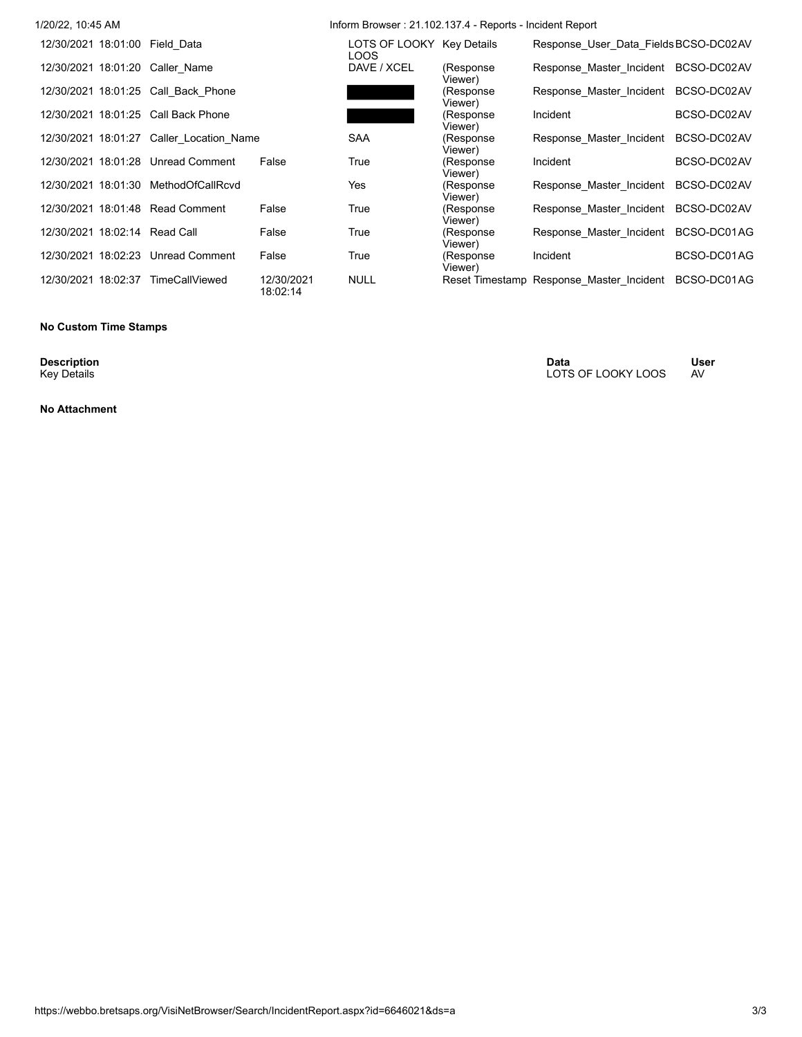| 1/20/22, 10:45 AM                   |                                          |                        | Inform Browser: 21.102.137.4 - Reports - Incident Report |                       |                                          |             |  |  |  |  |
|-------------------------------------|------------------------------------------|------------------------|----------------------------------------------------------|-----------------------|------------------------------------------|-------------|--|--|--|--|
| 12/30/2021 18:01:00 Field Data      |                                          |                        | LOTS OF LOOKY Key Details<br>LOOS                        |                       | Response User Data Fields BCSO-DC02AV    |             |  |  |  |  |
| 12/30/2021 18:01:20 Caller Name     |                                          |                        | DAVE / XCEL                                              | (Response<br>Viewer)  | Response Master Incident                 | BCSO-DC02AV |  |  |  |  |
| 12/30/2021 18:01:25 Call Back Phone |                                          |                        |                                                          | (Response<br>Viewer)  | Response Master Incident                 | BCSO-DC02AV |  |  |  |  |
| 12/30/2021 18:01:25 Call Back Phone |                                          |                        |                                                          | (Response<br>Viewer)  | Incident                                 | BCSO-DC02AV |  |  |  |  |
|                                     | 12/30/2021 18:01:27 Caller Location Name |                        | <b>SAA</b>                                               | (Response<br>Viewer)  | Response Master Incident                 | BCSO-DC02AV |  |  |  |  |
| 12/30/2021 18:01:28 Unread Comment  |                                          | False                  | True                                                     | (Response<br>Viewer)  | Incident                                 | BCSO-DC02AV |  |  |  |  |
| 12/30/2021 18:01:30                 | MethodOfCallRcvd                         |                        | Yes                                                      | (Response<br>Viewer)  | Response Master Incident                 | BCSO-DC02AV |  |  |  |  |
| 12/30/2021 18:01:48 Read Comment    |                                          | False                  | True                                                     | (Response<br>Viewer). | Response Master Incident                 | BCSO-DC02AV |  |  |  |  |
| 12/30/2021 18:02:14 Read Call       |                                          | False                  | True                                                     | (Response<br>Viewer)  | Response Master Incident                 | BCSO-DC01AG |  |  |  |  |
| 12/30/2021 18:02:23 Unread Comment  |                                          | False                  | True                                                     | (Response<br>Viewer)  | Incident                                 | BCSO-DC01AG |  |  |  |  |
| 12/30/2021 18:02:37                 | <b>TimeCallViewed</b>                    | 12/30/2021<br>18:02:14 | <b>NULL</b>                                              |                       | Reset Timestamp Response Master Incident | BCSO-DC01AG |  |  |  |  |

# **No Custom Time Stamps**

**Description**<br>Key Details

**No Attachment**

**Description Data User** Key Details LOTS OF LOOKY LOOS AV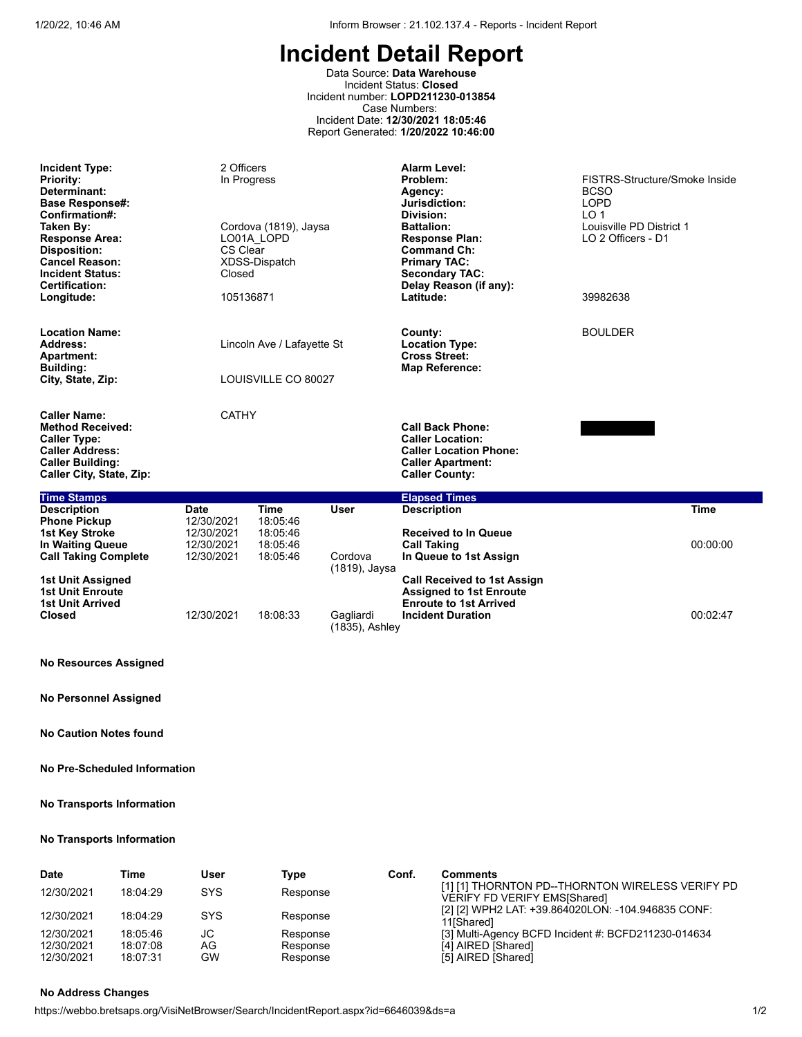Data Source: **Data Warehouse** Incident Status: **Closed** Incident number: **LOPD211230-013854** Case Numbers: Incident Date: **12/30/2021 18:05:46** Report Generated: **1/20/2022 10:46:00**

| <b>Incident Type:</b><br><b>Priority:</b><br>Determinant:<br><b>Base Response#:</b><br>Confirmation#:<br>Taken Bv:<br><b>Response Area:</b><br><b>Disposition:</b><br><b>Cancel Reason:</b><br><b>Incident Status:</b><br><b>Certification:</b><br>Longitude: | 2 Officers<br>In Progress<br><b>CS Clear</b><br>Closed<br>105136871 | Cordova (1819), Jaysa<br>LO01A LOPD<br>XDSS-Dispatch |                                                                                   | <b>Alarm Level:</b><br>Problem:<br>Agency:<br>Jurisdiction:<br>Division:<br><b>Battalion:</b><br><b>Response Plan:</b><br><b>Command Ch:</b><br><b>Primary TAC:</b><br><b>Secondary TAC:</b><br>Delay Reason (if any):<br>Latitude: | FISTRS-Structure/Smoke Inside<br><b>BCSO</b><br><b>LOPD</b><br>LO <sub>1</sub><br>Louisville PD District 1<br>LO 2 Officers - D1<br>39982638 |             |
|---------------------------------------------------------------------------------------------------------------------------------------------------------------------------------------------------------------------------------------------------------------|---------------------------------------------------------------------|------------------------------------------------------|-----------------------------------------------------------------------------------|-------------------------------------------------------------------------------------------------------------------------------------------------------------------------------------------------------------------------------------|----------------------------------------------------------------------------------------------------------------------------------------------|-------------|
| <b>Location Name:</b><br>Address:<br><b>Apartment:</b><br><b>Building:</b><br>City, State, Zip:                                                                                                                                                               | Lincoln Ave / Lafayette St<br>LOUISVILLE CO 80027                   |                                                      | County:<br><b>Location Type:</b><br><b>Cross Street:</b><br><b>Map Reference:</b> | <b>BOULDER</b>                                                                                                                                                                                                                      |                                                                                                                                              |             |
| <b>Caller Name:</b><br><b>Method Received:</b><br><b>Caller Type:</b><br><b>Caller Address:</b><br><b>Caller Building:</b><br><b>Caller City, State, Zip:</b>                                                                                                 | <b>CATHY</b>                                                        |                                                      |                                                                                   | <b>Call Back Phone:</b><br><b>Caller Location:</b><br><b>Caller Location Phone:</b><br><b>Caller Apartment:</b><br><b>Caller County:</b>                                                                                            |                                                                                                                                              |             |
| <b>Time Stamps</b>                                                                                                                                                                                                                                            |                                                                     |                                                      |                                                                                   | <b>Elapsed Times</b>                                                                                                                                                                                                                |                                                                                                                                              |             |
| <b>Description</b><br><b>Phone Pickup</b><br><b>1st Key Stroke</b>                                                                                                                                                                                            | <b>Date</b><br>12/30/2021<br>12/30/2021                             | <b>Time</b><br>18:05:46<br>18:05:46                  | <b>User</b>                                                                       | <b>Description</b><br><b>Received to In Queue</b>                                                                                                                                                                                   |                                                                                                                                              | <b>Time</b> |
| <b>In Waiting Queue</b><br><b>Call Taking Complete</b>                                                                                                                                                                                                        | 12/30/2021<br>12/30/2021                                            | 18:05:46<br>18:05:46                                 | Cordova<br>(1819), Jaysa                                                          | <b>Call Taking</b><br>In Queue to 1st Assign                                                                                                                                                                                        |                                                                                                                                              | 00:00:00    |
| 1st Unit Assigned<br><b>1st Unit Enroute</b><br><b>1st Unit Arrived</b><br><b>Closed</b>                                                                                                                                                                      | 12/30/2021                                                          | 18:08:33                                             | Gagliardi                                                                         | <b>Call Received to 1st Assign</b><br><b>Assigned to 1st Enroute</b><br><b>Enroute to 1st Arrived</b><br><b>Incident Duration</b><br>00:02:47                                                                                       |                                                                                                                                              |             |
|                                                                                                                                                                                                                                                               |                                                                     |                                                      | (1835), Ashley                                                                    |                                                                                                                                                                                                                                     |                                                                                                                                              |             |

# **No Resources Assigned**

**No Personnel Assigned**

**No Caution Notes found**

## **No Pre-Scheduled Information**

### **No Transports Information**

# **No Transports Information**

| <b>Date</b> | Time     | User       | Type     | Conf. | <b>Comments</b>                                                                         |
|-------------|----------|------------|----------|-------|-----------------------------------------------------------------------------------------|
| 12/30/2021  | 18:04:29 | <b>SYS</b> | Response |       | [1] [1] THORNTON PD--THORNTON WIRELESS VERIFY PD<br><b>VERIFY FD VERIFY EMS[Shared]</b> |
| 12/30/2021  | 18:04:29 | <b>SYS</b> | Response |       | [2] [2] WPH2 LAT: +39.864020LON: -104.946835 CONF:<br>11 <sub>Shared</sub> 1            |
| 12/30/2021  | 18:05:46 | JС         | Response |       | [3] Multi-Agency BCFD Incident #: BCFD211230-014634                                     |
| 12/30/2021  | 18:07:08 | AG         | Response |       | [4] AIRED [Shared]                                                                      |
| 12/30/2021  | 18:07:31 | GW         | Response |       | [5] AIRED [Shared]                                                                      |

# **No Address Changes**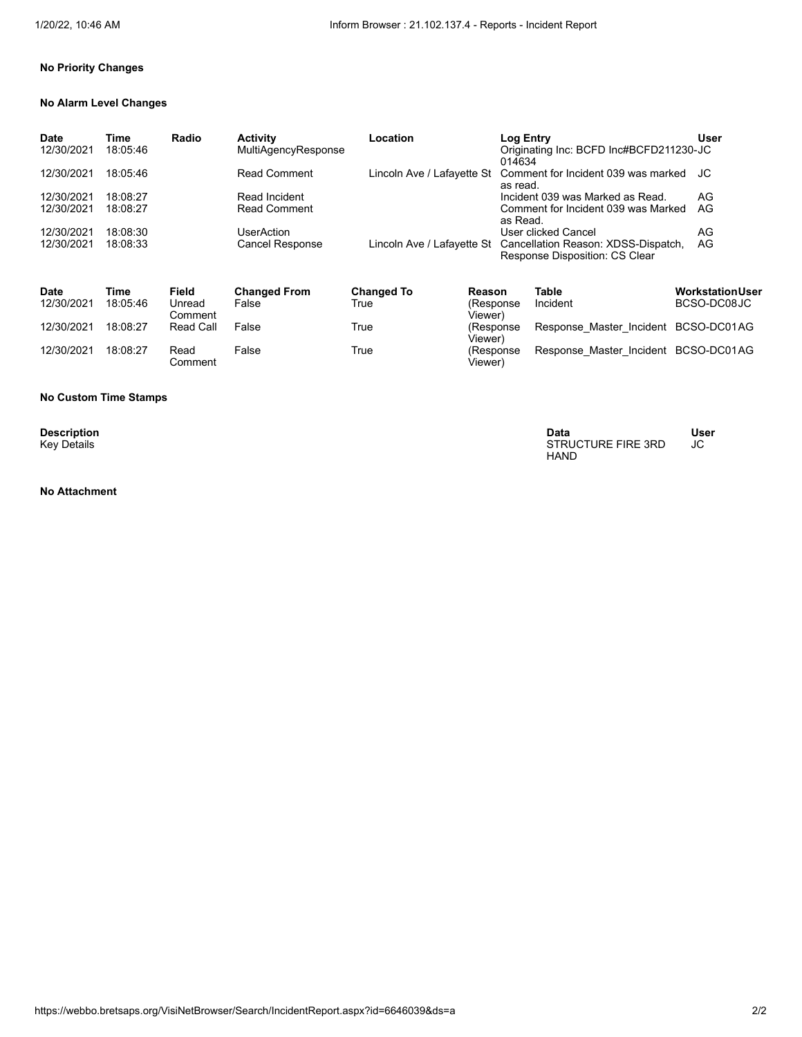Viewer)

Viewer)

# **No Priority Changes**

## **No Alarm Level Changes**

| <b>Date</b><br>12/30/2021 | Time<br>18:05:46 | Radio             | <b>Activity</b><br>MultiAgencyResponse | Location                   |                      | <b>Log Entry</b><br>014634 | Originating Inc: BCFD Inc#BCFD211230-JC                                                           | User                    |
|---------------------------|------------------|-------------------|----------------------------------------|----------------------------|----------------------|----------------------------|---------------------------------------------------------------------------------------------------|-------------------------|
| 12/30/2021                | 18:05:46         |                   | <b>Read Comment</b>                    | Lincoln Ave / Lafayette St |                      | as read.                   | Comment for Incident 039 was marked                                                               | JC                      |
| 12/30/2021                | 18:08:27         |                   | Read Incident                          |                            |                      |                            | Incident 039 was Marked as Read.                                                                  | AG                      |
| 12/30/2021                | 18:08:27         |                   | <b>Read Comment</b>                    |                            |                      | as Read.                   | Comment for Incident 039 was Marked                                                               | AG                      |
| 12/30/2021                | 18:08:30         |                   | UserAction                             |                            |                      |                            | User clicked Cancel                                                                               | AG                      |
| 12/30/2021                | 18:08:33         |                   | <b>Cancel Response</b>                 |                            |                      |                            | Lincoln Ave / Lafayette St  Cancellation Reason: XDSS-Dispatch,<br>Response Disposition: CS Clear | AG                      |
| <b>Date</b>               | Time             | Field             | <b>Changed From</b>                    | <b>Changed To</b>          | Reason               |                            | Table                                                                                             | <b>Workstation User</b> |
| 12/30/2021                | 18:05:46         | Unread<br>Comment | False                                  | True                       | (Response<br>Viewer) |                            | Incident                                                                                          | BCSO-DC08JC             |
| 12/30/2021                | 18:08:27         | <b>Read Call</b>  | False                                  | True                       | (Response            |                            | Response Master Incident BCSO-DC01AG                                                              |                         |

False True (Response

## **No Custom Time Stamps**

12/30/2021 18:08:27 Read

Comment

**Description**<br>Key Details

**Description Data User** Key Details STRUCTURE FIRE 3RD HAND JC

Response\_Master\_Incident BCSO-DC01AG

**No Attachment**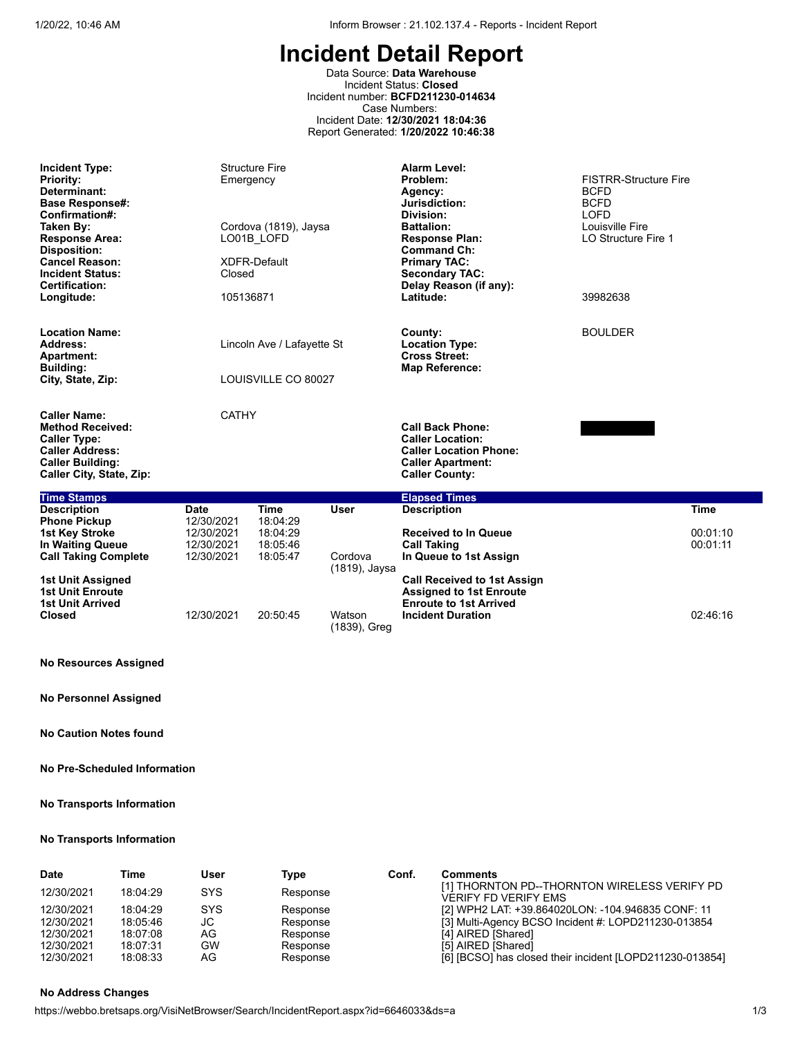Data Source: **Data Warehouse** Incident Status: **Closed** Incident number: **BCFD211230-014634** Case Numbers: Incident Date: **12/30/2021 18:04:36** Report Generated: **1/20/2022 10:46:38**

| <b>Incident Type:</b><br><b>Priority:</b><br>Determinant:<br><b>Base Response#:</b><br>Confirmation#:<br>Taken By:<br><b>Response Area:</b><br><b>Disposition:</b><br><b>Cancel Reason:</b><br><b>Incident Status:</b><br>Certification:<br>Longitude: | <b>Structure Fire</b><br>Emergency<br>Cordova (1819), Jaysa<br>LO01B LOFD<br>XDFR-Default<br>Closed<br>105136871 |                                              |                                                                                   | <b>Alarm Level:</b><br>Problem:<br>Agency:<br>Jurisdiction:<br>Division:<br><b>Battalion:</b><br><b>Response Plan:</b><br><b>Command Ch:</b><br><b>Primary TAC:</b><br><b>Secondary TAC:</b><br>Delay Reason (if any):<br>Latitude: | <b>FISTRR-Structure Fire</b> |                      |
|--------------------------------------------------------------------------------------------------------------------------------------------------------------------------------------------------------------------------------------------------------|------------------------------------------------------------------------------------------------------------------|----------------------------------------------|-----------------------------------------------------------------------------------|-------------------------------------------------------------------------------------------------------------------------------------------------------------------------------------------------------------------------------------|------------------------------|----------------------|
| <b>Location Name:</b><br>Address:<br><b>Apartment:</b><br><b>Building:</b><br>City, State, Zip:                                                                                                                                                        | Lincoln Ave / Lafayette St<br>LOUISVILLE CO 80027                                                                |                                              | County:<br><b>Location Type:</b><br><b>Cross Street:</b><br><b>Map Reference:</b> | <b>BOULDER</b>                                                                                                                                                                                                                      |                              |                      |
| <b>Caller Name:</b><br><b>Method Received:</b><br><b>Caller Type:</b><br><b>Caller Address:</b><br><b>Caller Building:</b><br>Caller City, State, Zip:                                                                                                 | <b>CATHY</b>                                                                                                     |                                              |                                                                                   | <b>Call Back Phone:</b><br><b>Caller Location:</b><br><b>Caller Location Phone:</b><br><b>Caller Apartment:</b><br><b>Caller County:</b>                                                                                            |                              |                      |
| <b>Time Stamps</b>                                                                                                                                                                                                                                     |                                                                                                                  |                                              |                                                                                   | <b>Elapsed Times</b>                                                                                                                                                                                                                |                              |                      |
| <b>Description</b>                                                                                                                                                                                                                                     | Date                                                                                                             | <b>Time</b>                                  | <b>User</b>                                                                       | <b>Description</b>                                                                                                                                                                                                                  |                              | <b>Time</b>          |
| <b>Phone Pickup</b><br><b>1st Key Stroke</b><br>In Waiting Queue<br><b>Call Taking Complete</b>                                                                                                                                                        | 12/30/2021<br>12/30/2021<br>12/30/2021<br>12/30/2021                                                             | 18:04:29<br>18:04:29<br>18:05:46<br>18:05:47 | Cordova<br>(1819), Jaysa                                                          | <b>Received to In Queue</b><br><b>Call Taking</b><br>In Queue to 1st Assign                                                                                                                                                         |                              | 00:01:10<br>00:01:11 |
| 1st Unit Assigned<br><b>1st Unit Enroute</b><br><b>1st Unit Arrived</b>                                                                                                                                                                                |                                                                                                                  |                                              |                                                                                   | <b>Call Received to 1st Assign</b><br><b>Assigned to 1st Enroute</b><br><b>Enroute to 1st Arrived</b>                                                                                                                               |                              |                      |

## **No Resources Assigned**

**Closed** 12/30/2021 20:50:45 Watson

**No Personnel Assigned**

**No Caution Notes found**

## **No Pre-Scheduled Information**

#### **No Transports Information**

#### **No Transports Information**

| <b>Date</b> | Time     | User       | Type     | Conf. | <b>Comments</b>                                                             |
|-------------|----------|------------|----------|-------|-----------------------------------------------------------------------------|
| 12/30/2021  | 18:04:29 | <b>SYS</b> | Response |       | [1] THORNTON PD--THORNTON WIRELESS VERIFY PD<br><b>VERIFY FD VERIFY EMS</b> |
| 12/30/2021  | 18:04:29 | <b>SYS</b> | Response |       | [2] WPH2 LAT: +39.864020LON: -104.946835 CONF: 11                           |
| 12/30/2021  | 18:05:46 | JС         | Response |       | [3] Multi-Agency BCSO Incident #: LOPD211230-013854                         |
| 12/30/2021  | 18:07:08 | AG         | Response |       | [4] AIRED [Shared]                                                          |
| 12/30/2021  | 18:07:31 | GW         | Response |       | [5] AIRED [Shared]                                                          |
| 12/30/2021  | 18:08:33 | AG         | Response |       | [6] [BCSO] has closed their incident [LOPD211230-013854]                    |

(1839), Greg

**Incident Duration** 02:46:16

# **No Address Changes**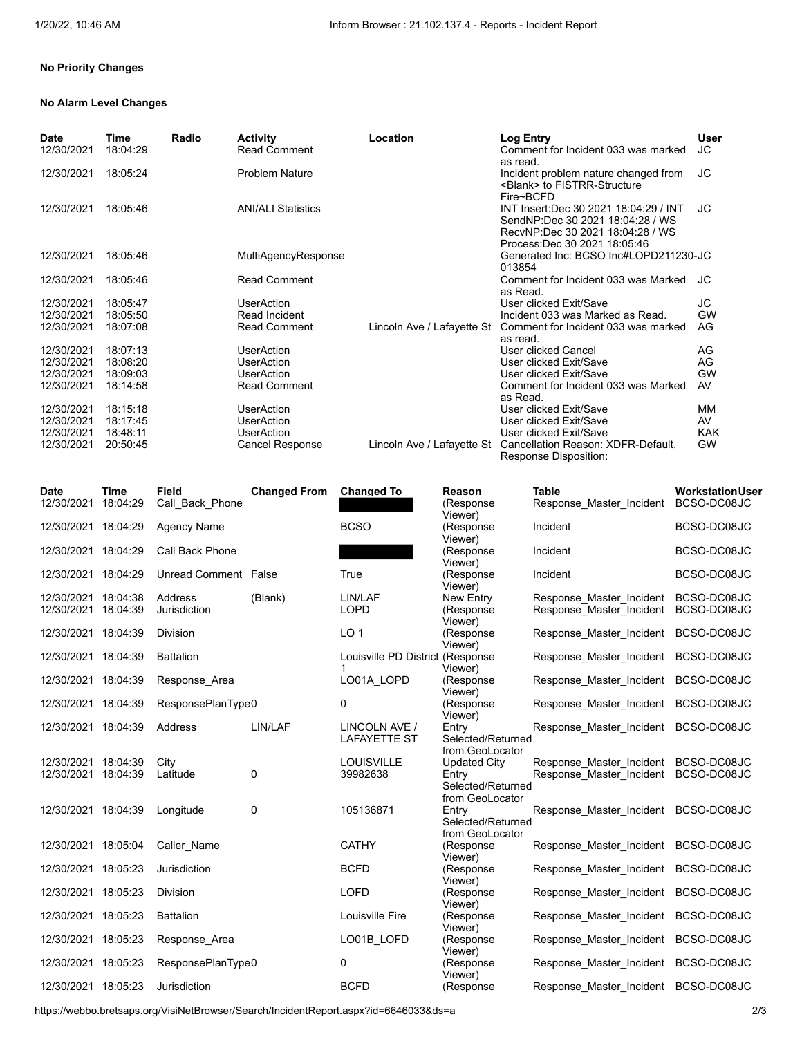# **No Priority Changes**

### **No Alarm Level Changes**

| Date<br>12/30/2021 | Time<br>18:04:29 | Radio | <b>Activity</b><br><b>Read Comment</b> | Location                   | Log Entry<br>Comment for Incident 033 was marked                                                                                               | <b>User</b><br><b>JC</b> |
|--------------------|------------------|-------|----------------------------------------|----------------------------|------------------------------------------------------------------------------------------------------------------------------------------------|--------------------------|
| 12/30/2021         | 18:05:24         |       | <b>Problem Nature</b>                  |                            | as read.<br>Incident problem nature changed from<br><blank> to FISTRR-Structure<br/>Fire~BCFD</blank>                                          | <b>JC</b>                |
| 12/30/2021         | 18:05:46         |       | <b>ANI/ALI Statistics</b>              |                            | INT Insert:Dec 30 2021 18:04:29 / INT<br>SendNP:Dec 30 2021 18:04:28 / WS<br>RecvNP:Dec 30 2021 18:04:28 / WS<br>Process: Dec 30 2021 18:05:46 | JС                       |
| 12/30/2021         | 18:05:46         |       | MultiAgencyResponse                    |                            | Generated Inc: BCSO Inc#LOPD211230-JC<br>013854                                                                                                |                          |
| 12/30/2021         | 18:05:46         |       | <b>Read Comment</b>                    |                            | Comment for Incident 033 was Marked<br>as Read.                                                                                                | JС                       |
| 12/30/2021         | 18:05:47         |       | <b>UserAction</b>                      |                            | User clicked Exit/Save                                                                                                                         | JC                       |
| 12/30/2021         | 18:05:50         |       | Read Incident                          |                            | Incident 033 was Marked as Read.                                                                                                               | <b>GW</b>                |
| 12/30/2021         | 18:07:08         |       | <b>Read Comment</b>                    | Lincoln Ave / Lafayette St | Comment for Incident 033 was marked<br>as read.                                                                                                | AG                       |
| 12/30/2021         | 18:07:13         |       | <b>UserAction</b>                      |                            | User clicked Cancel                                                                                                                            | AG                       |
| 12/30/2021         | 18:08:20         |       | <b>UserAction</b>                      |                            | User clicked Exit/Save                                                                                                                         | AG                       |
| 12/30/2021         | 18:09:03         |       | <b>UserAction</b>                      |                            | User clicked Exit/Save                                                                                                                         | <b>GW</b>                |
| 12/30/2021         | 18:14:58         |       | <b>Read Comment</b>                    |                            | Comment for Incident 033 was Marked<br>as Read.                                                                                                | AV                       |
| 12/30/2021         | 18:15:18         |       | <b>UserAction</b>                      |                            | User clicked Exit/Save                                                                                                                         | MМ                       |
| 12/30/2021         | 18:17:45         |       | <b>UserAction</b>                      |                            | User clicked Exit/Save                                                                                                                         | AV                       |
| 12/30/2021         | 18:48:11         |       | <b>UserAction</b>                      |                            | User clicked Exit/Save                                                                                                                         | <b>KAK</b>               |
| 12/30/2021         | 20:50:45         |       | Cancel Response                        | Lincoln Ave / Lafayette St | Cancellation Reason: XDFR-Default,<br>Response Disposition:                                                                                    | <b>GW</b>                |

| <b>Date</b>         | <b>Time</b> | <b>Field</b>         | <b>Changed From</b> | <b>Changed To</b>                    | Reason                                        | <b>Table</b>                         | <b>WorkstationUser</b> |
|---------------------|-------------|----------------------|---------------------|--------------------------------------|-----------------------------------------------|--------------------------------------|------------------------|
| 12/30/2021          | 18:04:29    | Call Back Phone      |                     |                                      | (Response<br>Viewer)                          | Response Master Incident             | BCSO-DC08JC            |
| 12/30/2021          | 18:04:29    | <b>Agency Name</b>   |                     | <b>BCSO</b>                          | (Response<br>Viewer)                          | Incident                             | BCSO-DC08JC            |
| 12/30/2021 18:04:29 |             | Call Back Phone      |                     |                                      | (Response<br>Viewer)                          | Incident                             | BCSO-DC08JC            |
| 12/30/2021 18:04:29 |             | Unread Comment False |                     | True                                 | (Response<br>Viewer)                          | Incident                             | BCSO-DC08JC            |
| 12/30/2021          | 18:04:38    | <b>Address</b>       | (Blank)             | LIN/LAF                              | New Entry                                     | Response Master Incident             | BCSO-DC08JC            |
| 12/30/2021          | 18:04:39    | Jurisdiction         |                     | <b>LOPD</b>                          | (Response<br>Viewer)                          | Response Master Incident             | BCSO-DC08JC            |
| 12/30/2021 18:04:39 |             | <b>Division</b>      |                     | LO <sub>1</sub>                      | (Response<br>Viewer)                          | Response Master Incident             | BCSO-DC08JC            |
| 12/30/2021 18:04:39 |             | <b>Battalion</b>     |                     | Louisville PD District (Response     | Viewer)                                       | Response Master Incident             | BCSO-DC08JC            |
| 12/30/2021 18:04:39 |             | Response Area        |                     | LO01A LOPD                           | (Response<br>Viewer)                          | Response Master Incident             | BCSO-DC08JC            |
| 12/30/2021 18:04:39 |             | ResponsePlanType0    |                     | 0                                    | (Response)<br>Viewer)                         | Response Master Incident             | BCSO-DC08JC            |
| 12/30/2021 18:04:39 |             | Address              | LIN/LAF             | LINCOLN AVE /<br><b>LAFAYETTE ST</b> | Entry<br>Selected/Returned<br>from GeoLocator | Response Master Incident             | BCSO-DC08JC            |
| 12/30/2021          | 18:04:39    | City                 |                     | <b>LOUISVILLE</b>                    | Updated City                                  | Response Master Incident             | BCSO-DC08JC            |
| 12/30/2021 18:04:39 |             | Latitude             | 0                   | 39982638                             | Entry<br>Selected/Returned<br>from GeoLocator | Response Master Incident             | BCSO-DC08JC            |
| 12/30/2021 18:04:39 |             | Longitude            | 0                   | 105136871                            | Entry<br>Selected/Returned<br>from GeoLocator | Response Master Incident             | BCSO-DC08JC            |
| 12/30/2021 18:05:04 |             | Caller Name          |                     | <b>CATHY</b>                         | (Response<br>Viewer)                          | Response Master Incident             | BCSO-DC08JC            |
| 12/30/2021          | 18:05:23    | Jurisdiction         |                     | <b>BCFD</b>                          | (Response<br>Viewer)                          | Response Master Incident             | BCSO-DC08JC            |
| 12/30/2021 18:05:23 |             | <b>Division</b>      |                     | <b>LOFD</b>                          | (Response<br>Viewer)                          | Response Master Incident             | BCSO-DC08JC            |
| 12/30/2021 18:05:23 |             | <b>Battalion</b>     |                     | Louisville Fire                      | (Response<br>Viewer)                          | Response_Master_Incident             | BCSO-DC08JC            |
| 12/30/2021 18:05:23 |             | Response Area        |                     | LO01B_LOFD                           | (Response<br>Viewer)                          | Response Master Incident             | BCSO-DC08JC            |
| 12/30/2021 18:05:23 |             | ResponsePlanType0    |                     | 0                                    | (Response<br>Viewer)                          | Response Master Incident             | BCSO-DC08JC            |
| 12/30/2021 18:05:23 |             | Jurisdiction         |                     | <b>BCFD</b>                          | (Response                                     | Response_Master_Incident BCSO-DC08JC |                        |

https://webbo.bretsaps.org/VisiNetBrowser/Search/IncidentReport.aspx?id=6646033&ds=a 2/3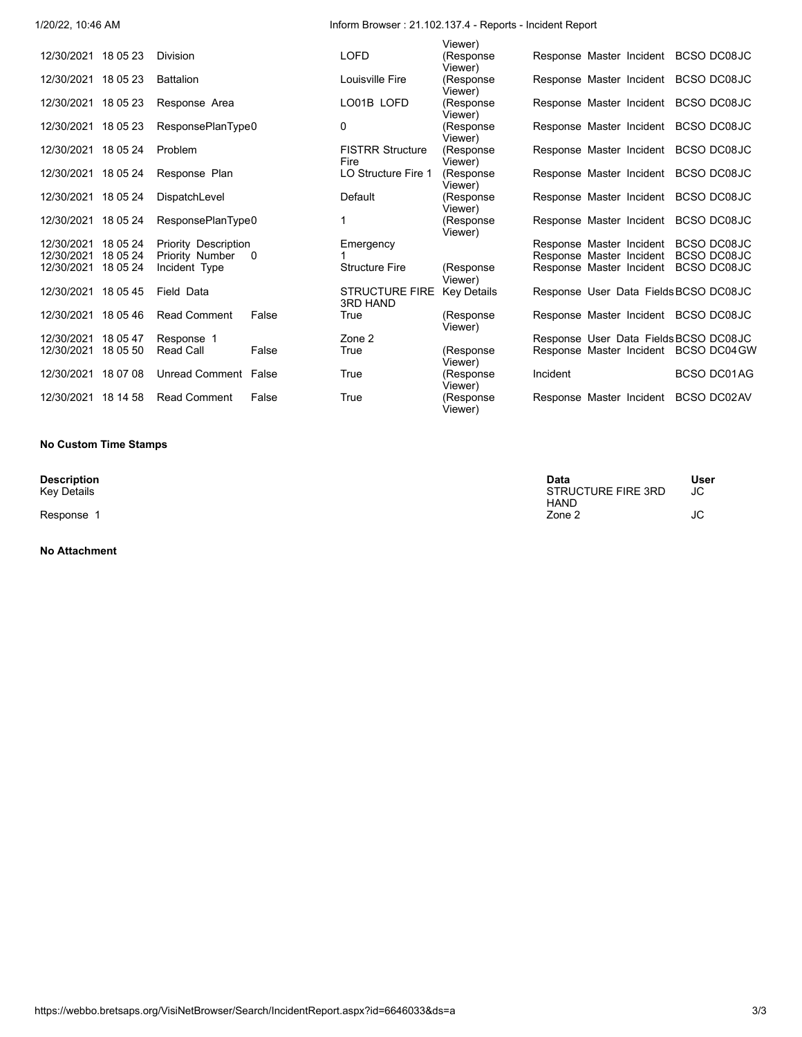# 1/20/22, 10:46 AM Inform Browser : 21.102.137.4 - Reports - Incident Report

|                     |          |                      |          |                                          | Viewer)               |          |                                       |             |             |
|---------------------|----------|----------------------|----------|------------------------------------------|-----------------------|----------|---------------------------------------|-------------|-------------|
| 12/30/2021 18 05 23 |          | Division             |          | <b>LOFD</b>                              | (Response<br>Viewer)  |          | Response Master Incident BCSO DC08JC  |             |             |
| 12/30/2021 18 05 23 |          | <b>Battalion</b>     |          | Louisville Fire                          | (Response<br>Viewer)  |          | Response Master Incident BCSO DC08JC  |             |             |
| 12/30/2021 18 05 23 |          | Response Area        |          | LO01B LOFD                               | (Response<br>Viewer)  |          | Response Master Incident BCSO DC08JC  |             |             |
| 12/30/2021 18 05 23 |          | ResponsePlanType0    |          | $\mathbf{0}$                             | (Response<br>Viewer)  |          | Response Master Incident BCSO DC08JC  |             |             |
| 12/30/2021 18 05 24 |          | Problem              |          | <b>FISTRR Structure</b><br>Fire          | (Response<br>Viewer)  |          | Response Master Incident BCSO DC08JC  |             |             |
| 12/30/2021 18 05 24 |          | Response Plan        |          | LO Structure Fire 1                      | (Response)<br>Viewer) |          | Response Master Incident BCSO DC08JC  |             |             |
| 12/30/2021 18 05 24 |          | DispatchLevel        |          | Default                                  | (Response<br>Viewer)  |          | Response Master Incident BCSO DC08JC  |             |             |
| 12/30/2021 18 05 24 |          | ResponsePlanType0    |          | 1                                        | (Response<br>Viewer)  |          | Response Master Incident BCSO DC08JC  |             |             |
| 12/30/2021          | 18 05 24 | Priority Description |          | Emergency                                |                       |          | Response Master Incident              | BCSO DC08JC |             |
| 12/30/2021 18 05 24 |          | Priority Number      | $\Omega$ |                                          |                       |          | Response Master Incident              | BCSO DC08JC |             |
| 12/30/2021 18 05 24 |          | Incident Type        |          | <b>Structure Fire</b>                    | (Response<br>Viewer)  |          | Response Master Incident BCSO DC08JC  |             |             |
| 12/30/2021 18 05 45 |          | Field Data           |          | <b>STRUCTURE FIRE</b><br><b>3RD HAND</b> | <b>Key Details</b>    |          | Response User Data Fields BCSO DC08JC |             |             |
| 12/30/2021 18 05 46 |          | <b>Read Comment</b>  | False    | True                                     | (Response<br>Viewer)  |          | Response Master Incident BCSO DC08JC  |             |             |
| 12/30/2021          | 18 05 47 | Response 1           |          | Zone 2                                   |                       |          | Response User Data Fields BCSO DC08JC |             |             |
| 12/30/2021          | 18 05 50 | <b>Read Call</b>     | False    | True                                     | (Response<br>Viewer)  |          | Response Master Incident BCSO DC04 GW |             |             |
| 12/30/2021 18 07 08 |          | Unread Comment False |          | True                                     | (Response<br>Viewer)  | Incident |                                       |             | BCSO DC01AG |
| 12/30/2021 18 14 58 |          | <b>Read Comment</b>  | False    | True                                     | (Response<br>Viewer)  |          | Response Master Incident              | BCSO DC02AV |             |

#### **No Custom Time Stamps**

**No Attachment**

| <b>Description</b> | Data               | User |
|--------------------|--------------------|------|
| Kev Details        | STRUCTURE FIRE 3RD | JC   |
|                    | <b>HAND</b>        |      |
| Response           | Zone 2             | JC   |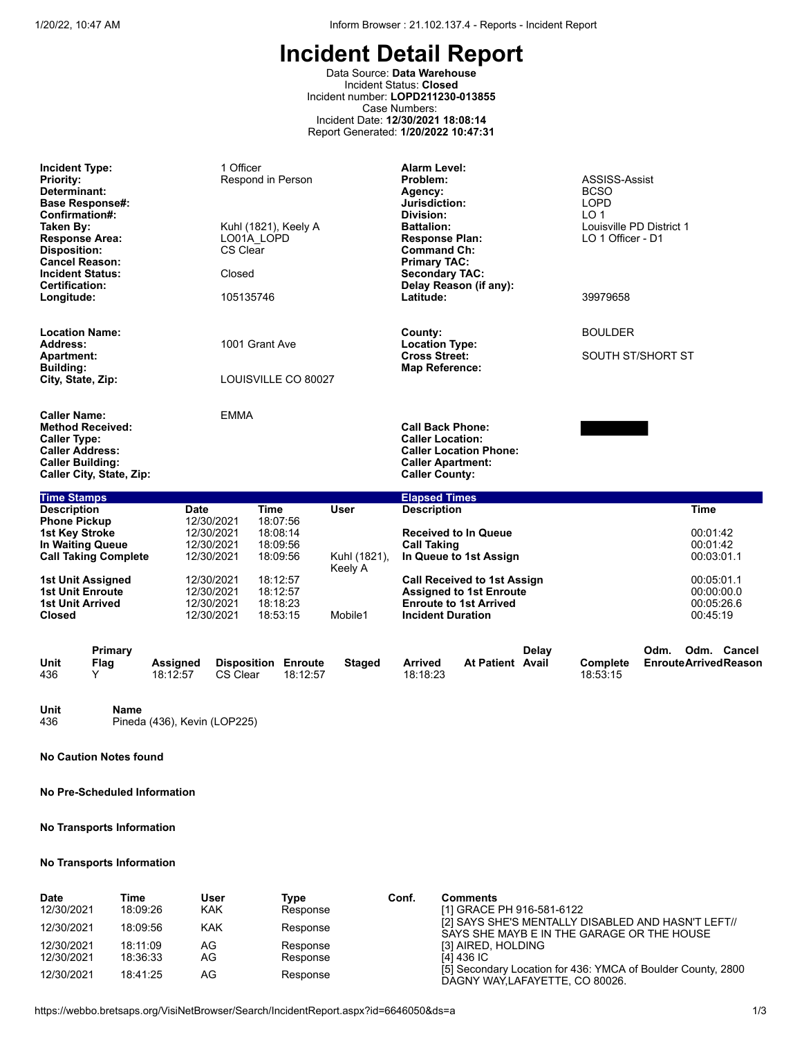Data Source: **Data Warehouse** Incident Status: **Closed** Incident number: **LOPD211230-013855** Case Numbers: Incident Date: **12/30/2021 18:08:14** Report Generated: **1/20/2022 10:47:31**

| <b>Incident Type:</b><br><b>Priority:</b><br>Determinant:<br><b>Base Response#:</b><br>Confirmation#:<br>Taken By:<br><b>Response Area:</b><br><b>Disposition:</b><br><b>Cancel Reason:</b><br><b>Incident Status:</b> | 1 Officer<br>Respond in Person<br>Kuhl (1821), Keely A<br>LO01A LOPD<br>CS Clear<br>Closed<br>Certification: |                                                                     | <b>Alarm Level:</b><br>Problem:<br>Agency:<br>Jurisdiction:<br>Division:<br><b>Battalion:</b><br><b>Response Plan:</b><br><b>Command Ch:</b><br><b>Primary TAC:</b><br><b>Secondary TAC:</b><br>Delay Reason (if any): |                                  |                                                                                                         | ASSISS-Assist<br><b>BCSO</b><br><b>LOPD</b><br>LO <sub>1</sub><br>Louisville PD District 1<br>LO 1 Officer - D1 |                |                      |      |                                                    |                                            |
|------------------------------------------------------------------------------------------------------------------------------------------------------------------------------------------------------------------------|--------------------------------------------------------------------------------------------------------------|---------------------------------------------------------------------|------------------------------------------------------------------------------------------------------------------------------------------------------------------------------------------------------------------------|----------------------------------|---------------------------------------------------------------------------------------------------------|-----------------------------------------------------------------------------------------------------------------|----------------|----------------------|------|----------------------------------------------------|--------------------------------------------|
| Longitude:                                                                                                                                                                                                             |                                                                                                              | 105135746                                                           |                                                                                                                                                                                                                        |                                  | Latitude:<br>39979658                                                                                   |                                                                                                                 |                |                      |      |                                                    |                                            |
| <b>Location Name:</b><br>1001 Grant Ave<br>Address:                                                                                                                                                                    |                                                                                                              |                                                                     |                                                                                                                                                                                                                        | County:<br><b>Location Type:</b> |                                                                                                         |                                                                                                                 | <b>BOULDER</b> |                      |      |                                                    |                                            |
| <b>Apartment:</b><br><b>Building:</b><br>City, State, Zip:                                                                                                                                                             |                                                                                                              | LOUISVILLE CO 80027                                                 |                                                                                                                                                                                                                        |                                  | <b>Cross Street:</b><br><b>Map Reference:</b>                                                           |                                                                                                                 |                | SOUTH ST/SHORT ST    |      |                                                    |                                            |
| <b>Caller Name:</b><br><b>Method Received:</b><br><b>Caller Type:</b><br><b>Caller Address:</b><br><b>Caller Building:</b><br>Caller City, State, Zip:                                                                 |                                                                                                              | <b>EMMA</b>                                                         |                                                                                                                                                                                                                        |                                  | <b>Call Back Phone:</b><br><b>Caller Location:</b><br><b>Caller Apartment:</b><br><b>Caller County:</b> | <b>Caller Location Phone:</b>                                                                                   |                |                      |      |                                                    |                                            |
| <b>Time Stamps</b>                                                                                                                                                                                                     |                                                                                                              |                                                                     |                                                                                                                                                                                                                        |                                  | <b>Elapsed Times</b>                                                                                    |                                                                                                                 |                |                      |      |                                                    |                                            |
| <b>Description</b><br><b>Phone Pickup</b><br><b>1st Key Stroke</b><br>In Waiting Queue<br><b>Call Taking Complete</b>                                                                                                  | <b>Date</b>                                                                                                  | <b>Time</b><br>12/30/2021<br>12/30/2021<br>12/30/2021<br>12/30/2021 | 18:07:56<br>18:08:14<br>18:09:56<br>18:09:56                                                                                                                                                                           | <b>User</b><br>Kuhl (1821),      | <b>Description</b><br><b>Call Taking</b>                                                                | <b>Received to In Queue</b><br>In Queue to 1st Assign                                                           |                |                      |      | <b>Time</b><br>00:01:42<br>00:01:42<br>00:03:01.1  |                                            |
| 1st Unit Assigned<br><b>1st Unit Enroute</b><br><b>1st Unit Arrived</b><br><b>Closed</b>                                                                                                                               |                                                                                                              | 12/30/2021<br>12/30/2021<br>12/30/2021<br>12/30/2021                | 18:12:57<br>18:12:57<br>18:18:23<br>18:53:15                                                                                                                                                                           | Keely A<br>Mobile1               | <b>Incident Duration</b>                                                                                | <b>Call Received to 1st Assign</b><br><b>Assigned to 1st Enroute</b><br><b>Enroute to 1st Arrived</b>           |                |                      |      | 00:05:01.1<br>00:00:00.0<br>00:05:26.6<br>00:45:19 |                                            |
| Primary<br>Unit<br>Flag<br>436<br>Y                                                                                                                                                                                    | Assigned<br>18:12:57                                                                                         | <b>Disposition Enroute</b><br><b>CS Clear</b>                       | 18:12:57                                                                                                                                                                                                               | <b>Staged</b>                    | <b>Arrived</b><br>18:18:23                                                                              | <b>At Patient Avail</b>                                                                                         | Delav          | Complete<br>18:53:15 | Odm. |                                                    | Odm. Cancel<br><b>EnrouteArrivedReason</b> |

**Unit Name** Pineda (436), Kevin (LOP225)

**No Caution Notes found**

**No Pre-Scheduled Information**

# **No Transports Information**

## **No Transports Information**

| Date       | Time     | User | Type     | Conf. | <b>Comments</b>                                                                                  |
|------------|----------|------|----------|-------|--------------------------------------------------------------------------------------------------|
| 12/30/2021 | 18:09:26 | KAK  | Response |       | [1] GRACE PH 916-581-6122                                                                        |
| 12/30/2021 | 18:09:56 | KAK  | Response |       | [2] SAYS SHE'S MENTALLY DISABLED AND HASN'T LEFT//<br>SAYS SHE MAYB E IN THE GARAGE OR THE HOUSE |
| 12/30/2021 | 18:11:09 | AG   | Response |       | [3] AIRED, HOLDING                                                                               |
| 12/30/2021 | 18:36:33 | AG   | Response |       | [4] 436 IC                                                                                       |
| 12/30/2021 | 18:41:25 | AG   | Response |       | [5] Secondary Location for 436: YMCA of Boulder County, 2800<br>DAGNY WAY, LAFAYETTE, CO 80026.  |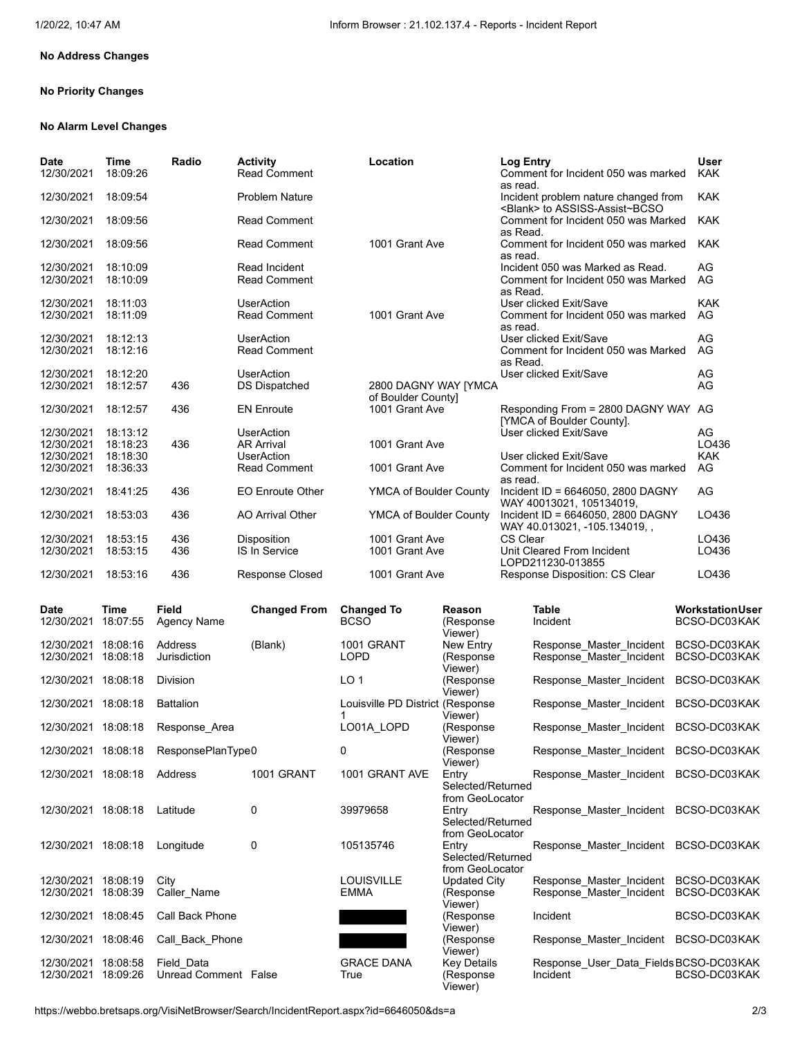# **No Address Changes**

## **No Priority Changes**

#### **No Alarm Level Changes**

| Date<br>12/30/2021  | Time<br>18:09:26     | Radio                                 | <b>Activity</b><br><b>Read Comment</b> | Location                             |                                      | <b>Log Entry</b><br>Comment for Incident 050 was marked                       | <b>User</b><br><b>KAK</b>    |
|---------------------|----------------------|---------------------------------------|----------------------------------------|--------------------------------------|--------------------------------------|-------------------------------------------------------------------------------|------------------------------|
| 12/30/2021          | 18:09:54             |                                       | <b>Problem Nature</b>                  |                                      |                                      | as read.<br>Incident problem nature changed from                              | <b>KAK</b>                   |
| 12/30/2021          | 18:09:56             |                                       | <b>Read Comment</b>                    |                                      |                                      | <blank> to ASSISS-Assist~BCSO<br/>Comment for Incident 050 was Marked</blank> | <b>KAK</b>                   |
| 12/30/2021          | 18:09:56             |                                       | <b>Read Comment</b>                    | 1001 Grant Ave                       |                                      | as Read.<br>Comment for Incident 050 was marked                               | <b>KAK</b>                   |
| 12/30/2021          | 18:10:09             |                                       | Read Incident                          |                                      |                                      | as read.<br>Incident 050 was Marked as Read.                                  | AG                           |
| 12/30/2021          | 18:10:09             |                                       | <b>Read Comment</b>                    |                                      |                                      | Comment for Incident 050 was Marked<br>as Read.                               | AG                           |
| 12/30/2021          | 18:11:03             |                                       | <b>UserAction</b>                      |                                      |                                      | User clicked Exit/Save                                                        | <b>KAK</b>                   |
| 12/30/2021          | 18:11:09             |                                       | <b>Read Comment</b>                    | 1001 Grant Ave                       |                                      | Comment for Incident 050 was marked<br>as read.                               | AG                           |
| 12/30/2021          | 18:12:13             |                                       | <b>UserAction</b>                      |                                      |                                      | User clicked Exit/Save                                                        | AG                           |
| 12/30/2021          | 18:12:16             |                                       | Read Comment                           |                                      |                                      | Comment for Incident 050 was Marked<br>as Read.                               | AG                           |
| 12/30/2021          | 18:12:20             |                                       | <b>UserAction</b>                      |                                      |                                      | User clicked Exit/Save                                                        | AG                           |
| 12/30/2021          | 18:12:57             | 436                                   | <b>DS Dispatched</b>                   | 2800 DAGNY WAY [YMCA                 |                                      |                                                                               | AG                           |
| 12/30/2021          | 18:12:57             | 436                                   | <b>EN Enroute</b>                      | of Boulder County]<br>1001 Grant Ave |                                      | Responding From = 2800 DAGNY WAY AG                                           |                              |
|                     |                      |                                       |                                        |                                      |                                      | [YMCA of Boulder County].                                                     |                              |
| 12/30/2021          | 18:13:12             |                                       | <b>UserAction</b>                      |                                      |                                      | User clicked Exit/Save                                                        | AG                           |
| 12/30/2021          | 18:18:23             | 436                                   | <b>AR Arrival</b>                      | 1001 Grant Ave                       |                                      |                                                                               | LO436                        |
| 12/30/2021          | 18:18:30             |                                       | <b>UserAction</b>                      |                                      |                                      | User clicked Exit/Save                                                        | <b>KAK</b>                   |
| 12/30/2021          | 18:36:33             |                                       | <b>Read Comment</b>                    | 1001 Grant Ave                       |                                      | Comment for Incident 050 was marked<br>as read.                               | AG                           |
| 12/30/2021          | 18:41:25             | 436                                   | <b>EO Enroute Other</b>                | YMCA of Boulder County               |                                      | Incident ID = 6646050, 2800 DAGNY<br>WAY 40013021, 105134019,                 | AG                           |
| 12/30/2021          | 18:53:03             | 436                                   | AO Arrival Other                       | YMCA of Boulder County               |                                      | Incident ID = 6646050, 2800 DAGNY<br>WAY 40.013021, -105.134019,,             | LO436                        |
| 12/30/2021          | 18:53:15             | 436                                   | Disposition                            | 1001 Grant Ave                       |                                      | CS Clear                                                                      | LO436                        |
| 12/30/2021          | 18:53:15             | 436                                   | IS In Service                          | 1001 Grant Ave                       |                                      | Unit Cleared From Incident<br>LOPD211230-013855                               | LO436                        |
| 12/30/2021          | 18:53:16             | 436                                   | <b>Response Closed</b>                 | 1001 Grant Ave                       |                                      | Response Disposition: CS Clear                                                | LO436                        |
| Date                | Time                 | Field                                 | <b>Changed From</b>                    | <b>Changed To</b>                    | Reason                               | <b>Table</b>                                                                  | <b>Workstation User</b>      |
| 12/30/2021          | 18:07:55             | <b>Agency Name</b>                    |                                        | <b>BCSO</b>                          | (Response<br>Viewer)                 | Incident                                                                      | BCSO-DC03KAK                 |
| 12/30/2021          | 18:08:16<br>18:08:18 | Address<br>Jurisdiction               | (Blank)                                | 1001 GRANT<br>LOPD                   | New Entry<br>(Response               | Response_Master_Incident                                                      | BCSO-DC03KAK<br>BCSO-DC03KAK |
| 12/30/2021          |                      |                                       |                                        |                                      | Viewer)                              | Response_Master_Incident                                                      |                              |
| 12/30/2021 18:08:18 |                      | Division                              |                                        | LO <sub>1</sub>                      | (Response<br>Viewer)                 | Response Master Incident                                                      | BCSO-DC03KAK                 |
| 12/30/2021 18:08:18 |                      | <b>Battalion</b>                      |                                        | Louisville PD District (Response     | Viewer)                              | Response Master Incident                                                      | BCSO-DC03KAK                 |
| 12/30/2021 18:08:18 |                      | Response Area                         |                                        | LO01A LOPD                           | (Response<br>Viewer)                 | Response_Master_Incident BCSO-DC03KAK                                         |                              |
|                     |                      | 12/30/2021 18:08:18 ResponsePlanType0 |                                        | 0                                    | (Response<br>Viewer)                 | Response Master Incident BCSO-DC03KAK                                         |                              |
| 12/30/2021 18:08:18 |                      | Address                               | <b>1001 GRANT</b>                      | 1001 GRANT AVE                       | Entry<br>Selected/Returned           | Response Master Incident BCSO-DC03KAK                                         |                              |
| 12/30/2021 18:08:18 |                      | Latitude                              | 0                                      | 39979658                             | from GeoLocator<br>Entry             | Response_Master_Incident BCSO-DC03KAK                                         |                              |
|                     |                      |                                       |                                        |                                      | Selected/Returned                    |                                                                               |                              |
|                     |                      |                                       |                                        |                                      | from GeoLocator                      |                                                                               |                              |
| 12/30/2021 18:08:18 |                      | Longitude                             | 0                                      | 105135746                            | Entry                                | Response_Master_Incident BCSO-DC03KAK                                         |                              |
|                     |                      |                                       |                                        |                                      | Selected/Returned<br>from GeoLocator |                                                                               |                              |
| 12/30/2021 18:08:19 |                      | City                                  |                                        | <b>LOUISVILLE</b>                    | Updated City                         | Response Master Incident                                                      | BCSO-DC03KAK                 |
| 12/30/2021 18:08:39 |                      | Caller Name                           |                                        | EMMA                                 | (Response                            | Response_Master_Incident                                                      | BCSO-DC03KAK                 |
|                     |                      |                                       |                                        |                                      | Viewer)                              |                                                                               |                              |
|                     |                      | 12/30/2021 18:08:45 Call Back Phone   |                                        |                                      | (Response                            | Incident                                                                      | BCSO-DC03KAK                 |



Unread Comment False

12/30/2021 18:08:58 Field\_Data GRACE DANA Key Details Response\_User\_Data\_FieldsBCSO-DC03KAK

Ùiewer)<br>(Response

Viewer)<br>Key Details

Viewer)

https://webbo.bretsaps.org/VisiNetBrowser/Search/IncidentReport.aspx?id=6646050&ds=a 2/3

BCSO-DC03KAK

Response\_Master\_Incident BCSO-DC03KAK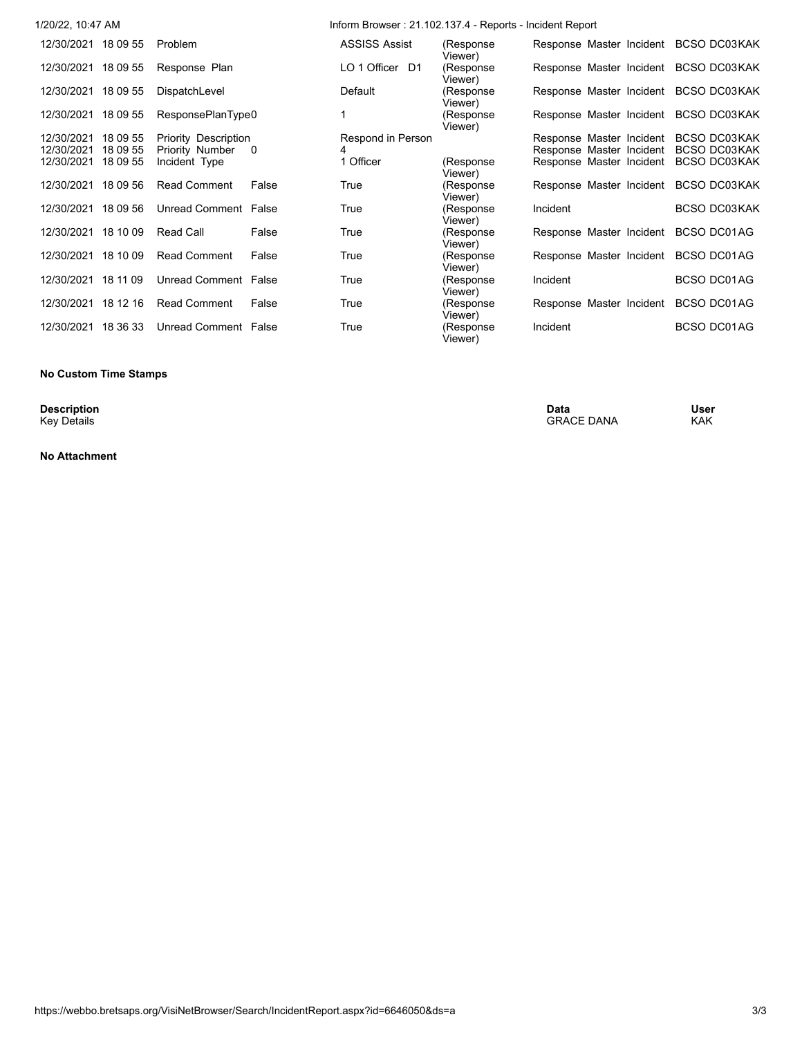| 1/20/22, 10:47 AM      |                             |                | Inform Browser: 21.102.137.4 - Reports - Incident Report |                       |                          |                                       |
|------------------------|-----------------------------|----------------|----------------------------------------------------------|-----------------------|--------------------------|---------------------------------------|
| 12/30/2021 18 09 55    | Problem                     |                | <b>ASSISS Assist</b>                                     | (Response)<br>Viewer) |                          | Response Master Incident BCSO DC03KAK |
| 12/30/2021 18 09 55    | Response Plan               |                | LO 1 Officer D1                                          | (Response<br>Viewer)  |                          | Response Master Incident BCSO DC03KAK |
| 12/30/2021 18 09 55    | DispatchLevel               |                | Default                                                  | (Response<br>Viewer)  |                          | Response Master Incident BCSO DC03KAK |
| 12/30/2021 18 09 55    | ResponsePlanType0           |                |                                                          | (Response<br>Viewer)  |                          | Response Master Incident BCSO DC03KAK |
| 12/30/2021<br>18 09 55 | <b>Priority Description</b> |                | Respond in Person                                        |                       | Response Master Incident | <b>BCSO DC03KAK</b>                   |
| 18 09 55<br>12/30/2021 | Priority Number             | $\overline{0}$ |                                                          |                       | Response Master Incident | <b>BCSO DC03KAK</b>                   |
| 12/30/2021<br>18 09 55 | Incident Type               |                | 1 Officer                                                | (Response<br>Viewer)  | Response Master Incident | <b>BCSO DC03KAK</b>                   |
| 12/30/2021 18 09 56    | <b>Read Comment</b>         | False          | True                                                     | (Response<br>Viewer)  | Response Master Incident | <b>BCSO DC03KAK</b>                   |
| 12/30/2021 18 09 56    | Unread Comment False        |                | True                                                     | (Response<br>Viewer)  | Incident                 | <b>BCSO DC03KAK</b>                   |
| 12/30/2021 18 10 09    | Read Call                   | False          | True                                                     | (Response<br>Viewer)  | Response Master Incident | BCSO DC01AG                           |
| 12/30/2021<br>18 10 09 | <b>Read Comment</b>         | False          | True                                                     | (Response<br>Viewer)  | Response Master Incident | BCSO DC01AG                           |
| 12/30/2021 18 11 09    | Unread Comment False        |                | True                                                     | (Response<br>Viewer)  | Incident                 | <b>BCSO DC01AG</b>                    |
| 12/30/2021 18 12 16    | <b>Read Comment</b>         | False          | True                                                     | (Response<br>Viewer)  | Response Master Incident | BCSO DC01AG                           |
| 12/30/2021<br>18 36 33 | Unread Comment False        |                | True                                                     | (Response<br>Viewer)  | Incident                 | <b>BCSO DC01AG</b>                    |

## **No Custom Time Stamps**

**Description**<br>Key Details

**No Attachment**

**Description Data User** Key Details Grand Controllering the Controllering of the CRACE DANA KAK GRACE DANA KAK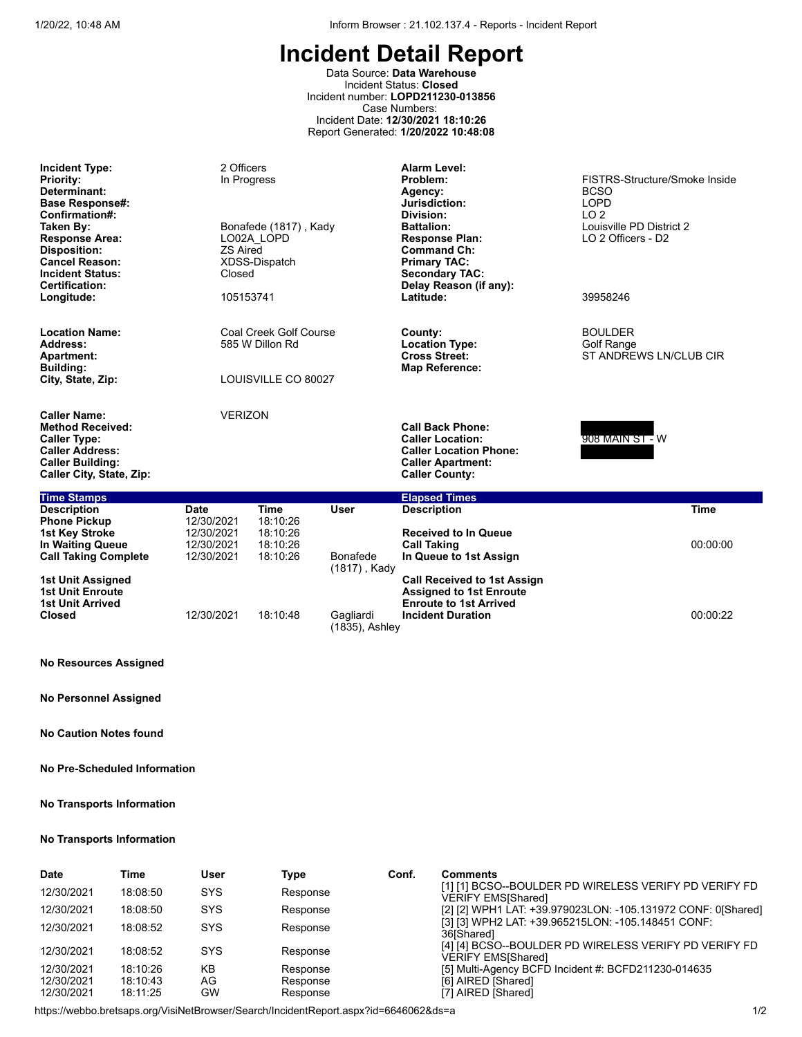Data Source: **Data Warehouse** Incident Status: **Closed** Incident number: **LOPD211230-013856** Case Numbers: Incident Date: **12/30/2021 18:10:26** Report Generated: **1/20/2022 10:48:08**

| <b>Incident Type:</b><br><b>Priority:</b><br>Determinant:<br><b>Base Response#:</b><br>Confirmation#:<br>Taken By:<br><b>Response Area:</b><br><b>Disposition:</b><br><b>Cancel Reason:</b><br><b>Incident Status:</b><br><b>Certification:</b><br>Longitude: | 2 Officers<br>In Progress<br><b>ZS Aired</b><br>Closed<br>105153741 | Bonafede (1817), Kady<br>LO02A LOPD<br>XDSS-Dispatch             |                 | <b>Alarm Level:</b><br>Problem:<br>Agency:<br>Jurisdiction:<br>Division:<br><b>Battalion:</b><br><b>Response Plan:</b><br><b>Command Ch:</b><br><b>Primary TAC:</b><br><b>Secondary TAC:</b><br>Delay Reason (if any):<br>Latitude: | FISTRS-Structure/Smoke Inside<br><b>BCSO</b><br><b>LOPD</b><br>LO <sub>2</sub><br>Louisville PD District 2<br>LO 2 Officers - D2<br>39958246 |
|---------------------------------------------------------------------------------------------------------------------------------------------------------------------------------------------------------------------------------------------------------------|---------------------------------------------------------------------|------------------------------------------------------------------|-----------------|-------------------------------------------------------------------------------------------------------------------------------------------------------------------------------------------------------------------------------------|----------------------------------------------------------------------------------------------------------------------------------------------|
| <b>Location Name:</b><br>Address:<br><b>Apartment:</b><br><b>Building:</b><br>City, State, Zip:                                                                                                                                                               |                                                                     | Coal Creek Golf Course<br>585 W Dillon Rd<br>LOUISVILLE CO 80027 |                 | County:<br><b>Location Type:</b><br><b>Cross Street:</b><br><b>Map Reference:</b>                                                                                                                                                   | <b>BOULDER</b><br><b>Golf Range</b><br>ST ANDREWS LN/CLUB CIR                                                                                |
| <b>Caller Name:</b><br><b>Method Received:</b><br><b>Caller Type:</b><br><b>Caller Address:</b><br><b>Caller Building:</b><br>Caller City, State, Zip:                                                                                                        | <b>VERIZON</b>                                                      |                                                                  |                 | <b>Call Back Phone:</b><br><b>Caller Location:</b><br><b>Caller Location Phone:</b><br><b>Caller Apartment:</b><br><b>Caller County:</b>                                                                                            | 908 MAIN ST - W                                                                                                                              |
| <b>Time Stamps</b>                                                                                                                                                                                                                                            |                                                                     |                                                                  |                 | <b>Elapsed Times</b>                                                                                                                                                                                                                |                                                                                                                                              |
| <b>Description</b><br><b>Phone Pickup</b>                                                                                                                                                                                                                     | <b>Date</b><br>12/30/2021                                           | <b>Time</b><br>18:10:26                                          | <b>User</b>     | <b>Description</b>                                                                                                                                                                                                                  | <b>Time</b>                                                                                                                                  |
| 1st Key Stroke<br><b>In Waiting Queue</b><br><b>Call Taking Complete</b>                                                                                                                                                                                      | 12/30/2021<br>12/30/2021<br>12/30/2021                              | 18:10:26<br>18:10:26<br>18:10:26                                 | <b>Bonafede</b> | <b>Received to In Queue</b><br><b>Call Taking</b><br>In Queue to 1st Assign                                                                                                                                                         | 00:00:00                                                                                                                                     |

| <b>Call Taking Complete</b>                                             | 12/30/2021 | 18:10:26 | Bonarede<br>(1817) , Kady   | In Queue to 1st Assign                                                                                |          |
|-------------------------------------------------------------------------|------------|----------|-----------------------------|-------------------------------------------------------------------------------------------------------|----------|
| 1st Unit Assigned<br><b>1st Unit Enroute</b><br><b>1st Unit Arrived</b> |            |          |                             | <b>Call Received to 1st Assign</b><br><b>Assigned to 1st Enroute</b><br><b>Enroute to 1st Arrived</b> |          |
| <b>Closed</b>                                                           | 12/30/2021 | 18:10:48 | Gaɑliardi<br>(1835), Ashley | <b>Incident Duration</b>                                                                              | 00:00:22 |

# **No Resources Assigned**

**No Personnel Assigned**

**No Caution Notes found**

# **No Pre-Scheduled Information**

# **No Transports Information**

# **No Transports Information**

| <b>Date</b> | Time     | User       | Type     | Conf. | <b>Comments</b>                                                                    |
|-------------|----------|------------|----------|-------|------------------------------------------------------------------------------------|
| 12/30/2021  | 18:08:50 | <b>SYS</b> | Response |       | [1] [1] BCSO--BOULDER PD WIRELESS VERIFY PD VERIFY FD<br><b>VERIFY EMS[Shared]</b> |
| 12/30/2021  | 18:08:50 | <b>SYS</b> | Response |       | [2] [2] WPH1 LAT: +39.979023LON: -105.131972 CONF: 0[Shared]                       |
| 12/30/2021  | 18:08:52 | <b>SYS</b> | Response |       | [3] [3] WPH2 LAT: +39.965215LON: -105.148451 CONF:<br>36 Shared                    |
| 12/30/2021  | 18:08:52 | SYS        | Response |       | [4] [4] BCSO--BOULDER PD WIRELESS VERIFY PD VERIFY FD<br><b>VERIFY EMS[Shared]</b> |
| 12/30/2021  | 18:10:26 | KΒ         | Response |       | [5] Multi-Agency BCFD Incident #: BCFD211230-014635                                |
| 12/30/2021  | 18:10:43 | AG         | Response |       | [6] AIRED [Shared]                                                                 |
| 12/30/2021  | 18:11:25 | GW         | Response |       | [7] AIRED [Shared]                                                                 |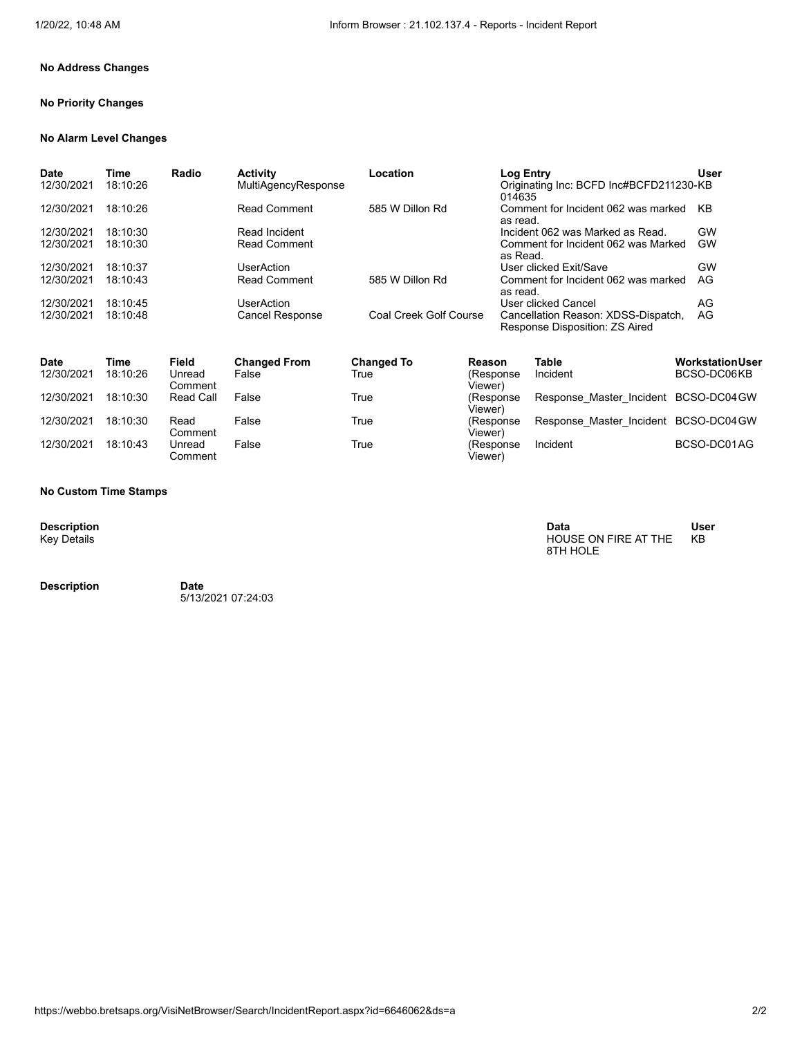# **No Address Changes**

# **No Priority Changes**

#### **No Alarm Level Changes**

| <b>Date</b><br>12/30/2021 | Time<br>18:10:26 | Radio | <b>Activity</b><br><b>MultiAgencyResponse</b> | Location               | Log Entry<br>Originating Inc: BCFD Inc#BCFD211230-KB<br>014635        | <b>User</b> |
|---------------------------|------------------|-------|-----------------------------------------------|------------------------|-----------------------------------------------------------------------|-------------|
| 12/30/2021                | 18:10:26         |       | <b>Read Comment</b>                           | 585 W Dillon Rd        | Comment for Incident 062 was marked<br>as read.                       | KB          |
| 12/30/2021                | 18:10:30         |       | Read Incident                                 |                        | Incident 062 was Marked as Read.                                      | GW          |
| 12/30/2021                | 18:10:30         |       | <b>Read Comment</b>                           |                        | Comment for Incident 062 was Marked<br>as Read.                       | <b>GW</b>   |
| 12/30/2021                | 18:10:37         |       | <b>UserAction</b>                             |                        | User clicked Exit/Save                                                | GW          |
| 12/30/2021                | 18:10:43         |       | <b>Read Comment</b>                           | 585 W Dillon Rd        | Comment for Incident 062 was marked<br>as read.                       | AG          |
| 12/30/2021                | 18:10:45         |       | <b>UserAction</b>                             |                        | User clicked Cancel                                                   | AG          |
| 12/30/2021                | 18:10:48         |       | <b>Cancel Response</b>                        | Coal Creek Golf Course | Cancellation Reason: XDSS-Dispatch,<br>Response Disposition: ZS Aired | AG          |

| <b>Date</b><br>12/30/2021 | Time<br>18:10:26 | Field<br>Unread<br>Comment | <b>Changed From</b><br>False | <b>Changed To</b><br>True | Reason<br>(Response<br>Viewer) | Table<br>Incident                    | <b>Workstation User</b><br>BCSO-DC06KB |
|---------------------------|------------------|----------------------------|------------------------------|---------------------------|--------------------------------|--------------------------------------|----------------------------------------|
| 12/30/2021                | 18:10:30         | Read Call                  | False                        | True                      | (Response)<br>Viewer)          | Response Master Incident BCSO-DC04GW |                                        |
| 12/30/2021                | 18:10:30         | Read<br>Comment            | False                        | True                      | (Response<br>Viewer)           | Response Master Incident BCSO-DC04GW |                                        |
| 12/30/2021                | 18:10:43         | Unread<br>Comment          | False                        | True                      | (Response<br>Viewer)           | Incident                             | BCSO-DC01AG                            |

#### **No Custom Time Stamps**

**Description**<br>Key Details

**Description Date**

5/13/2021 07:24:03

**Description Data User** Key Details HOUSE ON FIRE AT THE 8TH HOLE

KB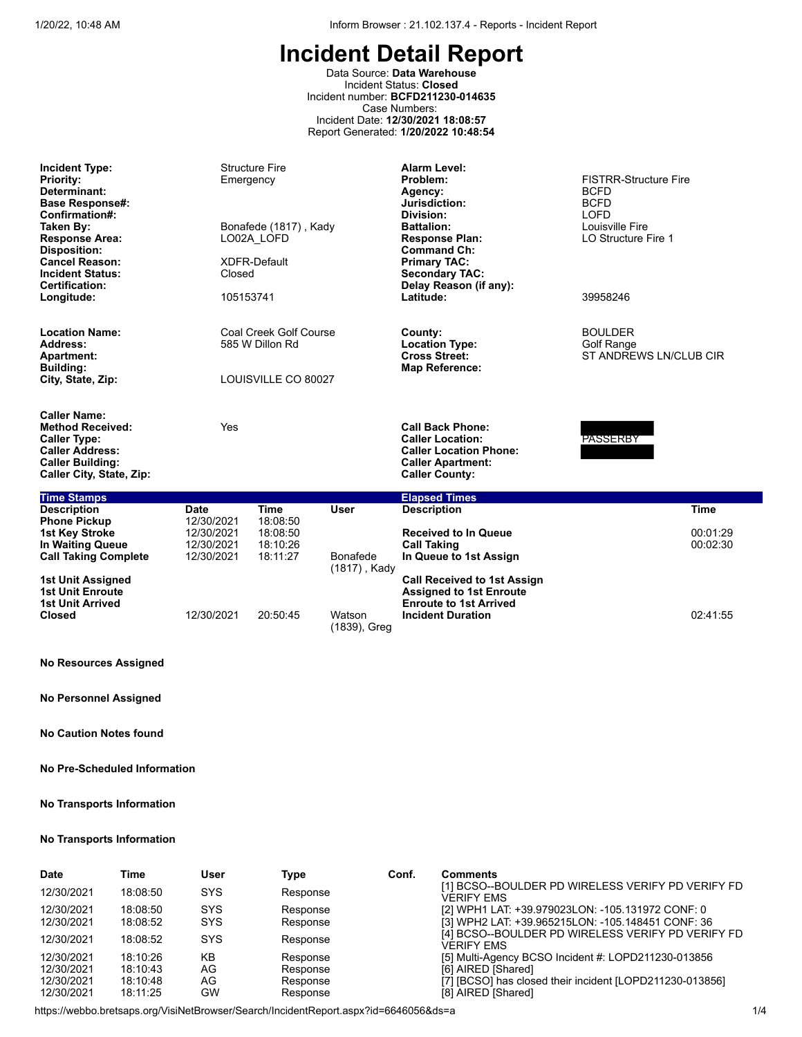Data Source: **Data Warehouse** Incident Status: **Closed** Incident number: **BCFD211230-014635** Case Numbers: Incident Date: **12/30/2021 18:08:57** Report Generated: **1/20/2022 10:48:54**

| <b>Incident Type:</b><br><b>Priority:</b><br>Determinant:<br><b>Base Response#:</b><br>Confirmation#:<br>Taken By:<br><b>Response Area:</b><br><b>Disposition:</b><br><b>Cancel Reason:</b><br><b>Incident Status:</b><br>Certification: | Emergency<br>Closed                    | <b>Structure Fire</b><br>Bonafede (1817), Kady<br>LO02A LOFD<br>XDFR-Default |                          | Alarm Level:<br>Problem:<br>Agency:<br>Jurisdiction:<br>Division:<br><b>Battalion:</b><br><b>Response Plan:</b><br><b>Command Ch:</b><br><b>Primary TAC:</b><br><b>Secondary TAC:</b><br>Delay Reason (if any): | <b>FISTRR-Structure Fire</b><br><b>BCFD</b><br><b>BCFD</b><br><b>LOFD</b><br>Louisville Fire<br>LO Structure Fire 1 |
|------------------------------------------------------------------------------------------------------------------------------------------------------------------------------------------------------------------------------------------|----------------------------------------|------------------------------------------------------------------------------|--------------------------|-----------------------------------------------------------------------------------------------------------------------------------------------------------------------------------------------------------------|---------------------------------------------------------------------------------------------------------------------|
| Longitude:                                                                                                                                                                                                                               | 105153741                              |                                                                              |                          | Latitude:                                                                                                                                                                                                       | 39958246                                                                                                            |
| <b>Location Name:</b><br>Address:<br><b>Apartment:</b>                                                                                                                                                                                   |                                        | Coal Creek Golf Course<br>585 W Dillon Rd                                    |                          | County:<br><b>Location Type:</b><br><b>Cross Street:</b><br><b>Map Reference:</b>                                                                                                                               | <b>BOULDER</b><br><b>Golf Range</b><br>ST ANDREWS LN/CLUB CIR                                                       |
| <b>Building:</b><br>City, State, Zip:                                                                                                                                                                                                    |                                        | LOUISVILLE CO 80027                                                          |                          |                                                                                                                                                                                                                 |                                                                                                                     |
| <b>Caller Name:</b><br><b>Method Received:</b><br><b>Caller Type:</b><br><b>Caller Address:</b><br><b>Caller Building:</b><br>Caller City, State, Zip:                                                                                   | Yes                                    |                                                                              |                          | <b>Call Back Phone:</b><br><b>Caller Location:</b><br><b>Caller Location Phone:</b><br><b>Caller Apartment:</b><br><b>Caller County:</b>                                                                        | <b>PASSERBY</b>                                                                                                     |
| <b>Time Stamps</b>                                                                                                                                                                                                                       |                                        |                                                                              |                          | <b>Elapsed Times</b>                                                                                                                                                                                            |                                                                                                                     |
| <b>Description</b><br><b>Phone Pickup</b>                                                                                                                                                                                                | <b>Date</b><br>12/30/2021              | <b>Time</b><br>18:08:50                                                      | <b>User</b>              | <b>Description</b>                                                                                                                                                                                              | <b>Time</b>                                                                                                         |
| <b>1st Key Stroke</b><br>In Waiting Queue<br><b>Call Taking Complete</b>                                                                                                                                                                 | 12/30/2021<br>12/30/2021<br>12/30/2021 | 18:08:50<br>18:10:26<br>18:11:27                                             | Bonafede<br>(1817), Kady | <b>Received to In Queue</b><br><b>Call Taking</b><br>In Queue to 1st Assign                                                                                                                                     | 00:01:29<br>00:02:30                                                                                                |
| <b>1st Unit Assigned</b><br><b>1st Unit Enroute</b>                                                                                                                                                                                      |                                        |                                                                              |                          | <b>Call Received to 1st Assign</b><br><b>Assigned to 1st Enroute</b>                                                                                                                                            |                                                                                                                     |

(1839), Greg

**Incident Duration** 02:41:55

**1st Unit Enroute Assigned to 1st Enroute 1st Unit Arrived Enroute to 1st Arrived**

## **No Resources Assigned**

**No Personnel Assigned**

**No Caution Notes found**

## **No Pre-Scheduled Information**

### **No Transports Information**

### **No Transports Information**

| <b>Date</b> | Time     | User       | Type     | Conf. | Comments                                                               |
|-------------|----------|------------|----------|-------|------------------------------------------------------------------------|
| 12/30/2021  | 18:08:50 | <b>SYS</b> | Response |       | [1] BCSO--BOULDER PD WIRELESS VERIFY PD VERIFY FD<br><b>VERIFY EMS</b> |
| 12/30/2021  | 18:08:50 | <b>SYS</b> | Response |       | [2] WPH1 LAT: +39.979023LON: -105.131972 CONF: 0                       |
| 12/30/2021  | 18:08:52 | <b>SYS</b> | Response |       | [3] WPH2 LAT: +39.965215LON: -105.148451 CONF: 36                      |
| 12/30/2021  | 18:08:52 | <b>SYS</b> | Response |       | [4] BCSO--BOULDER PD WIRELESS VERIFY PD VERIFY FD<br><b>VERIFY EMS</b> |
| 12/30/2021  | 18:10:26 | KB         | Response |       | [5] Multi-Agency BCSO Incident #: LOPD211230-013856                    |
| 12/30/2021  | 18:10:43 | AG         | Response |       | [6] AIRED [Shared]                                                     |
| 12/30/2021  | 18:10:48 | AG         | Response |       | [7] [BCSO] has closed their incident [LOPD211230-013856]               |
| 12/30/2021  | 18:11:25 | <b>GW</b>  | Response |       | [8] AIRED [Shared]                                                     |

12/30/2021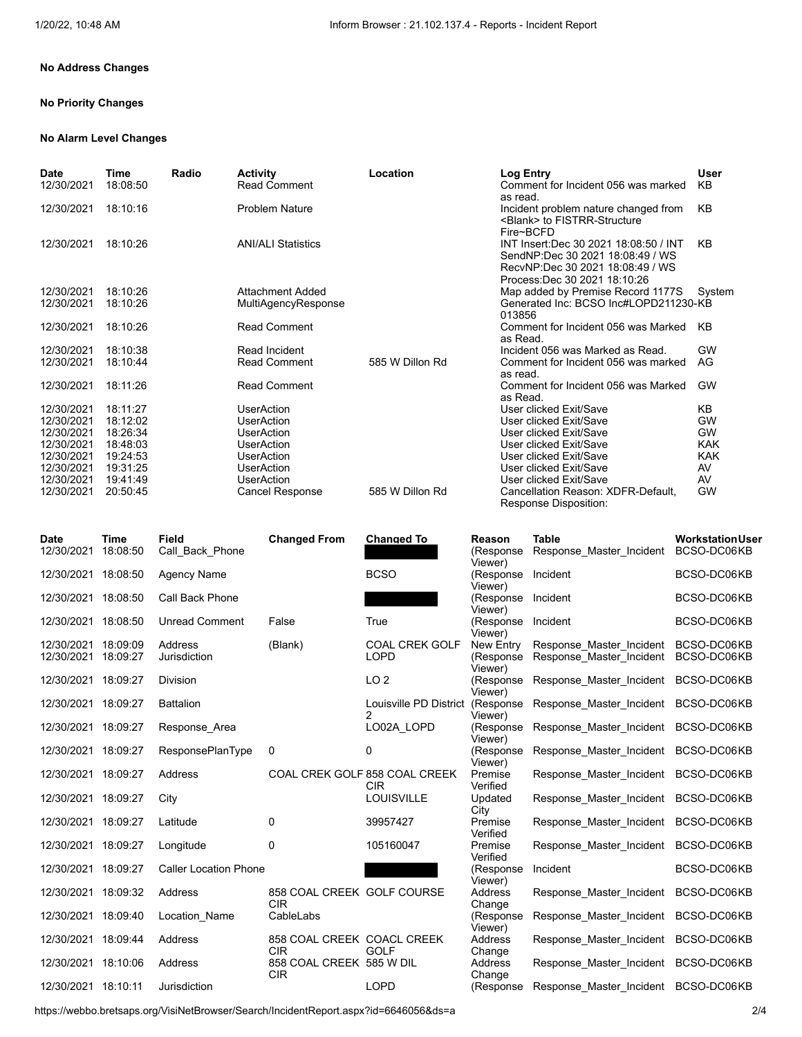# **No Address Changes**

# **No Priority Changes**

#### **No Alarm Level Changes**

| Date<br>12/30/2021 | Time<br>18:08:50 | Radio | <b>Activity</b><br><b>Read Comment</b> | Location        | <b>Log Entry</b><br>Comment for Incident 056 was marked<br>as read.                                                                            | User<br>KB |
|--------------------|------------------|-------|----------------------------------------|-----------------|------------------------------------------------------------------------------------------------------------------------------------------------|------------|
| 12/30/2021         | 18:10:16         |       | <b>Problem Nature</b>                  |                 | Incident problem nature changed from<br><blank> to FISTRR-Structure<br/>Fire~BCFD</blank>                                                      | KB         |
| 12/30/2021         | 18:10:26         |       | <b>ANI/ALI Statistics</b>              |                 | INT Insert:Dec 30 2021 18:08:50 / INT<br>SendNP:Dec 30 2021 18:08:49 / WS<br>RecvNP:Dec 30 2021 18:08:49 / WS<br>Process: Dec 30 2021 18:10:26 | KB         |
| 12/30/2021         | 18:10:26         |       | Attachment Added                       |                 | Map added by Premise Record 1177S                                                                                                              | Svstem     |
| 12/30/2021         | 18:10:26         |       | MultiAgencyResponse                    |                 | Generated Inc: BCSO Inc#LOPD211230-KB<br>013856                                                                                                |            |
| 12/30/2021         | 18:10:26         |       | <b>Read Comment</b>                    |                 | Comment for Incident 056 was Marked<br>as Read.                                                                                                | KB         |
| 12/30/2021         | 18:10:38         |       | Read Incident                          |                 | Incident 056 was Marked as Read.                                                                                                               | <b>GW</b>  |
| 12/30/2021         | 18:10:44         |       | <b>Read Comment</b>                    | 585 W Dillon Rd | Comment for Incident 056 was marked<br>as read.                                                                                                | AG         |
| 12/30/2021         | 18:11:26         |       | <b>Read Comment</b>                    |                 | Comment for Incident 056 was Marked<br>as Read.                                                                                                | GW         |
| 12/30/2021         | 18:11:27         |       | UserAction                             |                 | User clicked Exit/Save                                                                                                                         | KB         |
| 12/30/2021         | 18:12:02         |       | UserAction                             |                 | User clicked Exit/Save                                                                                                                         | GW         |
| 12/30/2021         | 18:26:34         |       | <b>UserAction</b>                      |                 | User clicked Exit/Save                                                                                                                         | <b>GW</b>  |
| 12/30/2021         | 18:48:03         |       | UserAction                             |                 | User clicked Exit/Save                                                                                                                         | <b>KAK</b> |
| 12/30/2021         | 19:24:53         |       | <b>UserAction</b>                      |                 | User clicked Exit/Save                                                                                                                         | <b>KAK</b> |
| 12/30/2021         | 19:31:25         |       | <b>UserAction</b>                      |                 | User clicked Exit/Save                                                                                                                         | AV         |
| 12/30/2021         | 19:41:49         |       | <b>UserAction</b>                      |                 | User clicked Exit/Save                                                                                                                         | AV         |
| 12/30/2021         | 20:50:45         |       | <b>Cancel Response</b>                 | 585 W Dillon Rd | Cancellation Reason: XDFR-Default.<br><b>Response Disposition:</b>                                                                             | GW         |

| <b>Date</b><br>12/30/2021 | <b>Time</b><br>18:08:50 | <b>Field</b><br>Call Back Phone | <b>Changed From</b>                      | <b>Changed To</b>                           | Reason<br>(Response<br>Viewer) | <b>Table</b><br>Response_Master_Incident | <b>WorkstationUser</b><br>BCSO-DC06KB |
|---------------------------|-------------------------|---------------------------------|------------------------------------------|---------------------------------------------|--------------------------------|------------------------------------------|---------------------------------------|
| 12/30/2021                | 18:08:50                | <b>Agency Name</b>              |                                          | <b>BCSO</b>                                 | (Response<br>Viewer)           | Incident                                 | BCSO-DC06KB                           |
| 12/30/2021                | 18:08:50                | Call Back Phone                 |                                          |                                             | (Response<br>Viewer)           | Incident                                 | BCSO-DC06KB                           |
| 12/30/2021                | 18:08:50                | <b>Unread Comment</b>           | False                                    | True                                        | (Response<br>Viewer)           | Incident                                 | BCSO-DC06KB                           |
| 12/30/2021                | 18:09:09                | Address                         | (Blank)                                  | <b>COAL CREK GOLF</b>                       | New Entry                      | Response Master Incident                 | BCSO-DC06KB                           |
| 12/30/2021                | 18:09:27                | Jurisdiction                    |                                          | <b>LOPD</b>                                 | (Response<br>Viewer)           | Response Master Incident                 | BCSO-DC06KB                           |
| 12/30/2021                | 18:09:27                | <b>Division</b>                 |                                          | LO <sub>2</sub>                             | (Response<br>Viewer)           | Response Master Incident                 | BCSO-DC06KB                           |
| 12/30/2021 18:09:27       |                         | <b>Battalion</b>                |                                          | Louisville PD District                      | (Response<br>Viewer)           | Response Master Incident                 | BCSO-DC06KB                           |
| 12/30/2021                | 18:09:27                | Response Area                   |                                          | LO02A LOPD                                  | (Response<br>Viewer)           | Response Master Incident                 | BCSO-DC06KB                           |
| 12/30/2021                | 18:09:27                | ResponsePlanType                | 0                                        | 0                                           | (Response<br>Viewer)           | Response Master Incident                 | BCSO-DC06KB                           |
| 12/30/2021                | 18:09:27                | Address                         |                                          | COAL CREK GOLF 858 COAL CREEK<br><b>CIR</b> | Premise<br>Verified            | Response Master Incident                 | BCSO-DC06KB                           |
| 12/30/2021                | 18:09:27                | City                            |                                          | <b>LOUISVILLE</b>                           | Updated<br>City                | Response Master Incident                 | BCSO-DC06KB                           |
| 12/30/2021                | 18:09:27                | Latitude                        | 0                                        | 39957427                                    | Premise<br>Verified            | Response Master Incident                 | BCSO-DC06KB                           |
| 12/30/2021                | 18:09:27                | Longitude                       | 0                                        | 105160047                                   | Premise<br>Verified            | Response Master Incident                 | BCSO-DC06KB                           |
| 12/30/2021                | 18:09:27                | <b>Caller Location Phone</b>    |                                          |                                             | (Response<br>Viewer)           | Incident                                 | BCSO-DC06KB                           |
| 12/30/2021                | 18:09:32                | Address                         | 858 COAL CREEK GOLF COURSE<br><b>CIR</b> |                                             | Address<br>Change              | Response Master Incident                 | BCSO-DC06KB                           |
| 12/30/2021                | 18:09:40                | Location Name                   | CableLabs                                |                                             | (Response<br>Viewer)           | Response Master Incident                 | BCSO-DC06KB                           |
| 12/30/2021                | 18:09:44                | Address                         | 858 COAL CREEK COACL CREEK<br><b>CIR</b> | <b>GOLF</b>                                 | Address<br>Change              | Response Master Incident                 | BCSO-DC06KB                           |
| 12/30/2021                | 18:10:06                | Address                         | 858 COAL CREEK 585 W DIL<br><b>CIR</b>   |                                             | Address<br>Change              | Response Master Incident                 | BCSO-DC06KB                           |
| 12/30/2021 18:10:11       |                         | Jurisdiction                    |                                          | <b>LOPD</b>                                 | (Response                      | Response Master Incident                 | BCSO-DC06KB                           |

https://webbo.bretsaps.org/VisiNetBrowser/Search/IncidentReport.aspx?id=6646056&ds=a 2/4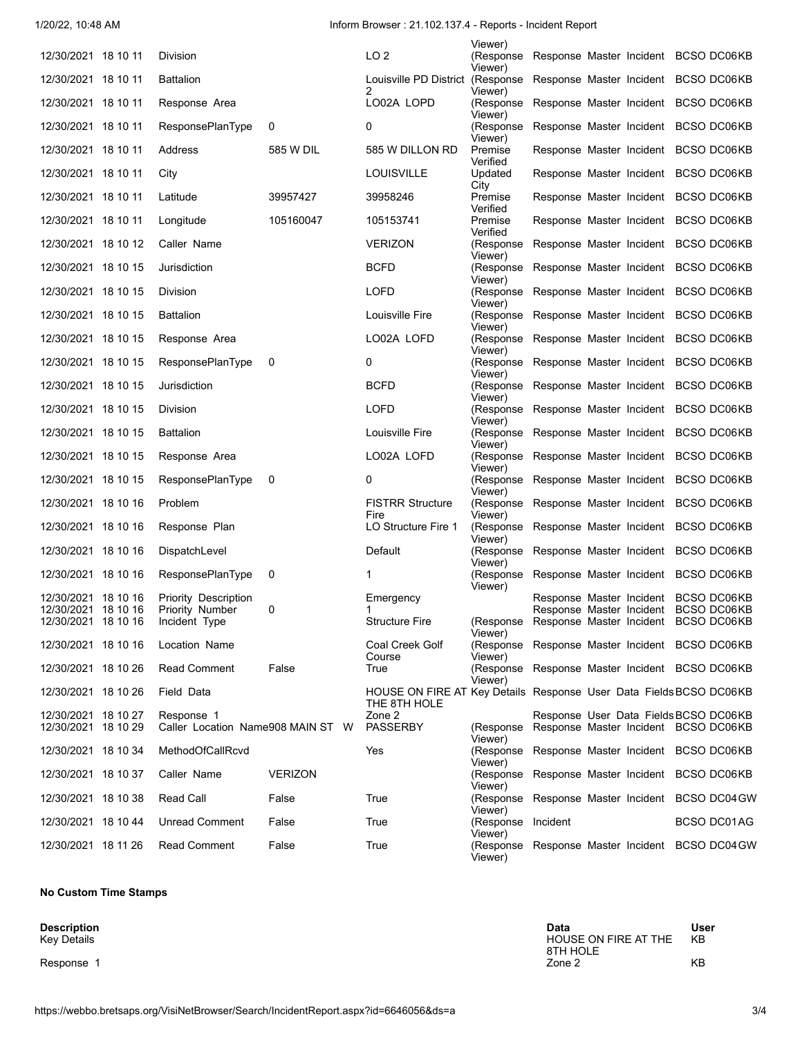1/20/22, 10:48 AM Inform Browser : 21.102.137.4 - Reports - Incident Report

|                                            |                                                 |                |                                                                                    | Viewer)                                                               |                                                                               |  |             |  |
|--------------------------------------------|-------------------------------------------------|----------------|------------------------------------------------------------------------------------|-----------------------------------------------------------------------|-------------------------------------------------------------------------------|--|-------------|--|
| 12/30/2021 18 10 11                        | Division                                        |                | LO <sub>2</sub>                                                                    | (Response Response Master Incident BCSO DC06KB)                       |                                                                               |  |             |  |
| 12/30/2021 18 10 11                        | <b>Battalion</b>                                |                | Louisville PD District (Response Response Master Incident BCSO DC06KB<br>2         | Viewer)<br>Viewer)                                                    |                                                                               |  |             |  |
| 12/30/2021 18 10 11                        | Response Area                                   |                | LO02A LOPD                                                                         | (Response<br>Viewer)                                                  | Response Master Incident BCSO DC06KB                                          |  |             |  |
| 12/30/2021 18 10 11                        | ResponsePlanType                                | 0              | 0                                                                                  | (Response<br>Viewer)                                                  | Response Master Incident BCSO DC06KB                                          |  |             |  |
| 12/30/2021 18 10 11                        | Address                                         | 585 W DIL      | 585 W DILLON RD                                                                    | Premise<br>Verified                                                   | Response Master Incident BCSO DC06KB                                          |  |             |  |
| 12/30/2021 18 10 11                        | City                                            |                | <b>LOUISVILLE</b>                                                                  | Updated<br>City                                                       | Response Master Incident BCSO DC06KB                                          |  |             |  |
| 12/30/2021 18 10 11                        | Latitude                                        | 39957427       | 39958246                                                                           | Premise<br>Verified                                                   | Response Master Incident BCSO DC06KB                                          |  |             |  |
| 12/30/2021 18 10 11                        | Longitude                                       | 105160047      | 105153741                                                                          | Premise<br>Verified                                                   | Response Master Incident BCSO DC06KB                                          |  |             |  |
| 12/30/2021 18 10 12                        | Caller Name                                     |                | <b>VERIZON</b>                                                                     | (Response<br>Viewer)                                                  | Response Master Incident BCSO DC06KB                                          |  |             |  |
| 12/30/2021 18 10 15                        | Jurisdiction                                    |                | BCFD                                                                               | (Response Response Master Incident BCSO DC06KB)<br>Viewer)            |                                                                               |  |             |  |
| 12/30/2021 18 10 15                        | Division                                        |                | LOFD                                                                               | (Response Response Master Incident BCSO DC06KB)<br>Viewer)            |                                                                               |  |             |  |
| 12/30/2021 18 10 15                        | <b>Battalion</b>                                |                | Louisville Fire                                                                    | (Response Response Master Incident BCSO DC06KB)<br>Viewer)            |                                                                               |  |             |  |
| 12/30/2021 18 10 15                        | Response Area                                   |                | LO02A LOFD                                                                         | (Response Response Master Incident BCSO DC06KB)<br>Viewer)            |                                                                               |  |             |  |
| 12/30/2021 18 10 15                        | <b>ResponsePlanType</b>                         | 0              | 0                                                                                  | (Response Response Master Incident BCSO DC06KB)<br>Viewer)            |                                                                               |  |             |  |
| 12/30/2021 18 10 15                        | Jurisdiction                                    |                | <b>BCFD</b>                                                                        | (Response Response Master Incident BCSO DC06KB)<br>Viewer)            |                                                                               |  |             |  |
| 12/30/2021 18 10 15                        | Division                                        |                | LOFD                                                                               | (Response Response Master Incident BCSO DC06KB)<br>Viewer)            |                                                                               |  |             |  |
| 12/30/2021 18 10 15                        | <b>Battalion</b>                                |                | Louisville Fire                                                                    | (Response Response Master Incident BCSO DC06KB)<br>Viewer)            |                                                                               |  |             |  |
| 12/30/2021 18 10 15                        | Response Area                                   |                | LO02A LOFD                                                                         | (Response Response Master Incident BCSO DC06KB)<br>Viewer)            |                                                                               |  |             |  |
| 12/30/2021 18 10 15                        | ResponsePlanType                                | 0              | 0                                                                                  | (Response Response Master Incident BCSO DC06KB)<br>Viewer)            |                                                                               |  |             |  |
| 12/30/2021 18 10 16                        | Problem                                         |                | <b>FISTRR Structure</b><br>Fire                                                    | (Response Response Master Incident BCSO DC06KB)<br>Viewer)            |                                                                               |  |             |  |
| 12/30/2021 18 10 16                        | Response Plan                                   |                | LO Structure Fire 1                                                                | (Response Response Master Incident BCSO DC06KB)<br>Viewer)            |                                                                               |  |             |  |
| 12/30/2021 18 10 16                        | DispatchLevel                                   |                | Default                                                                            | (Response Response Master Incident BCSO DC06KB)<br>Viewer)            |                                                                               |  |             |  |
| 12/30/2021 18 10 16                        | ResponsePlanType                                | 0              | 1                                                                                  | (Response<br>Viewer)                                                  | Response Master Incident BCSO DC06KB                                          |  |             |  |
| 12/30/2021 18 10 16                        | Priority Description                            |                | Emergency                                                                          |                                                                       | Response Master Incident BCSO DC06KB                                          |  |             |  |
| 12/30/2021 18 10 16<br>12/30/2021 18 10 16 | Priority Number<br>Incident Type                | 0              | <b>Structure Fire</b>                                                              | (Response Response Master Incident BCSO DC06KB                        | Response Master Incident BCSO DC06KB                                          |  |             |  |
|                                            |                                                 |                |                                                                                    | Viewer)                                                               |                                                                               |  |             |  |
| 12/30/2021 18 10 16                        | Location Name                                   |                | Coal Creek Golf<br>Course                                                          | (Response Response Master Incident BCSO DC06KB)<br>Viewer)            |                                                                               |  |             |  |
| 12/30/2021 18 10 26                        | <b>Read Comment</b>                             | False          | True                                                                               | (Response Response Master Incident BCSO DC06KB)<br>Viewer)            |                                                                               |  |             |  |
| 12/30/2021 18 10 26                        | Field Data                                      |                | HOUSE ON FIRE AT Key Details Response User Data Fields BCSO DC06KB<br>THE 8TH HOLE |                                                                       |                                                                               |  |             |  |
| 12/30/2021 18 10 27<br>12/30/2021 18 10 29 | Response 1<br>Caller Location Name908 MAIN ST W |                | Zone 2<br><b>PASSERBY</b>                                                          | (Response                                                             | Response User Data Fields BCSO DC06KB<br>Response Master Incident BCSO DC06KB |  |             |  |
| 12/30/2021 18 10 34                        | MethodOfCallRcvd                                |                | Yes                                                                                | Viewer)<br>(Response Response Master Incident BCSO DC06KB)            |                                                                               |  |             |  |
| 12/30/2021 18 10 37                        | Caller Name                                     | <b>VERIZON</b> |                                                                                    | Viewer)<br>(Response Response Master Incident BCSO DC06KB)            |                                                                               |  |             |  |
| 12/30/2021 18 10 38                        | <b>Read Call</b>                                | False          | True                                                                               | Viewer)<br>(Response Response Master Incident BCSO DC04 GW            |                                                                               |  |             |  |
| 12/30/2021 18 10 44                        | <b>Unread Comment</b>                           | False          | True                                                                               | Viewer)<br>(Response Incident                                         |                                                                               |  | BCSO DC01AG |  |
| 12/30/2021 18 11 26                        | <b>Read Comment</b>                             | False          | True                                                                               | Viewer)<br>(Response Response Master Incident BCSO DC04 GW<br>Viewer) |                                                                               |  |             |  |

#### **No Custom Time Stamps**

**Description**<br>Key Details

**Description Data User** Key Details HOUSE ON FIRE AT THE 8TH HOLE KB Response 1 KB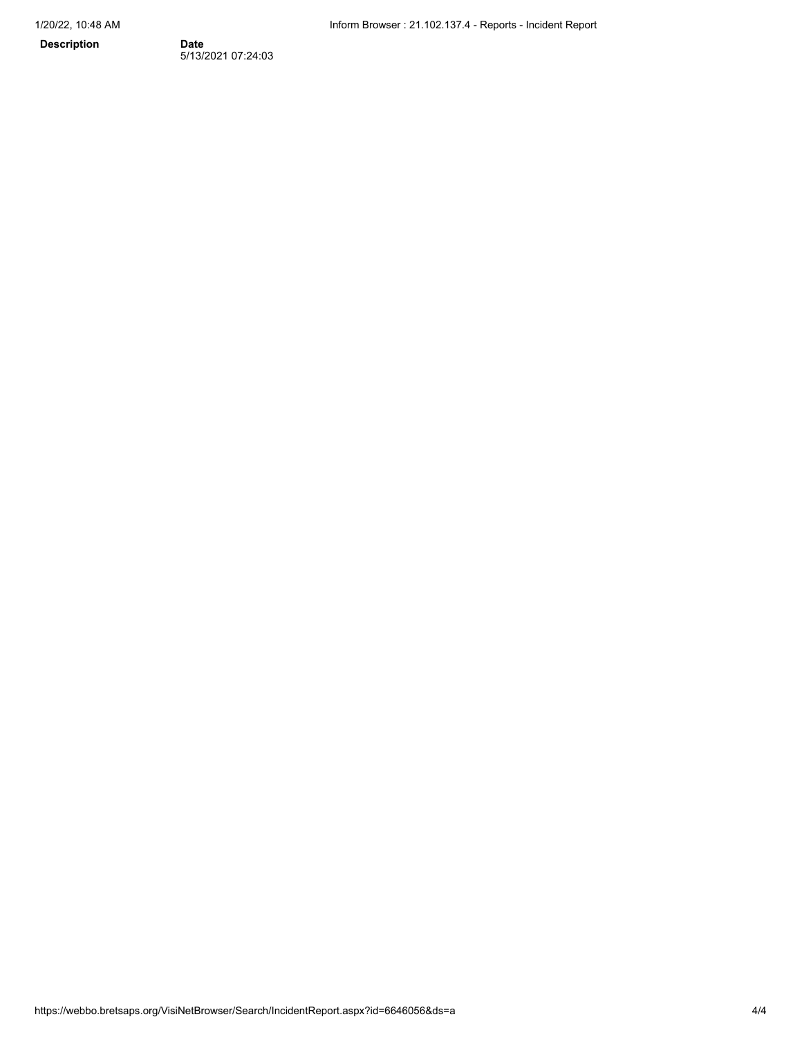**Description** 

Date<br>5/13/2021 07:24:03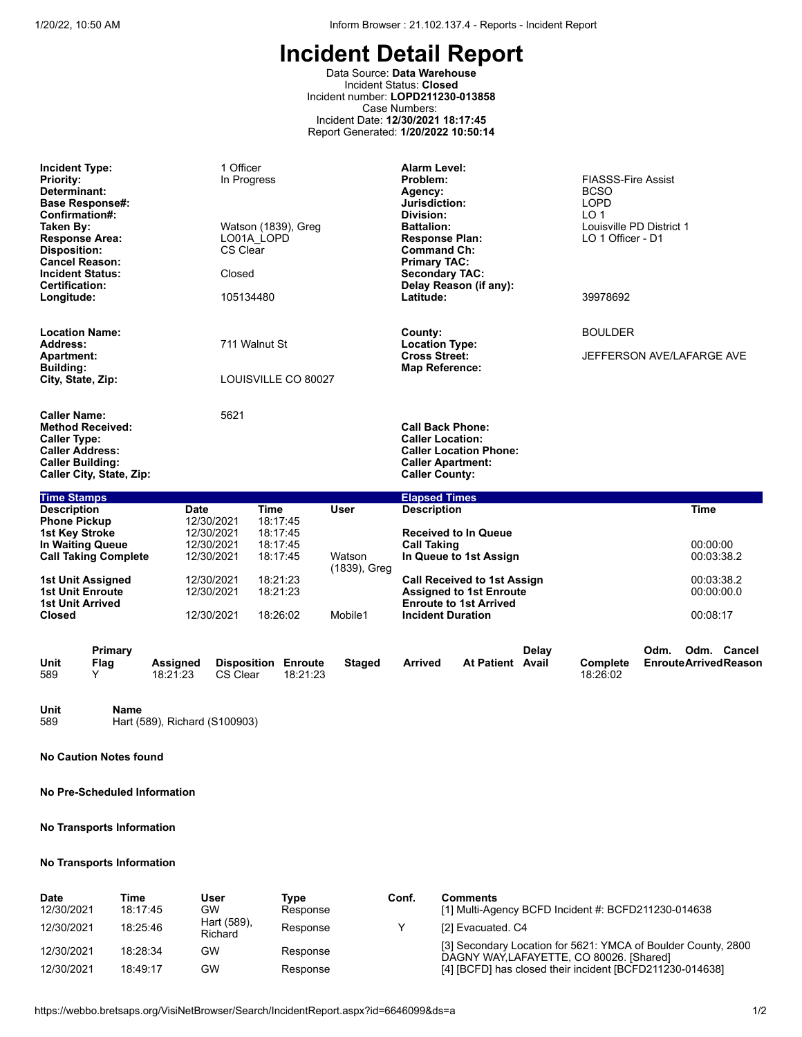Data Source: **Data Warehouse** Incident Status: **Closed** Incident number: **LOPD211230-013858** Case Numbers: Incident Date: **12/30/2021 18:17:45** Report Generated: **1/20/2022 10:50:14**

| <b>Incident Type:</b><br><b>Priority:</b><br>Determinant:<br><b>Base Response#:</b><br>Confirmation#:<br>Taken By:<br><b>Response Area:</b><br><b>Disposition:</b><br><b>Cancel Reason:</b><br><b>Incident Status:</b><br><b>Certification:</b><br>Longitude: | 1 Officer<br>In Progress<br>Watson (1839), Greg<br>LO01A LOPD<br>CS Clear<br>Closed<br>105134480 |                                                             |          |                         | <b>Alarm Level:</b><br>Problem:<br>Agency:<br>Jurisdiction:<br>Division:<br><b>Battalion:</b><br><b>Response Plan:</b><br><b>Command Ch:</b><br><b>Primary TAC:</b><br><b>Secondary TAC:</b><br>Delay Reason (if any):<br>Latitude: |                                                                                                       |       | <b>FIASSS-Fire Assist</b><br><b>BCSO</b><br><b>LOPD</b><br>LO <sub>1</sub><br>Louisville PD District 1<br>LO 1 Officer - D1<br>39978692 |      |                                       |                                            |
|---------------------------------------------------------------------------------------------------------------------------------------------------------------------------------------------------------------------------------------------------------------|--------------------------------------------------------------------------------------------------|-------------------------------------------------------------|----------|-------------------------|-------------------------------------------------------------------------------------------------------------------------------------------------------------------------------------------------------------------------------------|-------------------------------------------------------------------------------------------------------|-------|-----------------------------------------------------------------------------------------------------------------------------------------|------|---------------------------------------|--------------------------------------------|
| <b>Location Name:</b>                                                                                                                                                                                                                                         |                                                                                                  |                                                             |          |                         | County:                                                                                                                                                                                                                             |                                                                                                       |       | <b>BOULDER</b>                                                                                                                          |      |                                       |                                            |
| Address:<br><b>Apartment:</b>                                                                                                                                                                                                                                 |                                                                                                  | 711 Walnut St                                               |          |                         | <b>Location Type:</b><br><b>Cross Street:</b>                                                                                                                                                                                       |                                                                                                       |       | JEFFERSON AVE/LAFARGE AVE                                                                                                               |      |                                       |                                            |
| <b>Building:</b><br>City, State, Zip:                                                                                                                                                                                                                         |                                                                                                  | LOUISVILLE CO 80027                                         |          |                         | <b>Map Reference:</b>                                                                                                                                                                                                               |                                                                                                       |       |                                                                                                                                         |      |                                       |                                            |
| <b>Caller Name:</b><br><b>Method Received:</b><br><b>Caller Type:</b><br><b>Caller Address:</b><br><b>Caller Building:</b><br>Caller City, State, Zip:                                                                                                        |                                                                                                  | 5621                                                        |          |                         | <b>Call Back Phone:</b><br><b>Caller Location:</b><br><b>Caller Apartment:</b><br><b>Caller County:</b>                                                                                                                             | <b>Caller Location Phone:</b>                                                                         |       |                                                                                                                                         |      |                                       |                                            |
| <b>Time Stamps</b>                                                                                                                                                                                                                                            |                                                                                                  |                                                             |          |                         | <b>Elapsed Times</b>                                                                                                                                                                                                                |                                                                                                       |       |                                                                                                                                         |      |                                       |                                            |
| <b>Description</b><br><b>Phone Pickup</b><br><b>1st Key Stroke</b><br>In Waiting Queue<br><b>Call Taking Complete</b>                                                                                                                                         | Date<br>12/30/2021<br>12/30/2021<br>12/30/2021<br>12/30/2021                                     | <b>Time</b><br>18:17:45<br>18:17:45<br>18:17:45<br>18:17:45 |          | <b>User</b><br>Watson   | <b>Description</b><br><b>Call Taking</b>                                                                                                                                                                                            | <b>Received to In Queue</b><br>In Queue to 1st Assign                                                 |       |                                                                                                                                         |      | <b>Time</b><br>00:00:00<br>00:03:38.2 |                                            |
| 1st Unit Assigned<br><b>1st Unit Enroute</b><br><b>1st Unit Arrived</b><br><b>Closed</b>                                                                                                                                                                      | 12/30/2021<br>12/30/2021<br>12/30/2021                                                           | 18:21:23<br>18:21:23<br>18:26:02                            |          | (1839), Greg<br>Mobile1 | <b>Incident Duration</b>                                                                                                                                                                                                            | <b>Call Received to 1st Assign</b><br><b>Assigned to 1st Enroute</b><br><b>Enroute to 1st Arrived</b> |       |                                                                                                                                         |      | 00:03:38.2<br>00:00:00.0<br>00:08:17  |                                            |
| Primary<br>Unit<br>Flag<br>589<br>Y                                                                                                                                                                                                                           | <b>Assigned</b><br>18:21:23                                                                      | <b>Disposition Enroute</b><br>CS Clear                      | 18:21:23 | <b>Staged</b>           | <b>Arrived</b>                                                                                                                                                                                                                      | At Patient Avail                                                                                      | Delav | Complete<br>18:26:02                                                                                                                    | Odm. |                                       | Odm. Cancel<br><b>EnrouteArrivedReason</b> |

**Unit Name**<br>589 **Hart** (5 Hart (589), Richard (S100903)

**No Caution Notes found**

**No Pre-Scheduled Information**

#### **No Transports Information**

#### **No Transports Information**

| Date       | Time     | User                   | Tvpe     | Conf. | Comments                                                                                                  |
|------------|----------|------------------------|----------|-------|-----------------------------------------------------------------------------------------------------------|
| 12/30/2021 | 18:17:45 | GW                     | Response |       | [1] Multi-Agency BCFD Incident #: BCFD211230-014638                                                       |
| 12/30/2021 | 18.25.46 | Hart (589),<br>Richard | Response |       | [2] Evacuated, C4                                                                                         |
| 12/30/2021 | 18:28:34 | GW                     | Response |       | [3] Secondary Location for 5621: YMCA of Boulder County, 2800<br>DAGNY WAY, LAFAYETTE, CO 80026. [Shared] |
| 12/30/2021 | 18:49:17 | GW                     | Response |       | [4] [BCFD] has closed their incident [BCFD211230-014638]                                                  |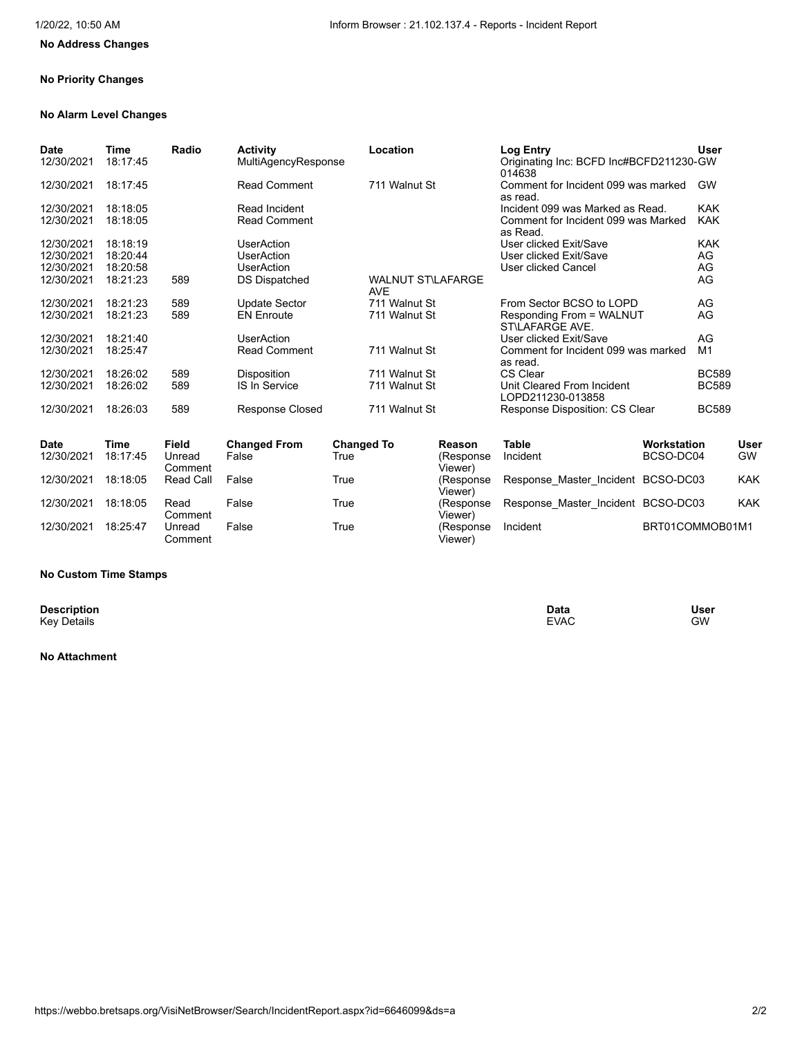# **No Address Changes**

#### **No Priority Changes**

### **No Alarm Level Changes**

| <b>Date</b><br>12/30/2021 | Time<br>18:17:45 | Radio        | <b>Activity</b><br>MultiAgencyResponse | Location                        | Log Entry<br>014638                             | User<br>Originating Inc: BCFD Inc#BCFD211230-GW   |      |
|---------------------------|------------------|--------------|----------------------------------------|---------------------------------|-------------------------------------------------|---------------------------------------------------|------|
| 12/30/2021                | 18:17:45         |              | <b>Read Comment</b>                    | 711 Walnut St                   | as read.                                        | Comment for Incident 099 was marked<br><b>GW</b>  |      |
| 12/30/2021                | 18:18:05         |              | Read Incident                          |                                 | Incident 099 was Marked as Read.                | <b>KAK</b>                                        |      |
| 12/30/2021                | 18:18:05         |              | <b>Read Comment</b>                    |                                 | as Read.                                        | <b>KAK</b><br>Comment for Incident 099 was Marked |      |
| 12/30/2021                | 18:18:19         |              | UserAction                             |                                 | User clicked Exit/Save                          | <b>KAK</b>                                        |      |
| 12/30/2021                | 18:20:44         |              | <b>UserAction</b>                      |                                 | User clicked Exit/Save                          | AG                                                |      |
| 12/30/2021                | 18:20:58         |              | <b>UserAction</b>                      |                                 | <b>User clicked Cancel</b>                      | AG                                                |      |
| 12/30/2021                | 18:21:23         | 589          | DS Dispatched                          | <b>WALNUT ST\LAFARGE</b><br>AVE |                                                 | AG                                                |      |
| 12/30/2021                | 18:21:23         | 589          | Update Sector                          | 711 Walnut St                   | From Sector BCSO to LOPD                        | AG                                                |      |
| 12/30/2021                | 18:21:23         | 589          | <b>EN Enroute</b>                      | 711 Walnut St                   | Responding From = WALNUT<br>ST\LAFARGE AVE.     | AG                                                |      |
| 12/30/2021                | 18:21:40         |              | <b>UserAction</b>                      |                                 | User clicked Exit/Save                          | AG                                                |      |
| 12/30/2021                | 18:25:47         |              | <b>Read Comment</b>                    | 711 Walnut St                   | as read.                                        | M1<br>Comment for Incident 099 was marked         |      |
| 12/30/2021                | 18:26:02         | 589          | <b>Disposition</b>                     | 711 Walnut St                   | CS Clear                                        | <b>BC589</b>                                      |      |
| 12/30/2021                | 18:26:02         | 589          | <b>IS In Service</b>                   | 711 Walnut St                   | Unit Cleared From Incident<br>LOPD211230-013858 | <b>BC589</b>                                      |      |
| 12/30/2021                | 18:26:03         | 589          | <b>Response Closed</b>                 | 711 Walnut St                   | Response Disposition: CS Clear                  | <b>BC589</b>                                      |      |
| <b>Date</b>               | Time             | <b>Field</b> | <b>Changed From</b>                    | <b>Changed To</b>               | <b>Table</b><br>Reason                          | Workstation                                       | User |

| Date<br>12/30/2021 | ı ıme<br>18:17:45 | гіеіа<br>Unread<br>Comment | ∪nangeg From<br>False | changed to<br>True | Reason<br>(Response<br>Viewer) | таріе<br>Incident                  | <i>v</i> orkstation<br>BCSO-DC04 | user<br><b>GW</b> |
|--------------------|-------------------|----------------------------|-----------------------|--------------------|--------------------------------|------------------------------------|----------------------------------|-------------------|
| 12/30/2021         | 18:18:05          | Read Call                  | False                 | True               | (Response<br>Viewer)           | Response Master Incident BCSO-DC03 |                                  | <b>KAK</b>        |
| 12/30/2021         | 18:18:05          | Read<br>Comment            | False                 | True               | (Response)<br>Viewer)          | Response Master Incident BCSO-DC03 |                                  | <b>KAK</b>        |
| 12/30/2021         | 18:25:47          | Unread<br>Comment          | False                 | True               | (Response<br>Viewer)           | Incident                           | BRT01COMMOB01M1                  |                   |

#### **No Custom Time Stamps**

**Description**<br>Key Details

**Description Data User** Key Details EVAC GW

### **No Attachment**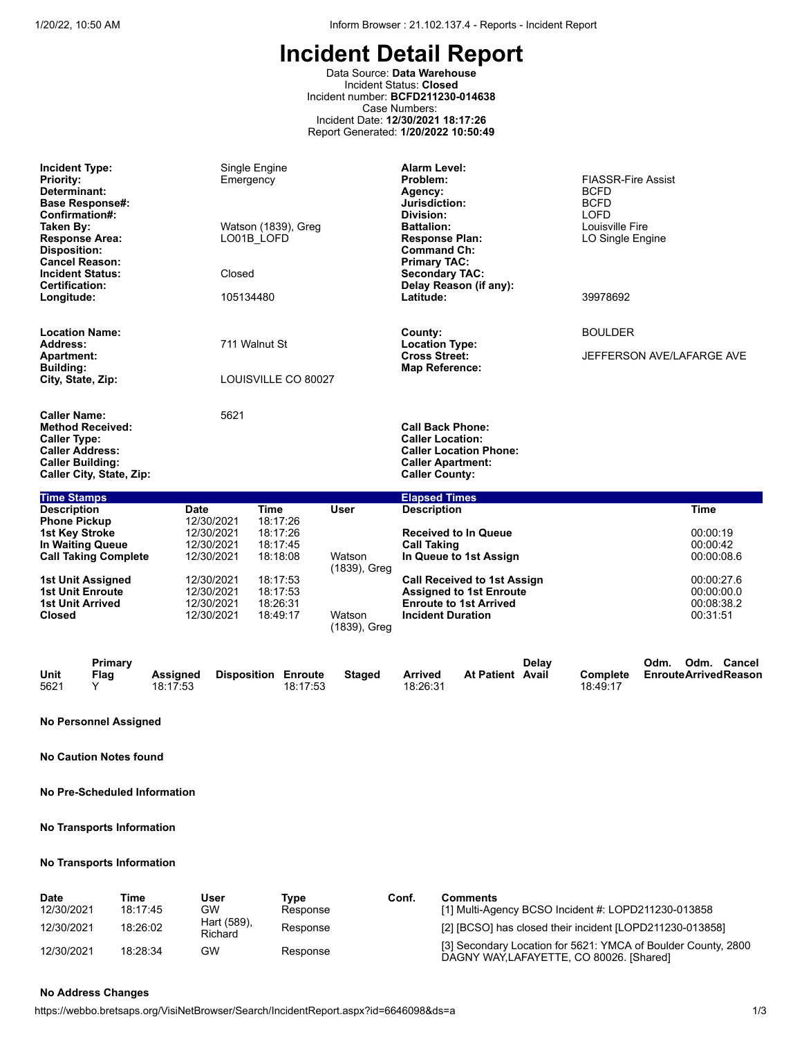Data Source: **Data Warehouse** Incident Status: **Closed** Incident number: **BCFD211230-014638** Case Numbers: Incident Date: **12/30/2021 18:17:26** Report Generated: **1/20/2022 10:50:49**

| <b>Incident Type:</b><br><b>Priority:</b><br>Determinant:<br><b>Base Response#:</b><br>Confirmation#:<br>Taken By:<br><b>Response Area:</b><br><b>Disposition:</b><br><b>Cancel Reason:</b><br><b>Incident Status:</b><br><b>Certification:</b> | Emergency<br>Closed                                                 | Single Engine<br>Watson (1839), Greg<br>LO01B LOFD          |                        | <b>Alarm Level:</b><br>Problem:<br>Agency:<br>Jurisdiction:<br>Division:<br><b>Battalion:</b><br><b>Response Plan:</b><br><b>Command Ch:</b><br><b>Primary TAC:</b><br><b>Secondary TAC:</b><br>Delay Reason (if any): | <b>FIASSR-Fire Assist</b><br><b>BCFD</b><br><b>BCFD</b><br><b>LOFD</b><br>Louisville Fire<br>LO Single Engine |
|-------------------------------------------------------------------------------------------------------------------------------------------------------------------------------------------------------------------------------------------------|---------------------------------------------------------------------|-------------------------------------------------------------|------------------------|------------------------------------------------------------------------------------------------------------------------------------------------------------------------------------------------------------------------|---------------------------------------------------------------------------------------------------------------|
| Longitude:                                                                                                                                                                                                                                      | 105134480                                                           |                                                             |                        | Latitude:                                                                                                                                                                                                              | 39978692                                                                                                      |
| <b>Location Name:</b><br>Address:                                                                                                                                                                                                               |                                                                     | 711 Walnut St                                               |                        | County:<br><b>Location Type:</b>                                                                                                                                                                                       | <b>BOULDER</b>                                                                                                |
| <b>Apartment:</b><br><b>Building:</b><br>City, State, Zip:                                                                                                                                                                                      |                                                                     | LOUISVILLE CO 80027                                         |                        | <b>Cross Street:</b><br><b>Map Reference:</b>                                                                                                                                                                          | JEFFERSON AVE/LAFARGE AVE                                                                                     |
| <b>Caller Name:</b><br><b>Method Received:</b><br><b>Caller Type:</b><br><b>Caller Address:</b><br><b>Caller Building:</b><br>Caller City, State, Zip:                                                                                          | 5621                                                                |                                                             |                        | <b>Call Back Phone:</b><br><b>Caller Location:</b><br><b>Caller Location Phone:</b><br><b>Caller Apartment:</b><br><b>Caller County:</b>                                                                               |                                                                                                               |
| <b>Time Stamps</b>                                                                                                                                                                                                                              |                                                                     |                                                             |                        | <b>Elapsed Times</b>                                                                                                                                                                                                   |                                                                                                               |
| <b>Description</b><br><b>Phone Pickup</b><br><b>1st Key Stroke</b><br><b>In Waiting Queue</b><br><b>Call Taking Complete</b>                                                                                                                    | <b>Date</b><br>12/30/2021<br>12/30/2021<br>12/30/2021<br>12/30/2021 | <b>Time</b><br>18:17:26<br>18:17:26<br>18:17:45<br>18:18:08 | <b>User</b><br>Watson  | <b>Description</b><br><b>Received to In Queue</b><br><b>Call Taking</b><br>In Queue to 1st Assign                                                                                                                      | <b>Time</b><br>00:00:19<br>00:00:42<br>00:00:08.6                                                             |
| 1st Unit Assigned<br><b>1st Unit Enroute</b><br><b>1st Unit Arrived</b><br><b>Closed</b>                                                                                                                                                        | 12/30/2021<br>12/30/2021<br>12/30/2021<br>12/30/2021                | 18:17:53<br>18:17:53<br>18:26:31<br>18:49:17                | (1839), Greg<br>Watson | <b>Call Received to 1st Assign</b><br><b>Assigned to 1st Enroute</b><br><b>Enroute to 1st Arrived</b><br><b>Incident Duration</b>                                                                                      | 00:00:27.6<br>00:00:00.0<br>00:08:38.2<br>00:31:51                                                            |

|      | Primarv |                 |                            |          |        |                |                  | Delav |                 | Odm. | Odm. | Cancel                      |
|------|---------|-----------------|----------------------------|----------|--------|----------------|------------------|-------|-----------------|------|------|-----------------------------|
| Unit | Flag    | <b>Assigned</b> | <b>Disposition Enroute</b> |          | Staged | <b>Arrived</b> | At Patient Avail |       | <b>Complete</b> |      |      | <b>EnrouteArrivedReason</b> |
| 5621 |         | 18:17:53        |                            | 18:17:53 |        | 18:26:31       |                  |       | 18:49:17        |      |      |                             |

(1839), Greg

**No Personnel Assigned**

**No Caution Notes found**

**No Pre-Scheduled Information**

#### **No Transports Information**

#### **No Transports Information**

| Date       | Time     | User                          | Tvpe     | Conf. | Comments                                                                                                  |
|------------|----------|-------------------------------|----------|-------|-----------------------------------------------------------------------------------------------------------|
| 12/30/2021 | 18:17:45 | <b>GW</b>                     | Response |       | [1] Multi-Agency BCSO Incident #: LOPD211230-013858                                                       |
| 12/30/2021 | 18:26:02 | Hart (589),<br><b>Richard</b> | Response |       | [2] [BCSO] has closed their incident [LOPD211230-013858]                                                  |
| 12/30/2021 | 18:28:34 | <b>GW</b>                     | Response |       | [3] Secondary Location for 5621: YMCA of Boulder County, 2800<br>DAGNY WAY, LAFAYETTE, CO 80026. [Shared] |

#### **No Address Changes**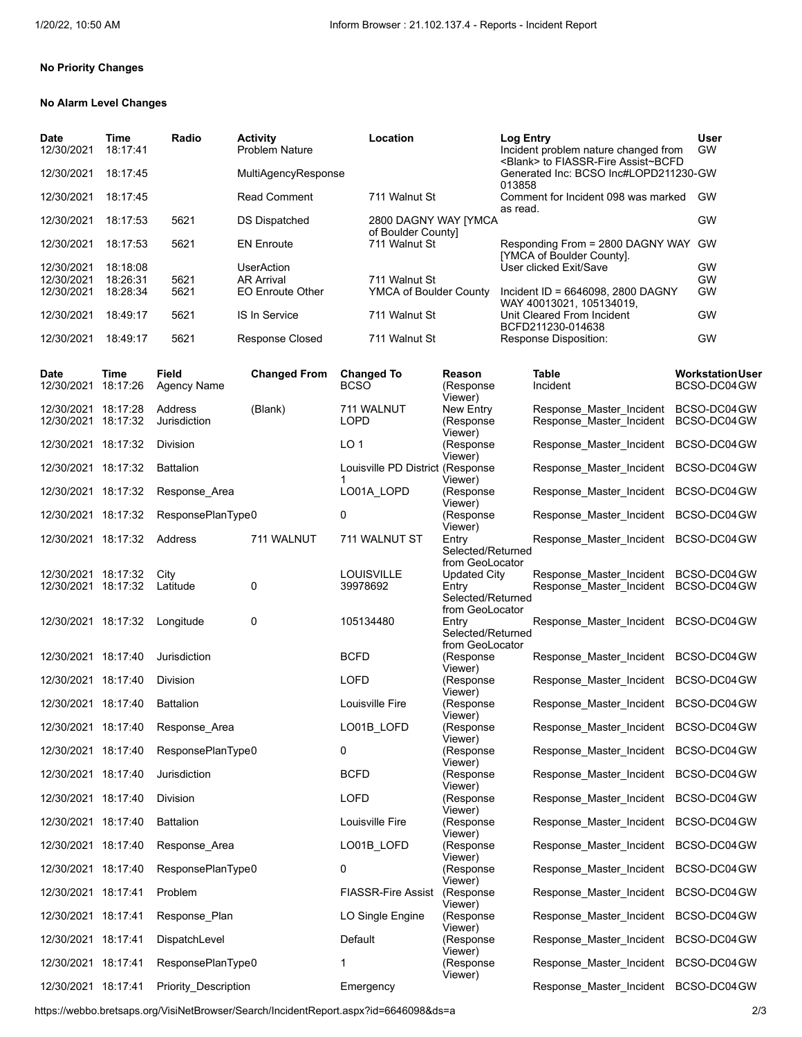#### **No Priority Changes**

### **No Alarm Level Changes**

| Date<br>12/30/2021 | Time<br>18:17:41 | Radio | <b>Activity</b><br><b>Problem Nature</b> | Location                                   | <b>Log Entry</b><br>Incident problem nature changed from<br><blank> to FIASSR-Fire Assist~BCFD</blank> | <b>User</b><br>GW |
|--------------------|------------------|-------|------------------------------------------|--------------------------------------------|--------------------------------------------------------------------------------------------------------|-------------------|
| 12/30/2021         | 18:17:45         |       | MultiAgencyResponse                      |                                            | Generated Inc: BCSO Inc#LOPD211230-GW<br>013858                                                        |                   |
| 12/30/2021         | 18:17:45         |       | <b>Read Comment</b>                      | 711 Walnut St                              | Comment for Incident 098 was marked<br>as read.                                                        | GW                |
| 12/30/2021         | 18:17:53         | 5621  | <b>DS Dispatched</b>                     | 2800 DAGNY WAY [YMCA<br>of Boulder County] |                                                                                                        | GW                |
| 12/30/2021         | 18:17:53         | 5621  | <b>EN Enroute</b>                        | 711 Walnut St                              | Responding From = 2800 DAGNY WAY<br>[YMCA of Boulder County].                                          | GW                |
| 12/30/2021         | 18:18:08         |       | <b>UserAction</b>                        |                                            | User clicked Exit/Save                                                                                 | GW                |
| 12/30/2021         | 18:26:31         | 5621  | <b>AR Arrival</b>                        | 711 Walnut St                              |                                                                                                        | GW                |
| 12/30/2021         | 18:28:34         | 5621  | <b>EO Enroute Other</b>                  | YMCA of Boulder County                     | Incident ID = 6646098, 2800 DAGNY<br>WAY 40013021, 105134019.                                          | <b>GW</b>         |
| 12/30/2021         | 18:49:17         | 5621  | <b>IS In Service</b>                     | 711 Walnut St                              | Unit Cleared From Incident<br>BCFD211230-014638                                                        | GW                |
| 12/30/2021         | 18:49:17         | 5621  | <b>Response Closed</b>                   | 711 Walnut St                              | Response Disposition:                                                                                  | GW                |

| Date<br>12/30/2021                         | Time<br>18:17:26 | Field<br>Agency Name    | <b>Changed From</b> | <b>Changed To</b><br><b>BCSO</b> | Reason<br>(Response<br>Viewer)                                | <b>Table</b><br>Incident                                         | <b>WorkstationUser</b><br>BCSO-DC04 GW |
|--------------------------------------------|------------------|-------------------------|---------------------|----------------------------------|---------------------------------------------------------------|------------------------------------------------------------------|----------------------------------------|
| 12/30/2021 18:17:28<br>12/30/2021 18:17:32 |                  | Address<br>Jurisdiction | (Blank)             | 711 WALNUT<br><b>LOPD</b>        | New Entry<br>(Response                                        | Response Master Incident<br>Response Master Incident             | BCSO-DC04 GW<br>BCSO-DC04GW            |
| 12/30/2021 18:17:32                        |                  | <b>Division</b>         |                     | LO <sub>1</sub>                  | Viewer)<br>(Response<br>Viewer)                               | Response_Master_Incident BCSO-DC04GW                             |                                        |
| 12/30/2021 18:17:32                        |                  | <b>Battalion</b>        |                     | Louisville PD District (Response | Viewer)                                                       | Response_Master_Incident BCSO-DC04GW                             |                                        |
| 12/30/2021 18:17:32                        |                  | Response Area           |                     | LO01A_LOPD                       | (Response<br>Viewer)                                          | Response_Master_Incident BCSO-DC04GW                             |                                        |
| 12/30/2021 18:17:32                        |                  | ResponsePlanType0       |                     | 0                                | (Response<br>Viewer)                                          | Response Master Incident                                         | BCSO-DC04GW                            |
| 12/30/2021 18:17:32                        |                  | Address                 | 711 WALNUT          | 711 WALNUT ST                    | Entry<br>Selected/Returned<br>from GeoLocator                 | Response_Master_Incident BCSO-DC04GW                             |                                        |
| 12/30/2021 18:17:32<br>12/30/2021 18:17:32 |                  | City<br>Latitude        | 0                   | <b>LOUISVILLE</b><br>39978692    | Updated City<br>Entry<br>Selected/Returned<br>from GeoLocator | Response Master Incident<br>Response Master Incident BCSO-DC04GW | BCSO-DC04 GW                           |
| 12/30/2021 18:17:32                        |                  | Longitude               | 0                   | 105134480                        | Entry<br>Selected/Returned                                    | Response Master Incident BCSO-DC04GW                             |                                        |
| 12/30/2021 18:17:40                        |                  | Jurisdiction            |                     | <b>BCFD</b>                      | from GeoLocator<br>(Response<br>Viewer)                       | Response_Master_Incident BCSO-DC04GW                             |                                        |
| 12/30/2021 18:17:40                        |                  | Division                |                     | <b>LOFD</b>                      | (Response<br>Viewer)                                          | Response_Master_Incident BCSO-DC04GW                             |                                        |
| 12/30/2021 18:17:40                        |                  | <b>Battalion</b>        |                     | Louisville Fire                  | (Response<br>Viewer)                                          | Response Master Incident                                         | BCSO-DC04GW                            |
| 12/30/2021 18:17:40                        |                  | Response Area           |                     | LO01B_LOFD                       | (Response<br>Viewer)                                          | Response_Master_Incident BCSO-DC04GW                             |                                        |
| 12/30/2021 18:17:40                        |                  | ResponsePlanType0       |                     | 0                                | (Response<br>Viewer)                                          | Response Master Incident                                         | BCSO-DC04GW                            |
| 12/30/2021 18:17:40                        |                  | Jurisdiction            |                     | <b>BCFD</b>                      | (Response<br>Viewer)                                          | Response_Master_Incident BCSO-DC04GW                             |                                        |
| 12/30/2021 18:17:40                        |                  | Division                |                     | <b>LOFD</b>                      | (Response<br>Viewer)                                          | Response Master Incident BCSO-DC04GW                             |                                        |
| 12/30/2021 18:17:40                        |                  | <b>Battalion</b>        |                     | Louisville Fire                  | (Response<br>Viewer)                                          | Response_Master_Incident                                         | BCSO-DC04GW                            |
| 12/30/2021 18:17:40                        |                  | Response Area           |                     | LO01B LOFD                       | (Response<br>Viewer)                                          | Response Master Incident                                         | BCSO-DC04GW                            |
| 12/30/2021 18:17:40                        |                  | ResponsePlanType0       |                     | $\Omega$                         | (Response<br>Viewer)                                          | Response Master Incident                                         | BCSO-DC04GW                            |
| 12/30/2021 18:17:41                        |                  | Problem                 |                     | <b>FIASSR-Fire Assist</b>        | (Response<br>Viewer)                                          | Response Master Incident                                         | BCSO-DC04GW                            |
| 12/30/2021 18:17:41                        |                  | Response Plan           |                     | LO Single Engine                 | (Response<br>Viewer)                                          | Response_Master_Incident BCSO-DC04GW                             |                                        |
| 12/30/2021 18:17:41                        |                  | DispatchLevel           |                     | Default                          | (Response<br>Viewer)                                          | Response_Master_Incident BCSO-DC04GW                             |                                        |
| 12/30/2021 18:17:41                        |                  | ResponsePlanType0       |                     | 1                                | (Response<br>Viewer)                                          | Response_Master_Incident BCSO-DC04GW                             |                                        |
| 12/30/2021 18:17:41                        |                  | Priority_Description    |                     | Emergency                        |                                                               | Response_Master_Incident BCSO-DC04GW                             |                                        |

https://webbo.bretsaps.org/VisiNetBrowser/Search/IncidentReport.aspx?id=6646098&ds=a 2/3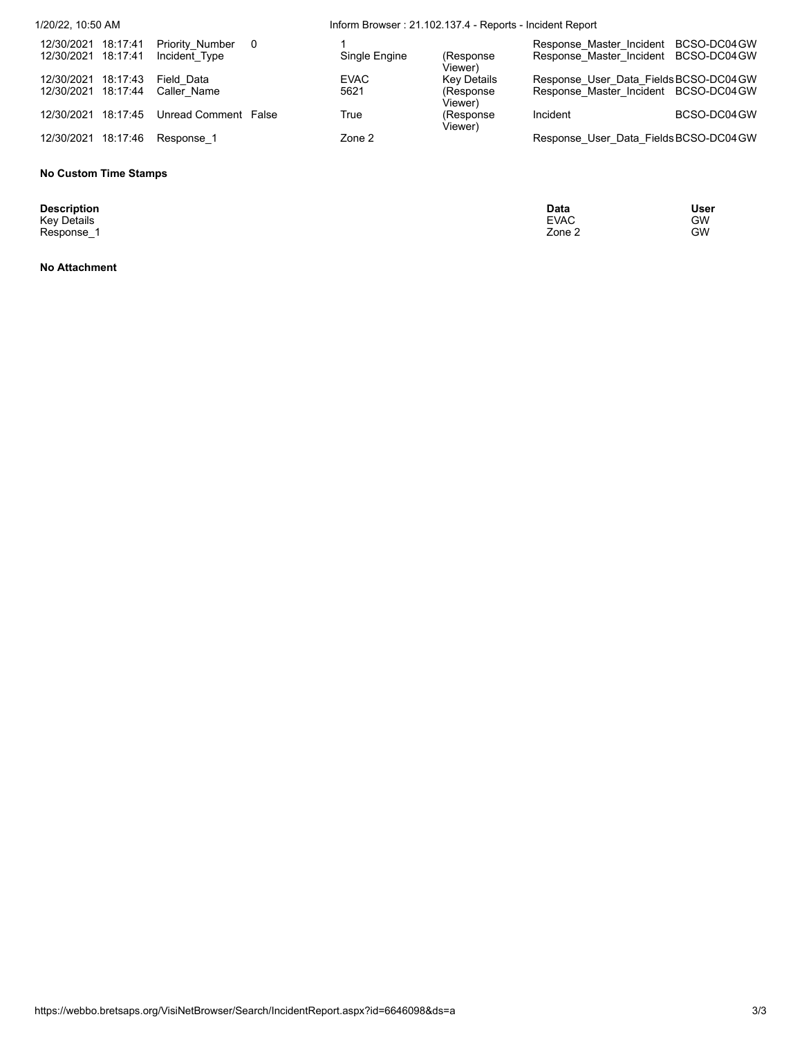| 1/20/22, 10:50 AM                             |                                  |                | Inform Browser: 21.102.137.4 - Reports - Incident Report |                                       |                                                                                |              |  |
|-----------------------------------------------|----------------------------------|----------------|----------------------------------------------------------|---------------------------------------|--------------------------------------------------------------------------------|--------------|--|
| 18:17:41<br>12/30/2021<br>12/30/2021 18:17:41 | Priority Number<br>Incident Type | $\overline{0}$ | Single Engine                                            | (Response)<br>Viewer).                | Response Master Incident BCSO-DC04GW<br>Response Master Incident BCSO-DC04GW   |              |  |
| 18:17:43<br>12/30/2021<br>12/30/2021 18:17:44 | Field Data<br>Caller Name        |                | <b>EVAC</b><br>5621                                      | Key Details<br>(Response)<br>Viewer). | Response User Data Fields BCSO-DC04 GW<br>Response Master Incident BCSO-DC04GW |              |  |
| 12/30/2021 18:17:45                           | Unread Comment False             |                | True                                                     | (Response)<br>Viewer)                 | Incident                                                                       | BCSO-DC04 GW |  |
| 18:17:46<br>12/30/2021                        | Response 1                       |                | Zone 2                                                   |                                       | Response User Data Fields BCSO-DC04 GW                                         |              |  |

## **No Custom Time Stamps**

**Description**<br>Key Details<br>Response\_1

**No Attachment**

**Description Data User** Key Details EVAC GW Response\_1 Zone 2 GW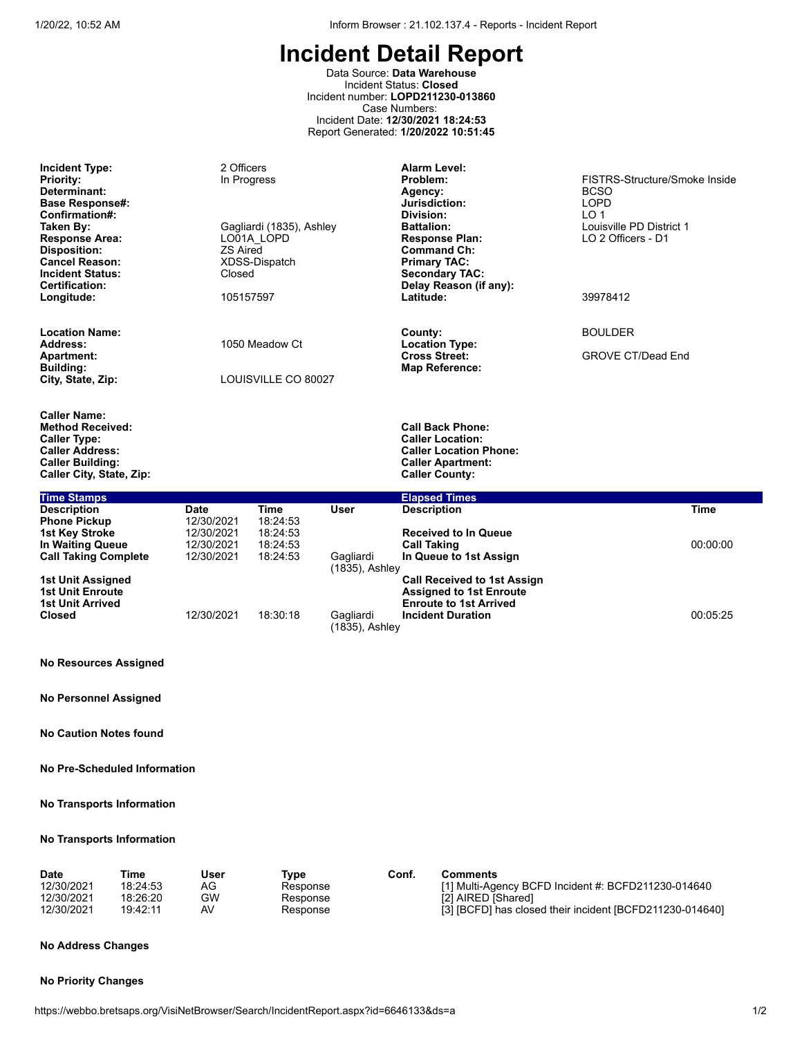Data Source: **Data Warehouse** Incident Status: **Closed** Incident number: **LOPD211230-013860** Case Numbers: Incident Date: **12/30/2021 18:24:53** Report Generated: **1/20/2022 10:51:45**

| <b>Incident Type:</b><br><b>Priority:</b><br>Determinant:<br><b>Base Response#:</b><br>Confirmation#:<br>Taken By:<br><b>Response Area:</b><br>Disposition:<br><b>Cancel Reason:</b><br><b>Incident Status:</b><br>Certification:<br>Longitude: | 2 Officers<br>In Progress<br><b>ZS Aired</b><br>Closed<br>105157597 | Gagliardi (1835), Ashley<br>LO01A LOPD<br>XDSS-Dispatch     |                                               | <b>Alarm Level:</b><br>Problem:<br>Agency:<br>Jurisdiction:<br>Division:<br><b>Battalion:</b><br><b>Response Plan:</b><br><b>Command Ch:</b><br><b>Primary TAC:</b><br><b>Secondary TAC:</b><br>Delay Reason (if any):<br>Latitude: | FISTRS-Structure/Smoke Inside<br><b>BCSO</b><br><b>LOPD</b><br>LO <sub>1</sub><br>Louisville PD District 1<br>LO 2 Officers - D1<br>39978412 |  |  |
|-------------------------------------------------------------------------------------------------------------------------------------------------------------------------------------------------------------------------------------------------|---------------------------------------------------------------------|-------------------------------------------------------------|-----------------------------------------------|-------------------------------------------------------------------------------------------------------------------------------------------------------------------------------------------------------------------------------------|----------------------------------------------------------------------------------------------------------------------------------------------|--|--|
| <b>Location Name:</b><br>Address:<br><b>Apartment:</b><br><b>Building:</b><br>City, State, Zip:                                                                                                                                                 | 1050 Meadow Ct<br>LOUISVILLE CO 80027                               |                                                             |                                               | County:<br><b>Location Type:</b><br><b>Cross Street:</b><br><b>Map Reference:</b>                                                                                                                                                   | <b>BOULDER</b><br><b>GROVE CT/Dead End</b>                                                                                                   |  |  |
| <b>Caller Name:</b><br><b>Method Received:</b><br><b>Caller Type:</b><br><b>Caller Address:</b><br><b>Caller Building:</b><br>Caller City, State, Zip:                                                                                          |                                                                     |                                                             |                                               | <b>Call Back Phone:</b><br><b>Caller Location:</b><br><b>Caller Location Phone:</b><br><b>Caller Apartment:</b><br><b>Caller County:</b>                                                                                            |                                                                                                                                              |  |  |
| <b>Time Stamps</b>                                                                                                                                                                                                                              |                                                                     |                                                             |                                               | <b>Elapsed Times</b>                                                                                                                                                                                                                |                                                                                                                                              |  |  |
| <b>Description</b><br><b>Phone Pickup</b><br>1st Key Stroke<br>In Waiting Queue<br><b>Call Taking Complete</b>                                                                                                                                  | <b>Date</b><br>12/30/2021<br>12/30/2021<br>12/30/2021<br>12/30/2021 | <b>Time</b><br>18:24:53<br>18:24:53<br>18:24:53<br>18:24:53 | User<br>Gagliardi                             | <b>Description</b><br><b>Received to In Queue</b><br><b>Call Taking</b><br>In Queue to 1st Assign                                                                                                                                   | <b>Time</b><br>00:00:00                                                                                                                      |  |  |
| <b>1st Unit Assigned</b><br><b>1st Unit Enroute</b><br><b>1st Unit Arrived</b><br><b>Closed</b>                                                                                                                                                 | 12/30/2021                                                          | 18:30:18                                                    | (1835), Ashley<br>Gagliardi<br>(1835), Ashley | <b>Call Received to 1st Assign</b><br><b>Assigned to 1st Enroute</b><br><b>Enroute to 1st Arrived</b><br><b>Incident Duration</b>                                                                                                   | 00:05:25                                                                                                                                     |  |  |
| <b>No Resources Assigned</b>                                                                                                                                                                                                                    |                                                                     |                                                             |                                               |                                                                                                                                                                                                                                     |                                                                                                                                              |  |  |
| <b>No Personnel Assigned</b>                                                                                                                                                                                                                    |                                                                     |                                                             |                                               |                                                                                                                                                                                                                                     |                                                                                                                                              |  |  |
| <b>No Caution Notes found</b>                                                                                                                                                                                                                   |                                                                     |                                                             |                                               |                                                                                                                                                                                                                                     |                                                                                                                                              |  |  |

**No Pre-Scheduled Information**

**No Transports Information**

#### **No Transports Information**

| <b>Date</b> | Time     | <b>User</b> | Tvpe     | Conf. | Comments                                                 |
|-------------|----------|-------------|----------|-------|----------------------------------------------------------|
| 12/30/2021  | 18:24:53 | AG          | Response |       | [1] Multi-Agency BCFD Incident #: BCFD211230-014640      |
| 12/30/2021  | 18:26:20 | GW          | Response |       | [2] AIRED [Shared]                                       |
| 12/30/2021  | 19:42:11 | AV          | Response |       | [3] [BCFD] has closed their incident [BCFD211230-014640] |

#### **No Address Changes**

### **No Priority Changes**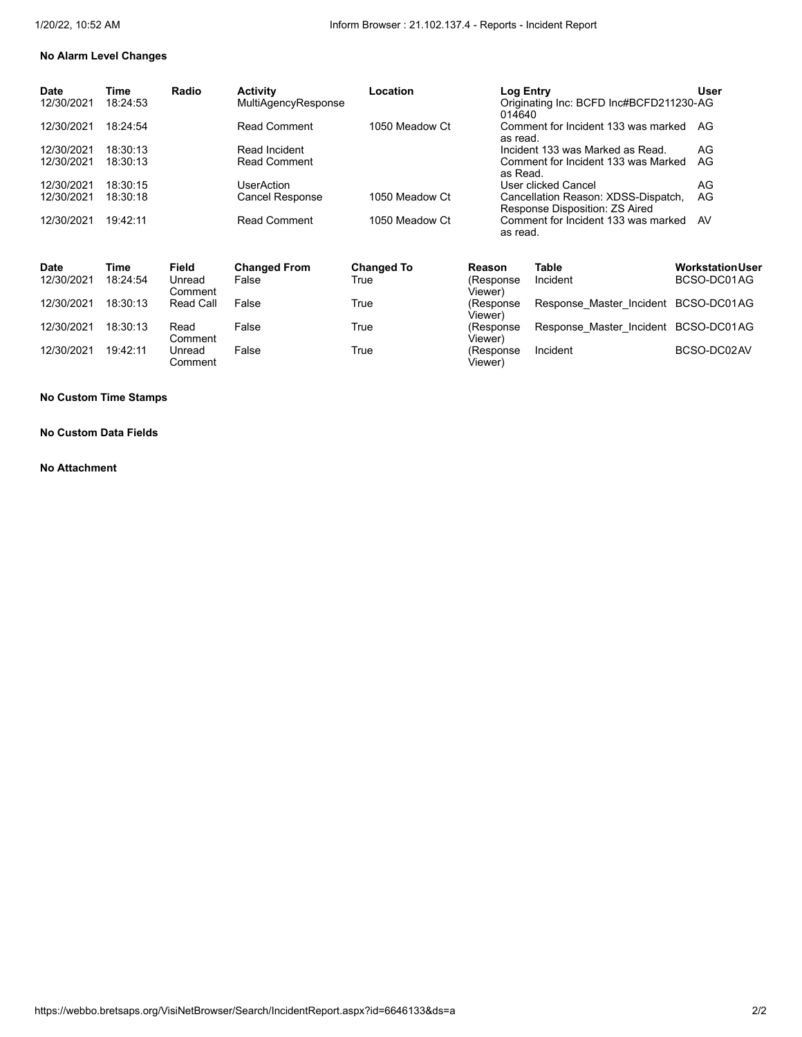# **No Alarm Level Changes**

| Time<br>18:24:53 | Radio | <b>Activity</b><br><b>MultiAgencyResponse</b> | Location       | Log Entry<br>014640                                                   | User                                    |
|------------------|-------|-----------------------------------------------|----------------|-----------------------------------------------------------------------|-----------------------------------------|
| 18.24.54         |       | <b>Read Comment</b>                           | 1050 Meadow Ct | Comment for Incident 133 was marked<br>as read.                       | AG                                      |
| 18:30:13         |       | Read Incident                                 |                | Incident 133 was Marked as Read.                                      | AG                                      |
| 18:30:13         |       | <b>Read Comment</b>                           |                | Comment for Incident 133 was Marked<br>as Read.                       | AG                                      |
| 18:30:15         |       | UserAction                                    |                | User clicked Cancel                                                   | AG                                      |
| 18:30:18         |       | Cancel Response                               | 1050 Meadow Ct | Cancellation Reason: XDSS-Dispatch,<br>Response Disposition: ZS Aired | AG                                      |
| 19.42:11         |       | Read Comment                                  | 1050 Meadow Ct | Comment for Incident 133 was marked<br>as read.                       | AV                                      |
|                  |       |                                               |                |                                                                       | Originating Inc: BCFD Inc#BCFD211230-AG |

| <b>Date</b> | Time     | <b>Field</b>      | <b>Changed From</b> | <b>Changed To</b> | Reason                | <b>Table</b>                         | WorkstationUser |
|-------------|----------|-------------------|---------------------|-------------------|-----------------------|--------------------------------------|-----------------|
| 12/30/2021  | 18:24:54 | Unread<br>Comment | False               | True              | (Response<br>Viewer)  | Incident                             | BCSO-DC01AG     |
| 12/30/2021  | 18:30:13 | Read Call         | False               | True              | (Response)<br>Viewer) | Response Master Incident BCSO-DC01AG |                 |
| 12/30/2021  | 18:30:13 | Read<br>Comment   | False               | True              | (Response<br>Viewer)  | Response Master Incident BCSO-DC01AG |                 |
| 12/30/2021  | 19:42:11 | Unread<br>Comment | False               | True              | (Response<br>Viewer)  | Incident                             | BCSO-DC02AV     |

### **No Custom Time Stamps**

### **No Custom Data Fields**

#### **No Attachment**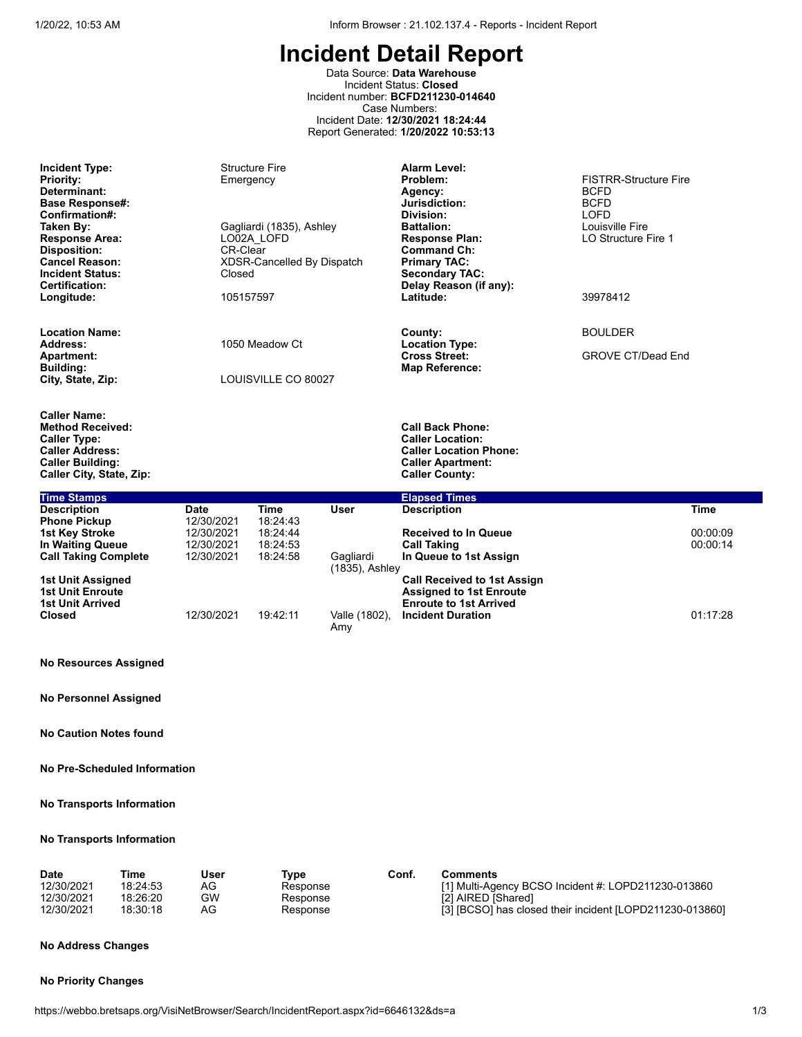Data Source: **Data Warehouse** Incident Status: **Closed** Incident number: **BCFD211230-014640** Case Numbers: Incident Date: **12/30/2021 18:24:44** Report Generated: **1/20/2022 10:53:13**

| <b>Incident Type:</b><br><b>Priority:</b><br>Determinant:<br><b>Base Response#:</b><br>Confirmation#:<br>Taken By:<br><b>Response Area:</b><br><b>Disposition:</b><br><b>Cancel Reason:</b><br><b>Incident Status:</b><br><b>Certification:</b><br>Longitude: | Emergency<br><b>CR-Clear</b><br>Closed<br>105157597 | <b>Structure Fire</b><br>Gagliardi (1835), Ashley<br>LO02A LOFD<br>XDSR-Cancelled By Dispatch |                             | <b>Alarm Level:</b><br>Problem:<br>Agency:<br>Jurisdiction:<br>Division:<br><b>Battalion:</b><br><b>Response Plan:</b><br><b>Command Ch:</b><br><b>Primary TAC:</b><br><b>Secondary TAC:</b><br>Delay Reason (if any):<br>Latitude: | <b>FISTRR-Structure Fire</b><br><b>BCFD</b><br><b>BCFD</b><br><b>LOFD</b><br>Louisville Fire<br>LO Structure Fire 1<br>39978412 |                      |
|---------------------------------------------------------------------------------------------------------------------------------------------------------------------------------------------------------------------------------------------------------------|-----------------------------------------------------|-----------------------------------------------------------------------------------------------|-----------------------------|-------------------------------------------------------------------------------------------------------------------------------------------------------------------------------------------------------------------------------------|---------------------------------------------------------------------------------------------------------------------------------|----------------------|
| <b>Location Name:</b>                                                                                                                                                                                                                                         |                                                     |                                                                                               |                             | County:                                                                                                                                                                                                                             | <b>BOULDER</b>                                                                                                                  |                      |
| Address:<br><b>Apartment:</b><br><b>Building:</b><br>City, State, Zip:                                                                                                                                                                                        |                                                     | 1050 Meadow Ct<br>LOUISVILLE CO 80027                                                         |                             | <b>Location Type:</b><br><b>Cross Street:</b><br><b>Map Reference:</b>                                                                                                                                                              | <b>GROVE CT/Dead End</b>                                                                                                        |                      |
| <b>Caller Name:</b><br><b>Method Received:</b><br><b>Caller Type:</b><br><b>Caller Address:</b><br><b>Caller Building:</b><br>Caller City, State, Zip:                                                                                                        |                                                     |                                                                                               |                             | <b>Call Back Phone:</b><br><b>Caller Location:</b><br><b>Caller Location Phone:</b><br><b>Caller Apartment:</b><br><b>Caller County:</b>                                                                                            |                                                                                                                                 |                      |
| <b>Time Stamps</b>                                                                                                                                                                                                                                            |                                                     |                                                                                               |                             | <b>Elapsed Times</b>                                                                                                                                                                                                                |                                                                                                                                 |                      |
| <b>Description</b><br><b>Phone Pickup</b>                                                                                                                                                                                                                     | <b>Date</b><br>12/30/2021                           | Time<br>18:24:43                                                                              | <b>User</b>                 | <b>Description</b>                                                                                                                                                                                                                  |                                                                                                                                 | <b>Time</b>          |
| <b>1st Key Stroke</b><br>In Waiting Queue<br><b>Call Taking Complete</b>                                                                                                                                                                                      | 12/30/2021<br>12/30/2021<br>12/30/2021              | 18:24:44<br>18:24:53<br>18:24:58                                                              | Gagliardi<br>(1835), Ashley | <b>Received to In Queue</b><br><b>Call Taking</b><br>In Queue to 1st Assign                                                                                                                                                         |                                                                                                                                 | 00:00:09<br>00:00:14 |
| 1st Unit Assigned<br><b>1st Unit Enroute</b><br><b>1st Unit Arrived</b>                                                                                                                                                                                       |                                                     |                                                                                               |                             | <b>Call Received to 1st Assign</b><br><b>Assigned to 1st Enroute</b><br><b>Enroute to 1st Arrived</b>                                                                                                                               |                                                                                                                                 |                      |
| <b>Closed</b>                                                                                                                                                                                                                                                 | 12/30/2021                                          | 19:42:11                                                                                      | Valle (1802),<br>Amy        | <b>Incident Duration</b>                                                                                                                                                                                                            |                                                                                                                                 | 01:17:28             |

#### **No Resources Assigned**

**No Personnel Assigned**

**No Caution Notes found**

**No Pre-Scheduled Information**

### **No Transports Information**

#### **No Transports Information**

| Time<br><b>Date</b><br>12/30/2021<br>12/30/2021<br>12/30/2021 | User<br>18:24:53<br>AG<br>GW<br>18:26:20<br>AG<br>18:30:18 | Tvpe<br>Response<br>Response<br>Response | Conf. | Comments<br>[1] Multi-Agency BCSO Incident $\#$ : LOPD211230-013860<br>[2] AIRED [Shared]<br>[3] [BCSO] has closed their incident [LOPD211230-013860] |
|---------------------------------------------------------------|------------------------------------------------------------|------------------------------------------|-------|-------------------------------------------------------------------------------------------------------------------------------------------------------|
|---------------------------------------------------------------|------------------------------------------------------------|------------------------------------------|-------|-------------------------------------------------------------------------------------------------------------------------------------------------------|

## **No Address Changes**

#### **No Priority Changes**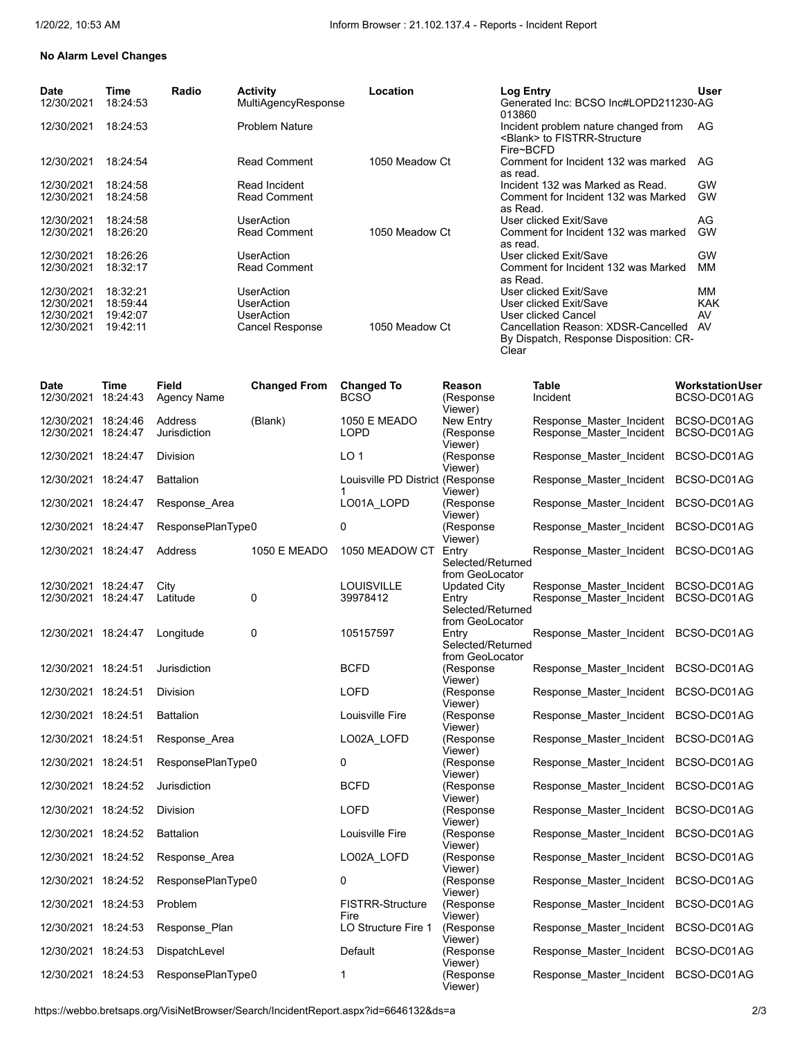### **No Alarm Level Changes**

| Date       | Time     | Radio | <b>Activity</b>       | Location       | Log Entry                              | User       |
|------------|----------|-------|-----------------------|----------------|----------------------------------------|------------|
| 12/30/2021 | 18:24:53 |       | MultiAgencyResponse   |                | Generated Inc: BCSO Inc#LOPD211230-AG  |            |
|            |          |       |                       |                | 013860                                 |            |
| 12/30/2021 | 18:24:53 |       | <b>Problem Nature</b> |                | Incident problem nature changed from   | AG         |
|            |          |       |                       |                | <blank> to FISTRR-Structure</blank>    |            |
|            |          |       |                       |                | Fire~BCFD                              |            |
| 12/30/2021 | 18:24:54 |       | <b>Read Comment</b>   | 1050 Meadow Ct | Comment for Incident 132 was marked    | AG         |
|            |          |       |                       |                | as read.                               |            |
| 12/30/2021 | 18:24:58 |       | Read Incident         |                | Incident 132 was Marked as Read.       | GW         |
| 12/30/2021 | 18:24:58 |       | <b>Read Comment</b>   |                | Comment for Incident 132 was Marked    | <b>GW</b>  |
|            |          |       |                       |                | as Read.                               |            |
| 12/30/2021 | 18:24:58 |       | <b>UserAction</b>     |                | User clicked Exit/Save                 | AG         |
| 12/30/2021 | 18:26:20 |       | <b>Read Comment</b>   | 1050 Meadow Ct | Comment for Incident 132 was marked    | GW         |
|            |          |       |                       |                | as read.                               |            |
| 12/30/2021 | 18:26:26 |       | <b>UserAction</b>     |                | User clicked Exit/Save                 | GW         |
| 12/30/2021 | 18:32:17 |       | <b>Read Comment</b>   |                | Comment for Incident 132 was Marked    | MM         |
|            |          |       |                       |                | as Read.                               |            |
| 12/30/2021 | 18:32:21 |       | UserAction            |                | User clicked Exit/Save                 | MМ         |
| 12/30/2021 | 18:59:44 |       | <b>UserAction</b>     |                | User clicked Exit/Save                 | <b>KAK</b> |
| 12/30/2021 | 19:42:07 |       | UserAction            |                | User clicked Cancel                    | AV         |
| 12/30/2021 | 19:42:11 |       | Cancel Response       | 1050 Meadow Ct | Cancellation Reason: XDSR-Cancelled    | AV         |
|            |          |       |                       |                | By Dispatch, Response Disposition: CR- |            |
|            |          |       |                       |                | Clear                                  |            |

| <b>Date</b><br>12/30/2021                  | Time<br>18:24:43 | <b>Field</b><br>Agency Name | <b>Changed From</b> | <b>Changed To</b><br><b>BCSO</b>      | Reason<br>(Response<br>Viewer)                                   | <b>Table</b><br>Incident                                                     | <b>Workstation User</b><br>BCSO-DC01AG |
|--------------------------------------------|------------------|-----------------------------|---------------------|---------------------------------------|------------------------------------------------------------------|------------------------------------------------------------------------------|----------------------------------------|
| 12/30/2021 18:24:46<br>12/30/2021 18:24:47 |                  | Address<br>Jurisdiction     | (Blank)             | <b>1050 E MEADO</b><br><b>LOPD</b>    | New Entry<br>(Response<br>Viewer)                                | Response Master Incident<br>Response_Master_Incident                         | BCSO-DC01AG<br>BCSO-DC01AG             |
| 12/30/2021 18:24:47                        |                  | <b>Division</b>             |                     | LO <sub>1</sub>                       | (Response<br>Viewer)                                             | Response Master Incident                                                     | BCSO-DC01AG                            |
| 12/30/2021 18:24:47                        |                  | <b>Battalion</b>            |                     | Louisville PD District (Response<br>1 | Viewer)                                                          | Response Master Incident BCSO-DC01AG                                         |                                        |
| 12/30/2021 18:24:47                        |                  | Response Area               |                     | LO01A LOPD                            | (Response<br>Viewer)                                             | Response_Master_Incident BCSO-DC01AG                                         |                                        |
| 12/30/2021 18:24:47                        |                  | ResponsePlanType0           |                     | 0                                     | (Response<br>Viewer)                                             | Response Master Incident                                                     | BCSO-DC01AG                            |
| 12/30/2021 18:24:47                        |                  | Address                     | <b>1050 E MEADO</b> | 1050 MEADOW CT                        | Entry<br>Selected/Returned                                       | Response_Master_Incident BCSO-DC01AG                                         |                                        |
| 12/30/2021 18:24:47<br>12/30/2021 18:24:47 |                  | City<br>Latitude            | 0                   | <b>LOUISVILLE</b><br>39978412         | from GeoLocator<br>Updated City<br>Entry<br>Selected/Returned    | Response_Master_Incident BCSO-DC01AG<br>Response_Master_Incident BCSO-DC01AG |                                        |
| 12/30/2021 18:24:47                        |                  | Longitude                   | 0                   | 105157597                             | from GeoLocator<br>Entry<br>Selected/Returned<br>from GeoLocator | Response Master Incident BCSO-DC01AG                                         |                                        |
| 12/30/2021 18:24:51                        |                  | Jurisdiction                |                     | <b>BCFD</b>                           | (Response<br>Viewer)                                             | Response Master Incident BCSO-DC01AG                                         |                                        |
| 12/30/2021 18:24:51                        |                  | Division                    |                     | LOFD                                  | (Response<br>Viewer)                                             | Response_Master_Incident BCSO-DC01AG                                         |                                        |
| 12/30/2021 18:24:51                        |                  | <b>Battalion</b>            |                     | Louisville Fire                       | (Response<br>Viewer)                                             | Response_Master_Incident BCSO-DC01AG                                         |                                        |
| 12/30/2021 18:24:51                        |                  | Response Area               |                     | LO02A_LOFD                            | (Response<br>Viewer)                                             | Response_Master_Incident BCSO-DC01AG                                         |                                        |
| 12/30/2021 18:24:51                        |                  | ResponsePlanType0           |                     | 0                                     | (Response<br>Viewer)                                             | Response_Master_Incident BCSO-DC01AG                                         |                                        |
| 12/30/2021 18:24:52                        |                  | Jurisdiction                |                     | <b>BCFD</b>                           | (Response<br>Viewer)                                             | Response Master Incident                                                     | BCSO-DC01AG                            |
| 12/30/2021 18:24:52                        |                  | <b>Division</b>             |                     | <b>LOFD</b>                           | (Response<br>Viewer)                                             | Response Master Incident BCSO-DC01AG                                         |                                        |
| 12/30/2021 18:24:52                        |                  | <b>Battalion</b>            |                     | Louisville Fire                       | (Response                                                        | Response_Master_Incident BCSO-DC01AG                                         |                                        |
| 12/30/2021 18:24:52                        |                  | Response Area               |                     | LO02A_LOFD                            | Viewer)<br>(Response                                             | Response Master Incident                                                     | BCSO-DC01AG                            |
| 12/30/2021 18:24:52                        |                  | ResponsePlanType0           |                     | 0                                     | Viewer)<br>(Response                                             | Response_Master_Incident BCSO-DC01AG                                         |                                        |
| 12/30/2021 18:24:53                        |                  | <b>Problem</b>              |                     | <b>FISTRR-Structure</b>               | Viewer)<br>(Response                                             | Response Master Incident                                                     | BCSO-DC01AG                            |
| 12/30/2021 18:24:53                        |                  | Response_Plan               |                     | Fire<br>LO Structure Fire 1           | Viewer)<br>(Response                                             | Response Master Incident                                                     | BCSO-DC01AG                            |
| 12/30/2021 18:24:53                        |                  | DispatchLevel               |                     | Default                               | Viewer)<br>(Response                                             | Response Master Incident                                                     | BCSO-DC01AG                            |
| 12/30/2021 18:24:53                        |                  | ResponsePlanType0           |                     | 1                                     | Viewer)<br>(Response<br>Viewer)                                  | Response_Master_Incident BCSO-DC01AG                                         |                                        |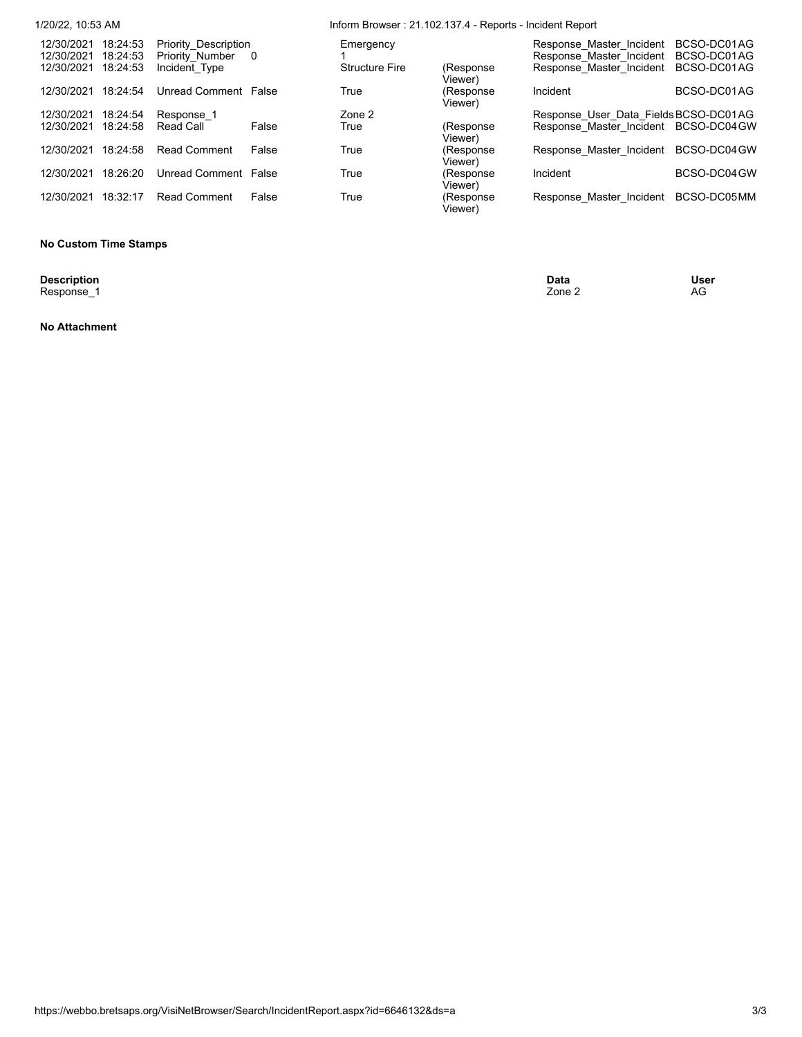| 1/20/22, 10:53 AM        |                      |                                                |                | Inform Browser: 21.102.137.4 - Reports - Incident Report |                       |                                                      |                            |  |  |
|--------------------------|----------------------|------------------------------------------------|----------------|----------------------------------------------------------|-----------------------|------------------------------------------------------|----------------------------|--|--|
| 12/30/2021<br>12/30/2021 | 18:24:53<br>18:24:53 | <b>Priority Description</b><br>Priority Number | $\overline{0}$ | Emergency                                                |                       | Response Master Incident<br>Response Master Incident | BCSO-DC01AG<br>BCSO-DC01AG |  |  |
| 12/30/2021               | 18:24:53             | Incident Type                                  |                | <b>Structure Fire</b>                                    | (Response<br>Viewer)  | Response Master Incident                             | BCSO-DC01AG                |  |  |
| 12/30/2021               | 18:24:54             | Unread Comment False                           |                | True                                                     | (Response<br>Viewer)  | Incident                                             | BCSO-DC01AG                |  |  |
| 12/30/2021               | 18:24:54             | Response 1                                     |                | Zone 2                                                   |                       | Response User Data Fields BCSO-DC01AG                |                            |  |  |
| 12/30/2021               | 18:24:58             | Read Call                                      | False          | True                                                     | (Response)<br>Viewer) | Response Master Incident BCSO-DC04GW                 |                            |  |  |
| 12/30/2021               | 18:24:58             | <b>Read Comment</b>                            | False          | True                                                     | (Response<br>Viewer)  | Response Master Incident BCSO-DC04GW                 |                            |  |  |
| 12/30/2021               | 18:26:20             | Unread Comment False                           |                | True                                                     | (Response<br>Viewer)  | Incident                                             | BCSO-DC04 GW               |  |  |
| 12/30/2021               | 18:32:17             | <b>Read Comment</b>                            | False          | True                                                     | (Response<br>Viewer)  | Response Master Incident                             | BCSO-DC05MM                |  |  |

#### **No Custom Time Stamps**

**Description**<br>Response\_1

**Description Data User** Response\_1 Zone 2 AG

**No Attachment**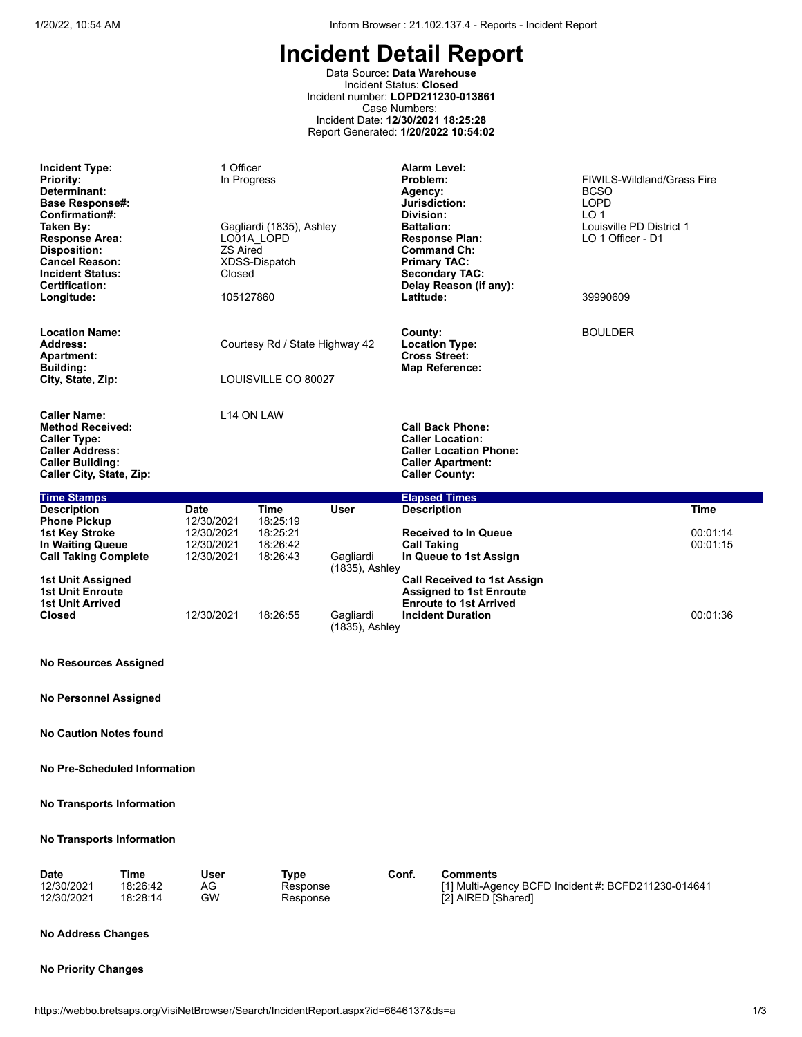Data Source: **Data Warehouse** Incident Status: **Closed** Incident number: **LOPD211230-013861** Case Numbers: Incident Date: **12/30/2021 18:25:28** Report Generated: **1/20/2022 10:54:02**

| <b>Incident Type:</b><br><b>Priority:</b><br>Determinant:<br><b>Base Response#:</b><br>Confirmation#:<br>Taken By:<br><b>Response Area:</b><br><b>Disposition:</b><br><b>Cancel Reason:</b><br><b>Incident Status:</b><br><b>Certification:</b><br>Longitude: | 1 Officer<br><b>ZS Aired</b><br>Closed<br>105127860 | In Progress<br>Gagliardi (1835), Ashley<br>LO01A LOPD<br>XDSS-Dispatch |                             | <b>Alarm Level:</b><br>Problem:<br>Agency:<br>Jurisdiction:<br>Division:<br><b>Battalion:</b><br><b>Response Plan:</b><br><b>Command Ch:</b><br><b>Primary TAC:</b><br><b>Secondary TAC:</b><br>Delay Reason (if any):<br>Latitude: | <b>FIWILS-Wildland/Grass Fire</b><br><b>BCSO</b><br><b>LOPD</b><br>LO <sub>1</sub><br>Louisville PD District 1<br>LO 1 Officer - D1<br>39990609 |
|---------------------------------------------------------------------------------------------------------------------------------------------------------------------------------------------------------------------------------------------------------------|-----------------------------------------------------|------------------------------------------------------------------------|-----------------------------|-------------------------------------------------------------------------------------------------------------------------------------------------------------------------------------------------------------------------------------|-------------------------------------------------------------------------------------------------------------------------------------------------|
| <b>Location Name:</b><br><b>Address:</b><br><b>Apartment:</b><br><b>Building:</b><br>City, State, Zip:                                                                                                                                                        |                                                     | Courtesy Rd / State Highway 42<br>LOUISVILLE CO 80027                  |                             | County:<br><b>Location Type:</b><br><b>Cross Street:</b><br><b>Map Reference:</b>                                                                                                                                                   | <b>BOULDER</b>                                                                                                                                  |
| <b>Caller Name:</b><br><b>Method Received:</b><br><b>Caller Type:</b><br><b>Caller Address:</b><br><b>Caller Building:</b><br>Caller City, State, Zip:                                                                                                        |                                                     | L14 ON LAW                                                             |                             | <b>Call Back Phone:</b><br><b>Caller Location:</b><br><b>Caller Location Phone:</b><br><b>Caller Apartment:</b><br><b>Caller County:</b>                                                                                            |                                                                                                                                                 |
| <b>Time Stamps</b>                                                                                                                                                                                                                                            |                                                     |                                                                        |                             | <b>Elapsed Times</b>                                                                                                                                                                                                                |                                                                                                                                                 |
| <b>Description</b><br><b>Phone Pickup</b>                                                                                                                                                                                                                     | <b>Date</b><br>12/30/2021                           | <b>Time</b><br>18:25:19                                                | <b>User</b>                 | <b>Description</b>                                                                                                                                                                                                                  | <b>Time</b>                                                                                                                                     |
| 1st Key Stroke<br><b>In Waiting Queue</b><br><b>Call Taking Complete</b>                                                                                                                                                                                      | 12/30/2021<br>12/30/2021<br>12/30/2021              | 18:25:21<br>18:26:42<br>18:26:43                                       | Gagliardi<br>(1835), Ashley | <b>Received to In Queue</b><br><b>Call Taking</b><br>In Queue to 1st Assign                                                                                                                                                         | 00:01:14<br>00:01:15                                                                                                                            |
| 1st Unit Assigned<br><b>1st Unit Enroute</b><br><b>1st Unit Arrived</b><br><b>Closed</b>                                                                                                                                                                      | 12/30/2021                                          | 18:26:55                                                               | Gagliardi                   | <b>Call Received to 1st Assign</b><br><b>Assigned to 1st Enroute</b><br><b>Enroute to 1st Arrived</b><br><b>Incident Duration</b>                                                                                                   | 00:01:36                                                                                                                                        |

**No Resources Assigned**

**No Personnel Assigned**

**No Caution Notes found**

**No Pre-Scheduled Information**

**No Transports Information**

### **No Transports Information**

| <b>Date</b> | ™e       | User | Type     | Conf | Comments                                            |
|-------------|----------|------|----------|------|-----------------------------------------------------|
| 12/30/2021  | 18:26:42 | AG   | Response |      | [1] Multi-Agency BCFD Incident #: BCFD211230-014641 |
| 12/30/2021  | 18:28:14 | GW   | Response |      | [2] AIRED [Shared]                                  |

(1835), Ashley

#### **No Address Changes**

#### **No Priority Changes**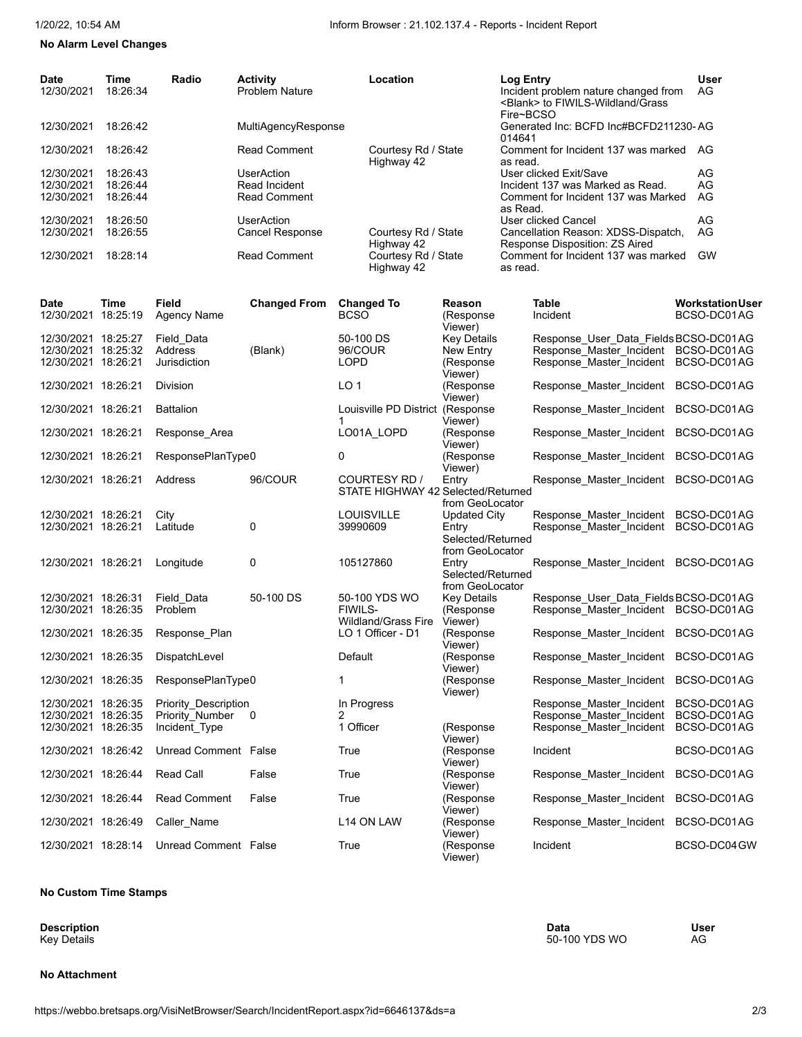# **No Alarm Level Changes**

| <b>Date</b><br>12/30/2021<br>12/30/2021    | Time<br>18:26:34<br>18:26:42 | Radio                              | <b>Activity</b><br><b>Problem Nature</b><br>MultiAgencyResponse |                 | Location                                            |                                 | <b>Log Entry</b><br>Fire~BCSO | Incident problem nature changed from<br><blank> to FIWILS-Wildland/Grass<br/>Generated Inc: BCFD Inc#BCFD211230-AG</blank> | <b>User</b><br>AG                      |
|--------------------------------------------|------------------------------|------------------------------------|-----------------------------------------------------------------|-----------------|-----------------------------------------------------|---------------------------------|-------------------------------|----------------------------------------------------------------------------------------------------------------------------|----------------------------------------|
|                                            |                              |                                    |                                                                 |                 |                                                     |                                 | 014641                        |                                                                                                                            |                                        |
| 12/30/2021                                 | 18:26:42                     |                                    | Read Comment                                                    |                 | Courtesy Rd / State<br>Highway 42                   |                                 | as read.                      | Comment for Incident 137 was marked                                                                                        | AG                                     |
| 12/30/2021                                 | 18:26:43                     |                                    | <b>UserAction</b>                                               |                 |                                                     |                                 |                               | User clicked Exit/Save                                                                                                     | AG                                     |
| 12/30/2021                                 | 18:26:44                     |                                    | Read Incident                                                   |                 |                                                     |                                 |                               | Incident 137 was Marked as Read.                                                                                           | AG                                     |
| 12/30/2021                                 | 18:26:44                     |                                    | Read Comment                                                    |                 |                                                     |                                 | as Read.                      | Comment for Incident 137 was Marked                                                                                        | AG                                     |
| 12/30/2021                                 | 18:26:50                     |                                    | <b>UserAction</b>                                               |                 |                                                     |                                 |                               | <b>User clicked Cancel</b>                                                                                                 | AG                                     |
| 12/30/2021                                 | 18:26:55                     |                                    | <b>Cancel Response</b>                                          |                 | Courtesy Rd / State                                 |                                 |                               | Cancellation Reason: XDSS-Dispatch,                                                                                        | AG                                     |
| 12/30/2021                                 | 18:28:14                     |                                    | Read Comment                                                    |                 | Highway 42<br>Courtesy Rd / State                   |                                 |                               | Response Disposition: ZS Aired<br>Comment for Incident 137 was marked                                                      | <b>GW</b>                              |
|                                            |                              |                                    |                                                                 |                 | Highway 42                                          |                                 | as read.                      |                                                                                                                            |                                        |
| Date<br>12/30/2021 18:25:19                | Time                         | Field<br>Agency Name               | <b>Changed From</b>                                             | <b>BCSO</b>     | <b>Changed To</b>                                   | Reason<br>(Response<br>Viewer)  |                               | Table<br>Incident                                                                                                          | <b>Workstation User</b><br>BCSO-DC01AG |
| 12/30/2021 18:25:27                        |                              | Field Data                         |                                                                 |                 | 50-100 DS                                           | <b>Key Details</b>              |                               | Response User Data Fields BCSO-DC01AG                                                                                      |                                        |
| 12/30/2021 18:25:32                        |                              | Address                            | (Blank)                                                         | 96/COUR         |                                                     | New Entry                       |                               | Response Master Incident BCSO-DC01AG                                                                                       |                                        |
| 12/30/2021 18:26:21                        |                              | Jurisdiction                       |                                                                 | <b>LOPD</b>     |                                                     | (Response                       |                               | Response_Master_Incident BCSO-DC01AG                                                                                       |                                        |
| 12/30/2021 18:26:21                        |                              | Division                           |                                                                 | LO <sub>1</sub> |                                                     | Viewer)<br>(Response<br>Viewer) |                               | Response Master Incident                                                                                                   | BCSO-DC01AG                            |
| 12/30/2021 18:26:21                        |                              | <b>Battalion</b>                   |                                                                 | 1               | Louisville PD District (Response                    | Viewer)                         |                               | Response Master Incident                                                                                                   | BCSO-DC01AG                            |
| 12/30/2021 18:26:21                        |                              | Response Area                      |                                                                 |                 | LO01A_LOPD                                          | (Response<br>Viewer)            |                               | Response Master Incident                                                                                                   | BCSO-DC01AG                            |
| 12/30/2021 18:26:21                        |                              | ResponsePlanType0                  |                                                                 | 0               |                                                     | (Response<br>Viewer)            |                               | Response Master Incident                                                                                                   | BCSO-DC01AG                            |
| 12/30/2021 18:26:21                        |                              | Address                            | 96/COUR                                                         |                 | COURTESY RD /<br>STATE HIGHWAY 42 Selected/Returned | Entry<br>from GeoLocator        |                               | Response Master Incident                                                                                                   | BCSO-DC01AG                            |
| 12/30/2021 18:26:21                        |                              | City                               |                                                                 |                 | <b>LOUISVILLE</b>                                   | Updated City                    |                               | Response_Master_Incident                                                                                                   | BCSO-DC01AG                            |
| 12/30/2021 18:26:21                        |                              | Latitude                           | 0                                                               | 39990609        |                                                     | Entry                           |                               | Response_Master_Incident BCSO-DC01AG                                                                                       |                                        |
|                                            |                              |                                    |                                                                 |                 |                                                     | Selected/Returned               |                               |                                                                                                                            |                                        |
|                                            |                              |                                    |                                                                 |                 |                                                     | from GeoLocator                 |                               |                                                                                                                            |                                        |
| 12/30/2021 18:26:21                        |                              | Longitude                          | 0                                                               |                 | 105127860                                           | Entry<br>Selected/Returned      |                               | Response_Master_Incident BCSO-DC01AG                                                                                       |                                        |
|                                            |                              |                                    |                                                                 |                 |                                                     | from GeoLocator                 |                               |                                                                                                                            |                                        |
| 12/30/2021 18:26:31                        |                              | Field Data                         | 50-100 DS                                                       |                 | 50-100 YDS WO                                       | <b>Key Details</b>              |                               | Response User Data Fields BCSO-DC01AG                                                                                      |                                        |
| 12/30/2021 18:26:35                        |                              | Problem                            |                                                                 | <b>FIWILS-</b>  |                                                     | (Response                       |                               | Response Master Incident BCSO-DC01AG                                                                                       |                                        |
| 12/30/2021 18:26:35                        |                              | Response Plan                      |                                                                 |                 | Wildland/Grass Fire<br>LO 1 Officer - D1            | Viewer)<br>(Response            |                               | Response Master Incident BCSO-DC01AG                                                                                       |                                        |
| 12/30/2021 18:26:35                        |                              | DispatchLevel                      |                                                                 | Default         |                                                     | Viewer)<br>(Response            |                               | Response Master Incident BCSO-DC01AG                                                                                       |                                        |
|                                            |                              |                                    |                                                                 |                 |                                                     | Viewer)                         |                               |                                                                                                                            |                                        |
| 12/30/2021 18:26:35                        |                              | ResponsePlanType0                  |                                                                 | 1               |                                                     | (Response<br>Viewer)            |                               | Response_Master_Incident BCSO-DC01AG                                                                                       |                                        |
| 12/30/2021 18:26:35                        |                              | Priority Description               |                                                                 |                 | In Progress                                         |                                 |                               | Response Master Incident                                                                                                   | BCSO-DC01AG                            |
| 12/30/2021 18:26:35<br>12/30/2021 18:26:35 |                              | Priority Number 0<br>Incident_Type |                                                                 | 2<br>1 Officer  |                                                     | (Response                       |                               | Response Master Incident<br>Response Master Incident                                                                       | BCSO-DC01AG<br>BCSO-DC01AG             |
|                                            |                              |                                    |                                                                 |                 |                                                     | Viewer)                         |                               |                                                                                                                            |                                        |
| 12/30/2021 18:26:42                        |                              | Unread Comment False               |                                                                 | True            |                                                     | (Response<br>Viewer)            |                               | Incident                                                                                                                   | BCSO-DC01AG                            |
| 12/30/2021 18:26:44                        |                              | <b>Read Call</b>                   | False                                                           | True            |                                                     | (Response<br>Viewer)            |                               | Response Master Incident                                                                                                   | BCSO-DC01AG                            |
| 12/30/2021 18:26:44                        |                              | <b>Read Comment</b>                | False                                                           | True            |                                                     | (Response<br>Viewer)            |                               | Response Master Incident BCSO-DC01AG                                                                                       |                                        |
| 12/30/2021 18:26:49                        |                              | Caller Name                        |                                                                 |                 | L14 ON LAW                                          | (Response                       |                               | Response_Master_Incident                                                                                                   | BCSO-DC01AG                            |
| 12/30/2021 18:28:14                        |                              | Unread Comment False               |                                                                 | True            |                                                     | Viewer)<br>(Response<br>Viewer) |                               | Incident                                                                                                                   | BCSO-DC04GW                            |

#### **No Custom Time Stamps**

**Description**<br>Key Details

#### **No Attachment**

**Description Data User** Key Details 50-100 YDS WO AG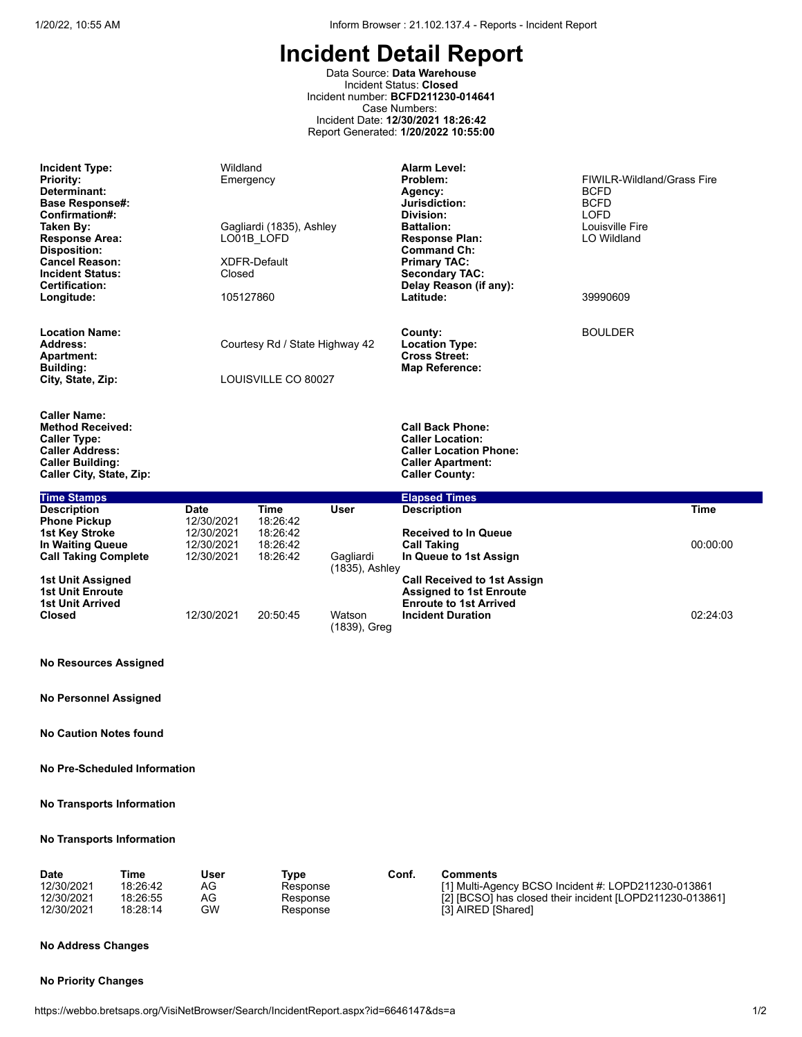Data Source: **Data Warehouse** Incident Status: **Closed** Incident number: **BCFD211230-014641** Case Numbers: Incident Date: **12/30/2021 18:26:42** Report Generated: **1/20/2022 10:55:00**

| <b>Incident Type:</b><br><b>Priority:</b><br>Determinant:<br><b>Base Response#:</b><br>Confirmation#:<br>Taken By:<br><b>Response Area:</b><br><b>Disposition:</b><br><b>Cancel Reason:</b><br><b>Incident Status:</b><br>Certification:<br>Longitude: | Wildland<br>Emergency<br>Closed<br>105127860         | Gagliardi (1835), Ashley<br>LO01B LOFD<br>XDFR-Default |                             | Alarm Level:<br>Problem:<br>Agency:<br>Jurisdiction:<br>Division:<br><b>Battalion:</b><br><b>Response Plan:</b><br><b>Command Ch:</b><br><b>Primary TAC:</b><br><b>Secondary TAC:</b><br>Delay Reason (if any):<br>Latitude: | <b>FIWILR-Wildland/Grass Fire</b><br><b>BCFD</b><br><b>BCFD</b><br><b>LOFD</b><br>Louisville Fire<br><b>LO Wildland</b><br>39990609 |             |
|--------------------------------------------------------------------------------------------------------------------------------------------------------------------------------------------------------------------------------------------------------|------------------------------------------------------|--------------------------------------------------------|-----------------------------|------------------------------------------------------------------------------------------------------------------------------------------------------------------------------------------------------------------------------|-------------------------------------------------------------------------------------------------------------------------------------|-------------|
| <b>Location Name:</b><br>Address:<br><b>Apartment:</b><br><b>Building:</b><br>City, State, Zip:                                                                                                                                                        |                                                      | Courtesy Rd / State Highway 42<br>LOUISVILLE CO 80027  |                             | County:<br><b>Location Type:</b><br><b>Cross Street:</b><br><b>Map Reference:</b>                                                                                                                                            | <b>BOULDER</b>                                                                                                                      |             |
| <b>Caller Name:</b><br><b>Method Received:</b><br><b>Caller Type:</b><br><b>Caller Address:</b><br><b>Caller Building:</b><br>Caller City, State, Zip:                                                                                                 |                                                      |                                                        |                             | <b>Call Back Phone:</b><br><b>Caller Location:</b><br><b>Caller Location Phone:</b><br><b>Caller Apartment:</b><br><b>Caller County:</b>                                                                                     |                                                                                                                                     |             |
| <b>Time Stamps</b><br><b>Description</b>                                                                                                                                                                                                               | <b>Date</b>                                          | <b>Time</b>                                            | <b>User</b>                 | <b>Elapsed Times</b><br><b>Description</b>                                                                                                                                                                                   |                                                                                                                                     | <b>Time</b> |
| <b>Phone Pickup</b><br><b>1st Key Stroke</b><br><b>In Waiting Queue</b><br><b>Call Taking Complete</b>                                                                                                                                                 | 12/30/2021<br>12/30/2021<br>12/30/2021<br>12/30/2021 | 18:26:42<br>18:26:42<br>18:26:42<br>18:26:42           | Gagliardi<br>(1835), Ashley | <b>Received to In Queue</b><br><b>Call Taking</b><br>In Queue to 1st Assign                                                                                                                                                  |                                                                                                                                     | 00:00:00    |
| 1st Unit Assigned<br><b>1st Unit Enroute</b><br><b>1st Unit Arrived</b><br><b>Closed</b>                                                                                                                                                               | 12/30/2021                                           | 20:50:45                                               | Watson<br>(1839), Greg      | <b>Call Received to 1st Assign</b><br><b>Assigned to 1st Enroute</b><br><b>Enroute to 1st Arrived</b><br><b>Incident Duration</b>                                                                                            |                                                                                                                                     | 02:24:03    |

#### **No Resources Assigned**

**No Personnel Assigned**

**No Caution Notes found**

#### **No Pre-Scheduled Information**

#### **No Transports Information**

#### **No Transports Information**

| <b>Date</b> | Time     | User | Tvpe     | Conf. | Comments                                                 |
|-------------|----------|------|----------|-------|----------------------------------------------------------|
| 12/30/2021  | 18:26:42 | AG   | Response |       | [1] Multi-Agency BCSO Incident #: LOPD211230-013861      |
| 12/30/2021  | 18:26:55 | AG   | Response |       | [2] [BCSO] has closed their incident [LOPD211230-013861] |
| 12/30/2021  | 18:28:14 | GW   | Response |       | [3] AIRED [Shared]                                       |

## **No Address Changes**

#### **No Priority Changes**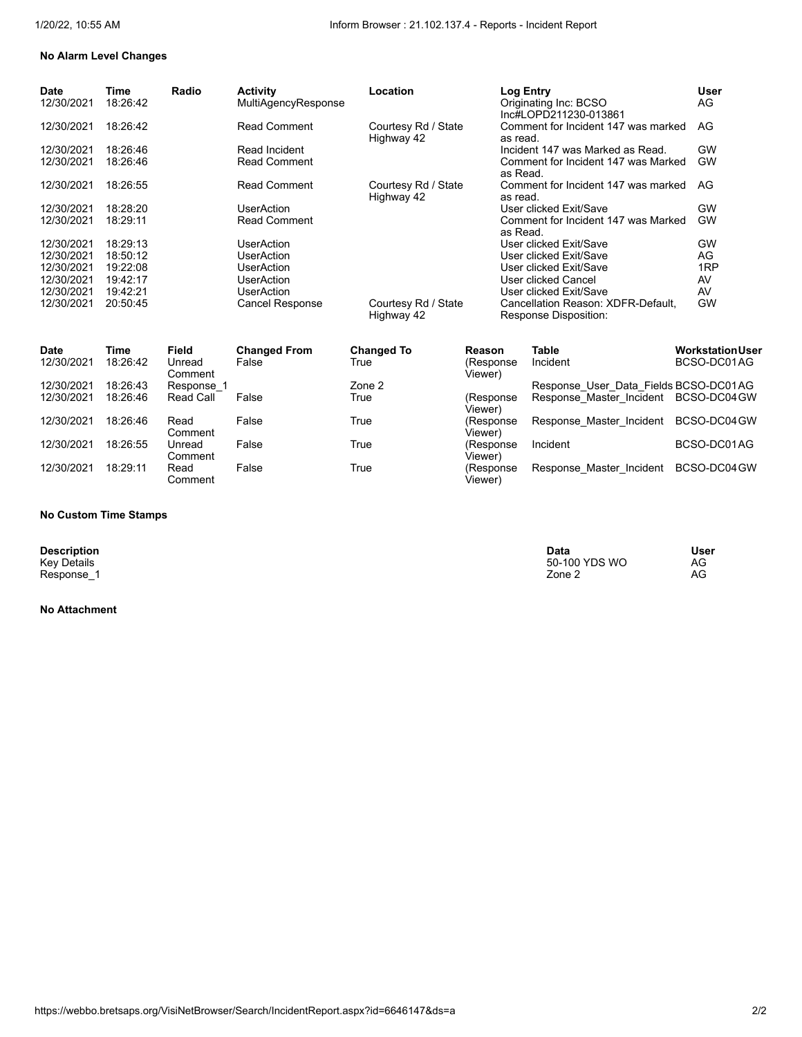## **No Alarm Level Changes**

| <b>Date</b><br>12/30/2021 | Time<br>18:26:42 | Radio | <b>Activity</b><br>MultiAgencyResponse | Location                          | Log Entry<br>Originating Inc: BCSO<br>Inc#LOPD211230-013861 | <b>User</b><br>AG. |
|---------------------------|------------------|-------|----------------------------------------|-----------------------------------|-------------------------------------------------------------|--------------------|
| 12/30/2021                | 18:26:42         |       | <b>Read Comment</b>                    | Courtesy Rd / State<br>Highway 42 | Comment for Incident 147 was marked<br>as read.             | AG                 |
| 12/30/2021                | 18:26:46         |       | Read Incident                          |                                   | Incident 147 was Marked as Read.                            | GW                 |
| 12/30/2021                | 18:26:46         |       | <b>Read Comment</b>                    |                                   | Comment for Incident 147 was Marked<br>as Read.             | GW                 |
| 12/30/2021                | 18:26:55         |       | <b>Read Comment</b>                    | Courtesy Rd / State<br>Highway 42 | Comment for Incident 147 was marked<br>as read.             | AG                 |
| 12/30/2021                | 18:28:20         |       | UserAction                             |                                   | User clicked Exit/Save                                      | GW                 |
| 12/30/2021                | 18:29:11         |       | <b>Read Comment</b>                    |                                   | Comment for Incident 147 was Marked<br>as Read.             | GW                 |
| 12/30/2021                | 18:29:13         |       | UserAction                             |                                   | User clicked Exit/Save                                      | <b>GW</b>          |
| 12/30/2021                | 18:50:12         |       | UserAction                             |                                   | User clicked Exit/Save                                      | AG.                |
| 12/30/2021                | 19:22:08         |       | UserAction                             |                                   | User clicked Exit/Save                                      | 1 <sub>RP</sub>    |
| 12/30/2021                | 19:42:17         |       | UserAction                             |                                   | User clicked Cancel                                         | AV                 |
| 12/30/2021                | 19:42:21         |       | UserAction                             |                                   | User clicked Exit/Save                                      | AV                 |
| 12/30/2021                | 20:50:45         |       | <b>Cancel Response</b>                 | Courtesy Rd / State<br>Highway 42 | Cancellation Reason: XDFR-Default.<br>Response Disposition: | <b>GW</b>          |

| <b>Date</b> | Time     | Field                 | <b>Changed From</b> | <b>Changed To</b> | Reason                | <b>Table</b>                          | <b>Workstation User</b> |
|-------------|----------|-----------------------|---------------------|-------------------|-----------------------|---------------------------------------|-------------------------|
| 12/30/2021  | 18:26:42 | Unread<br>Comment     | False               | True              | (Response)<br>Viewer) | Incident                              | BCSO-DC01AG             |
| 12/30/2021  | 18:26:43 | Response <sup>2</sup> |                     | Zone 2            |                       | Response User Data Fields BCSO-DC01AG |                         |
| 12/30/2021  | 18:26:46 | Read Call             | False               | True              | (Response<br>Viewer)  | Response Master Incident BCSO-DC04GW  |                         |
| 12/30/2021  | 18:26:46 | Read<br>Comment       | False               | True              | (Response)<br>Viewer) | Response Master Incident              | BCSO-DC04 GW            |
| 12/30/2021  | 18:26:55 | Unread<br>Comment     | False               | True              | (Response<br>Viewer)  | Incident                              | BCSO-DC01AG             |
| 12/30/2021  | 18:29:11 | Read<br>Comment       | False               | True              | (Response<br>Viewer)  | Response Master Incident              | BCSO-DC04 GW            |

#### **No Custom Time Stamps**

**Description**<br>Key Details<br>Response\_1

## **No Attachment**

**Description Data User** Key Details 50-100 YDS WO AG Response\_1 Zone 2 AG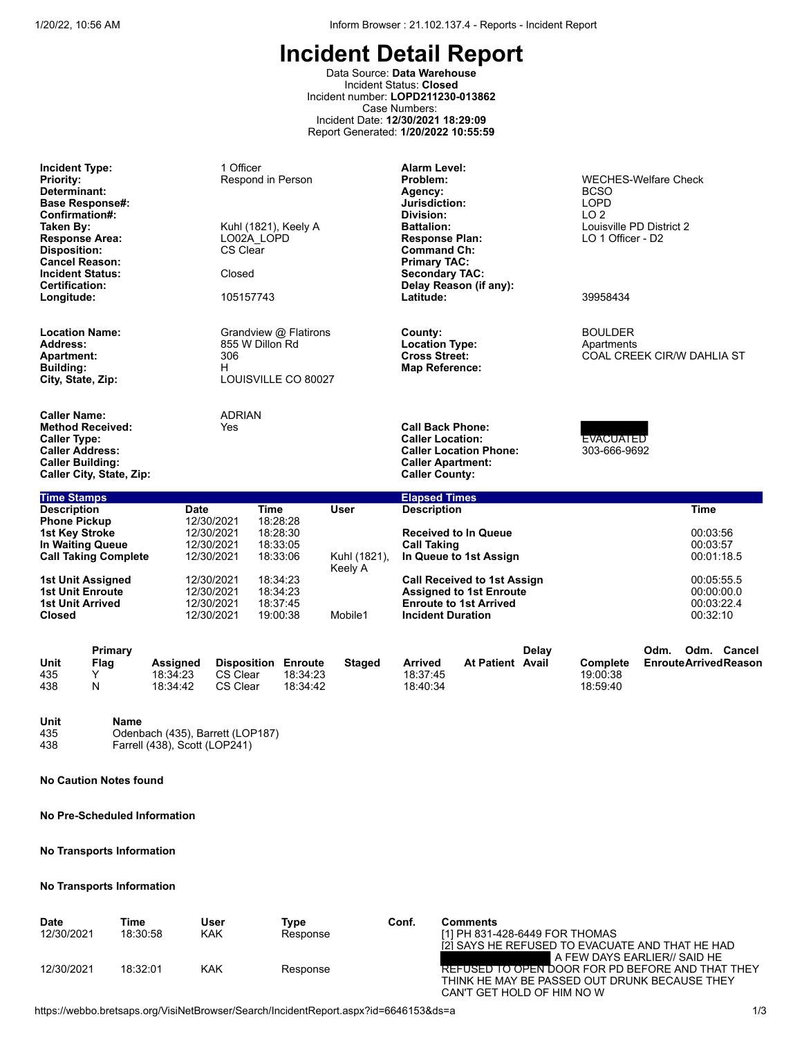Data Source: **Data Warehouse** Incident Status: **Closed** Incident number: **LOPD211230-013862** Case Numbers: Incident Date: **12/30/2021 18:29:09** Report Generated: **1/20/2022 10:55:59**

| <b>Incident Type:</b><br><b>Priority:</b><br>Determinant:<br><b>Base Response#:</b><br>Confirmation#:<br>Taken By:<br><b>Response Area:</b><br><b>Disposition:</b><br><b>Cancel Reason:</b><br><b>Incident Status:</b><br>Certification:<br>Longitude: |                                                                             | 1 Officer<br>Respond in Person<br>Kuhl (1821), Keely A<br>LO02A LOPD<br>CS Clear<br>Closed<br>105157743 |                         | <b>Alarm Level:</b><br>Problem:<br>Agency:<br>Jurisdiction:<br>Division:<br><b>Battalion:</b><br><b>Response Plan:</b><br><b>Command Ch:</b><br><b>Primary TAC:</b><br><b>Secondary TAC:</b><br>Delay Reason (if any):<br>Latitude: | <b>WECHES-Welfare Check</b><br><b>BCSO</b><br><b>LOPD</b><br>LO <sub>2</sub><br>Louisville PD District 2<br>LO 1 Officer - D2<br>39958434 |  |  |
|--------------------------------------------------------------------------------------------------------------------------------------------------------------------------------------------------------------------------------------------------------|-----------------------------------------------------------------------------|---------------------------------------------------------------------------------------------------------|-------------------------|-------------------------------------------------------------------------------------------------------------------------------------------------------------------------------------------------------------------------------------|-------------------------------------------------------------------------------------------------------------------------------------------|--|--|
| <b>Location Name:</b><br>Address:<br><b>Apartment:</b><br><b>Building:</b><br>City, State, Zip:                                                                                                                                                        | Grandview @ Flatirons<br>855 W Dillon Rd<br>306<br>н<br>LOUISVILLE CO 80027 |                                                                                                         |                         | County:<br><b>Location Type:</b><br><b>Cross Street:</b><br><b>Map Reference:</b>                                                                                                                                                   | <b>BOULDER</b><br>Apartments<br>COAL CREEK CIR/W DAHLIA ST                                                                                |  |  |
| <b>Caller Name:</b><br><b>Method Received:</b><br><b>Caller Type:</b><br><b>Caller Address:</b><br><b>Caller Building:</b><br><b>Caller City, State, Zip:</b>                                                                                          | <b>ADRIAN</b><br>Yes                                                        |                                                                                                         |                         | <b>Call Back Phone:</b><br><b>Caller Location:</b><br><b>Caller Location Phone:</b><br><b>Caller Apartment:</b><br><b>Caller County:</b>                                                                                            | <b>EVACUATED</b><br>303-666-9692                                                                                                          |  |  |
| <b>Time Stamps</b><br><b>Description</b>                                                                                                                                                                                                               | <b>Date</b>                                                                 | <b>Time</b>                                                                                             | <b>User</b>             | <b>Elapsed Times</b><br><b>Description</b>                                                                                                                                                                                          | <b>Time</b>                                                                                                                               |  |  |
| <b>Phone Pickup</b><br><b>1st Key Stroke</b><br>In Waiting Queue<br><b>Call Taking Complete</b>                                                                                                                                                        | 12/30/2021<br>12/30/2021<br>12/30/2021<br>12/30/2021                        | 18:28:28<br>18:28:30<br>18:33:05<br>18:33:06                                                            | Kuhl (1821),<br>Keely A | <b>Received to In Queue</b><br><b>Call Taking</b><br>In Queue to 1st Assign                                                                                                                                                         | 00:03:56<br>00:03:57<br>00:01:18.5                                                                                                        |  |  |
| 1st Unit Assigned<br><b>1st Unit Enroute</b><br><b>1st Unit Arrived</b><br><b>Closed</b>                                                                                                                                                               | 12/30/2021<br>12/30/2021<br>12/30/2021<br>12/30/2021                        | 18:34:23<br>18:34:23<br>18:37:45<br>19:00:38                                                            | Mobile1                 | <b>Call Received to 1st Assign</b><br><b>Assigned to 1st Enroute</b><br><b>Enroute to 1st Arrived</b><br><b>Incident Duration</b>                                                                                                   | 00:05:55.5<br>00:00:00.0<br>00:03:22.4<br>00:32:10                                                                                        |  |  |

|      | Primary |                 |                            |          |               |                |                  | Delay |          | Odm. | Odm. | Cancel                      |
|------|---------|-----------------|----------------------------|----------|---------------|----------------|------------------|-------|----------|------|------|-----------------------------|
| Unit | Flag    | <b>Assigned</b> | <b>Disposition Enroute</b> |          | <b>Staged</b> | <b>Arrived</b> | At Patient Avail |       | Complete |      |      | <b>EnrouteArrivedReason</b> |
| 435  |         | 18:34:23        | CS Clear                   | 18:34:23 |               | 18:37:45       |                  |       | 19:00:38 |      |      |                             |
| 438  | N       | 18:34:42        | CS Clear                   | 18:34:42 |               | 18:40:34       |                  |       | 18:59:40 |      |      |                             |

## **Unit Name** 435 Odenbach (435), Barrett (LOP187) 438 Farrell (438), Scott (LOP241)

**No Caution Notes found**

**No Pre-Scheduled Information**

# **No Transports Information**

# **No Transports Information**

| <b>Date</b><br>12/30/2021 | Time<br>18:30:58 | User<br>KAK | Type<br>Response | Conf. | <b>Comments</b><br>[1] PH 831-428-6449 FOR THOMAS<br>I2I SAYS HE REFUSED TO EVACUATE AND THAT HE HAD                                                                  |
|---------------------------|------------------|-------------|------------------|-------|-----------------------------------------------------------------------------------------------------------------------------------------------------------------------|
| 12/30/2021                | 18:32:01         | KAK         | Response         |       | A FEW DAYS EARLIER// SAID HE<br><b>REFUSED TO OPEN DOOR FOR PD BEFORE AND THAT THEY</b><br>THINK HE MAY BE PASSED OUT DRUNK BECAUSE THEY<br>CAN'T GET HOLD OF HIM NOW |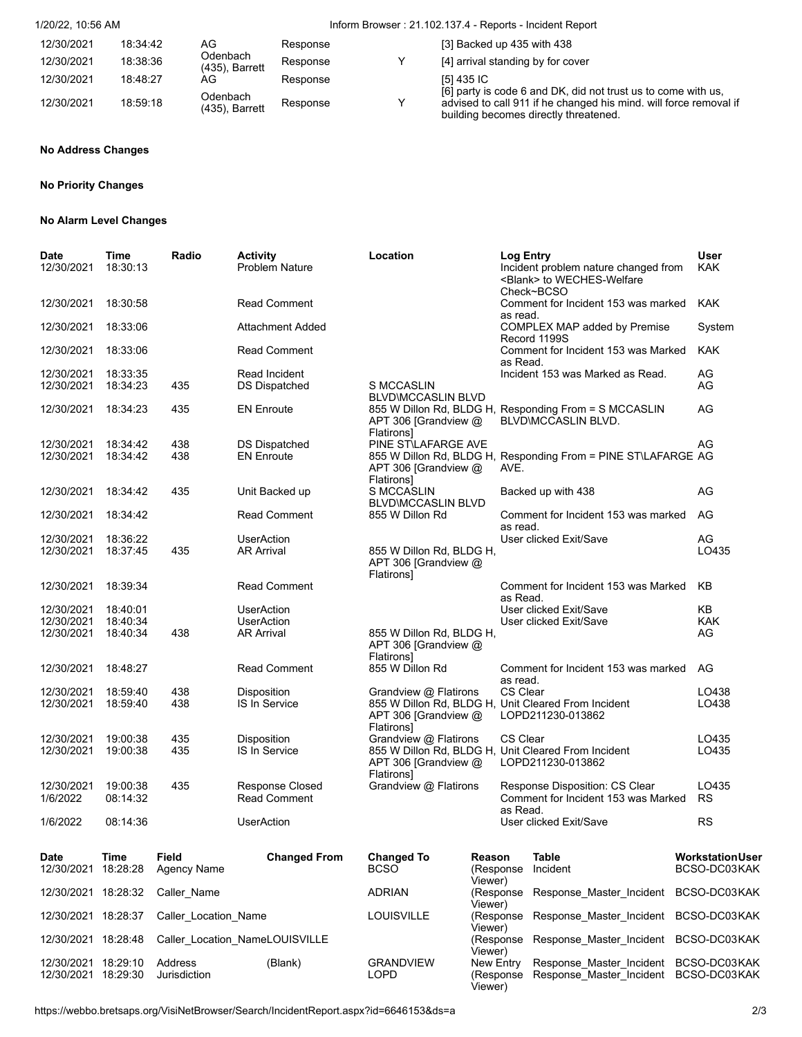# 1/20/22, 10:56 AM Inform Browser : 21.102.137.4 - Reports - Incident Report

| 12/30/2021 | 18:34:42 | AG                            | Response | [3] Backed up 435 with 438                                                                                                                                                  |
|------------|----------|-------------------------------|----------|-----------------------------------------------------------------------------------------------------------------------------------------------------------------------------|
| 12/30/2021 | 18:38:36 | Odenbach<br>$(435)$ , Barrett | Response | [4] arrival standing by for cover                                                                                                                                           |
| 12/30/2021 | 18:48:27 | AG                            | Response | [5] 435 IC                                                                                                                                                                  |
| 12/30/2021 | 18:59:18 | Odenbach<br>$(435)$ , Barrett | Response | [6] party is code 6 and DK, did not trust us to come with us,<br>advised to call 911 if he changed his mind. will force removal if<br>building becomes directly threatened. |

# **No Address Changes**

# **No Priority Changes**

#### **No Alarm Level Changes**

| Date<br>12/30/2021                         | Time<br>18:30:13                 | Radio                   | <b>Activity</b><br><b>Problem Nature</b>                    | Location                                                       |                                   | Log Entry<br>Incident problem nature changed from<br><blank> to WECHES-Welfare<br/>Check~BCSO</blank> | User<br><b>KAK</b>                      |
|--------------------------------------------|----------------------------------|-------------------------|-------------------------------------------------------------|----------------------------------------------------------------|-----------------------------------|-------------------------------------------------------------------------------------------------------|-----------------------------------------|
| 12/30/2021                                 | 18:30:58                         |                         | <b>Read Comment</b>                                         |                                                                |                                   | Comment for Incident 153 was marked<br>as read.                                                       | <b>KAK</b>                              |
| 12/30/2021                                 | 18:33:06                         |                         | Attachment Added                                            |                                                                |                                   | COMPLEX MAP added by Premise<br>Record 1199S                                                          | System                                  |
| 12/30/2021                                 | 18:33:06                         |                         | <b>Read Comment</b>                                         |                                                                |                                   | Comment for Incident 153 was Marked<br>as Read.                                                       | <b>KAK</b>                              |
| 12/30/2021<br>12/30/2021                   | 18:33:35<br>18:34:23             | 435                     | Read Incident<br><b>DS Dispatched</b>                       | <b>S MCCASLIN</b><br><b>BLVD\MCCASLIN BLVD</b>                 |                                   | Incident 153 was Marked as Read.                                                                      | AG<br>AG                                |
| 12/30/2021                                 | 18:34:23                         | 435                     | <b>EN Enroute</b>                                           | APT 306 [Grandview $@$<br>Flatirons]                           |                                   | 855 W Dillon Rd, BLDG H, Responding From = S MCCASLIN<br>BLVD\MCCASLIN BLVD.                          | AG                                      |
| 12/30/2021<br>12/30/2021                   | 18:34:42<br>18:34:42             | 438<br>438              | <b>DS Dispatched</b><br><b>EN Enroute</b>                   | PINE ST\LAFARGE AVE<br>APT 306 [Grandview @<br>Flatirons]      |                                   | 855 W Dillon Rd, BLDG H, Responding From = PINE ST\LAFARGE AG<br>AVE.                                 | AG                                      |
| 12/30/2021                                 | 18:34:42                         | 435                     | Unit Backed up                                              | S MCCASLIN<br><b>BLVD\MCCASLIN BLVD</b>                        |                                   | Backed up with 438                                                                                    | AG                                      |
| 12/30/2021                                 | 18:34:42                         |                         | <b>Read Comment</b>                                         | 855 W Dillon Rd                                                |                                   | Comment for Incident 153 was marked<br>as read.                                                       | AG                                      |
| 12/30/2021<br>12/30/2021                   | 18:36:22<br>18:37:45             | 435                     | <b>UserAction</b><br><b>AR Arrival</b>                      | 855 W Dillon Rd, BLDG H,<br>APT 306 [Grandview @<br>Flatirons] |                                   | User clicked Exit/Save                                                                                | AG<br>LO435                             |
| 12/30/2021                                 | 18:39:34                         |                         | <b>Read Comment</b>                                         |                                                                |                                   | Comment for Incident 153 was Marked<br>as Read.                                                       | KB                                      |
| 12/30/2021<br>12/30/2021<br>12/30/2021     | 18:40:01<br>18:40:34<br>18:40:34 | 438                     | <b>UserAction</b><br><b>UserAction</b><br><b>AR Arrival</b> | 855 W Dillon Rd, BLDG H,<br>APT 306 [Grandview @               |                                   | User clicked Exit/Save<br>User clicked Exit/Save                                                      | ΚB<br><b>KAK</b><br>AG                  |
| 12/30/2021                                 | 18:48:27                         |                         | <b>Read Comment</b>                                         | <b>Flatirons</b><br>855 W Dillon Rd                            |                                   | Comment for Incident 153 was marked<br>as read.                                                       | AG                                      |
| 12/30/2021<br>12/30/2021                   | 18:59:40<br>18:59:40             | 438<br>438              | Disposition<br><b>IS In Service</b>                         | Grandview @ Flatirons<br>APT 306 [Grandview @<br>Flatirons]    |                                   | CS Clear<br>855 W Dillon Rd, BLDG H, Unit Cleared From Incident<br>LOPD211230-013862                  | LO438<br>LO438                          |
| 12/30/2021<br>12/30/2021                   | 19:00:38<br>19:00:38             | 435<br>435              | Disposition<br><b>IS In Service</b>                         | Grandview @ Flatirons<br>APT 306 [Grandview @<br>Flatirons]    |                                   | <b>CS Clear</b><br>855 W Dillon Rd, BLDG H, Unit Cleared From Incident<br>LOPD211230-013862           | LO435<br>LO435                          |
| 12/30/2021<br>1/6/2022                     | 19:00:38<br>08:14:32             | 435                     | <b>Response Closed</b><br><b>Read Comment</b>               | Grandview @ Flatirons                                          |                                   | Response Disposition: CS Clear<br>Comment for Incident 153 was Marked                                 | LO435<br><b>RS</b>                      |
| 1/6/2022                                   | 08:14:36                         |                         | <b>UserAction</b>                                           |                                                                |                                   | as Read.<br>User clicked Exit/Save                                                                    | <b>RS</b>                               |
| Date<br>12/30/2021                         | Time<br>18:28:28                 | Field<br>Agency Name    | <b>Changed From</b>                                         | <b>Changed To</b><br><b>BCSO</b>                               | Reason<br>(Response<br>Viewer)    | Table<br>Incident                                                                                     | <b>Workstation User</b><br>BCSO-DC03KAK |
| 12/30/2021 18:28:32                        |                                  | Caller Name             |                                                             | <b>ADRIAN</b>                                                  | (Response<br>Viewer)              | Response Master Incident                                                                              | BCSO-DC03KAK                            |
| 12/30/2021 18:28:37                        |                                  | Caller Location Name    |                                                             | LOUISVILLE                                                     | (Response<br>Viewer)              | Response Master Incident BCSO-DC03KAK                                                                 |                                         |
| 12/30/2021 18:28:48                        |                                  |                         | Caller Location NameLOUISVILLE                              |                                                                | (Response<br>Viewer)              | Response Master Incident BCSO-DC03KAK                                                                 |                                         |
| 12/30/2021 18:29:10<br>12/30/2021 18:29:30 |                                  | Address<br>Jurisdiction | (Blank)                                                     | <b>GRANDVIEW</b><br>LOPD                                       | New Entry<br>(Response<br>Viewer) | Response Master Incident BCSO-DC03KAK<br>Response Master Incident BCSO-DC03KAK                        |                                         |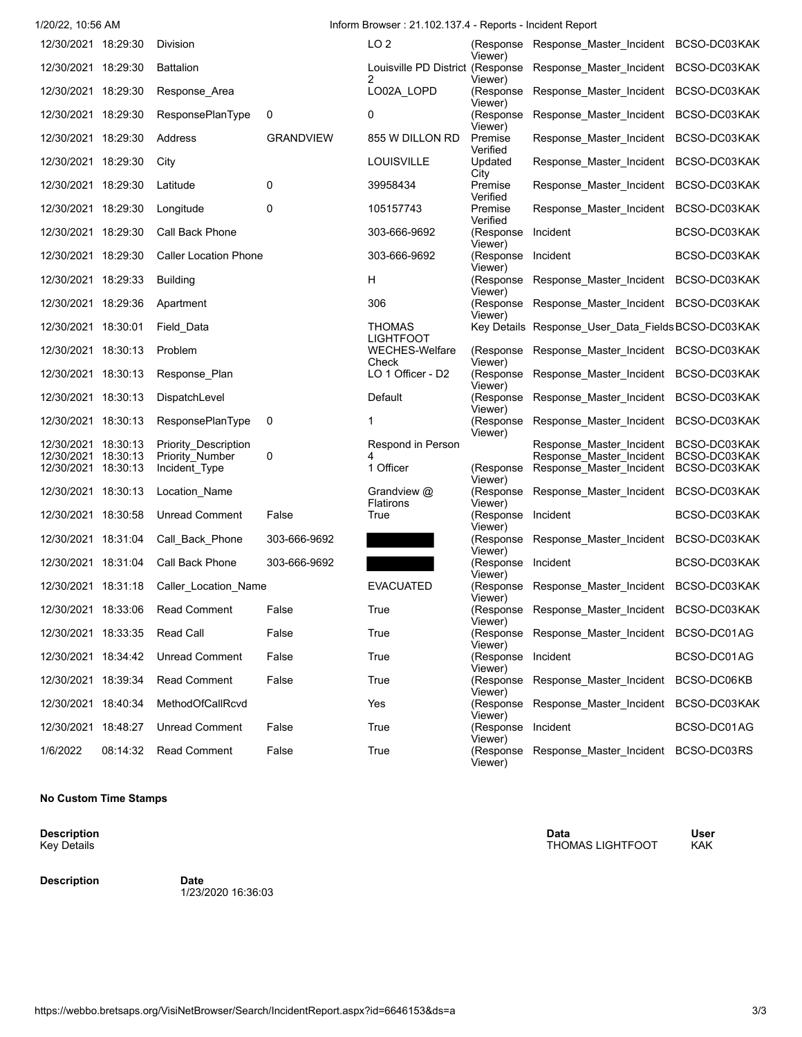| 1/20/22, 10:56 AM                          |          |                                                |                  | Inform Browser: 21.102.137.4 - Reports - Incident Report |                                          |                                                                        |              |
|--------------------------------------------|----------|------------------------------------------------|------------------|----------------------------------------------------------|------------------------------------------|------------------------------------------------------------------------|--------------|
| 12/30/2021 18:29:30                        |          | Division                                       |                  | LO <sub>2</sub>                                          | Viewer)                                  | (Response Response_Master_Incident BCSO-DC03KAK                        |              |
| 12/30/2021 18:29:30                        |          | <b>Battalion</b>                               |                  | 2                                                        | Viewer)                                  | Louisville PD District (Response Response_Master_Incident BCSO-DC03KAK |              |
| 12/30/2021 18:29:30                        |          | Response_Area                                  |                  | LO02A_LOPD                                               | Viewer)                                  | (Response Response_Master_Incident BCSO-DC03KAK                        |              |
| 12/30/2021 18:29:30                        |          | ResponsePlanType                               | 0                | 0                                                        | (Response<br>Viewer)                     | Response_Master_Incident BCSO-DC03KAK                                  |              |
| 12/30/2021 18:29:30                        |          | Address                                        | <b>GRANDVIEW</b> | 855 W DILLON RD                                          | Premise<br>Verified                      | Response_Master_Incident BCSO-DC03KAK                                  |              |
| 12/30/2021 18:29:30                        |          | City                                           |                  | LOUISVILLE                                               | Updated                                  | Response_Master_Incident BCSO-DC03KAK                                  |              |
| 12/30/2021 18:29:30                        |          | Latitude                                       | 0                | 39958434                                                 | City<br>Premise<br>Verified              | Response_Master_Incident BCSO-DC03KAK                                  |              |
| 12/30/2021 18:29:30                        |          | Longitude                                      | 0                | 105157743                                                | Premise<br>Verified                      | Response Master Incident                                               | BCSO-DC03KAK |
| 12/30/2021 18:29:30                        |          | Call Back Phone                                |                  | 303-666-9692                                             | (Response<br>Viewer)                     | Incident                                                               | BCSO-DC03KAK |
| 12/30/2021 18:29:30                        |          | Caller Location Phone                          |                  | 303-666-9692                                             | (Response Incident<br>Viewer)            |                                                                        | BCSO-DC03KAK |
| 12/30/2021 18:29:33                        |          | <b>Building</b>                                |                  | H                                                        | Viewer)                                  | (Response Response_Master_Incident BCSO-DC03KAK                        |              |
| 12/30/2021 18:29:36                        |          | Apartment                                      |                  | 306                                                      | Viewer)                                  | (Response Response_Master_Incident BCSO-DC03KAK                        |              |
| 12/30/2021 18:30:01                        |          | Field_Data                                     |                  | <b>THOMAS</b><br><b>LIGHTFOOT</b>                        |                                          | Key Details Response_User_Data_Fields BCSO-DC03KAK                     |              |
| 12/30/2021 18:30:13                        |          | Problem                                        |                  | <b>WECHES-Welfare</b><br>Check                           | Viewer)                                  | (Response Response Master Incident BCSO-DC03KAK                        |              |
| 12/30/2021 18:30:13                        |          | Response_Plan                                  |                  | LO 1 Officer - D2                                        | Viewer)                                  | (Response Response_Master_Incident BCSO-DC03KAK                        |              |
| 12/30/2021 18:30:13                        |          | DispatchLevel                                  |                  | Default                                                  | Viewer)                                  | (Response Response_Master_Incident BCSO-DC03KAK                        |              |
| 12/30/2021 18:30:13                        |          | ResponsePlanType                               | 0                | 1                                                        | (Response<br>Viewer)                     | Response_Master_Incident BCSO-DC03KAK                                  |              |
| 12/30/2021 18:30:13<br>12/30/2021 18:30:13 |          | <b>Priority Description</b><br>Priority Number | 0                | Respond in Person<br>4                                   |                                          | Response Master Incident BCSO-DC03KAK<br>Response Master Incident      | BCSO-DC03KAK |
| 12/30/2021 18:30:13                        |          | Incident Type                                  |                  | 1 Officer                                                | (Response<br>Viewer)                     | Response_Master_Incident BCSO-DC03KAK                                  |              |
| 12/30/2021 18:30:13                        |          | Location Name                                  |                  | Grandview @<br>Flatirons                                 | Viewer)                                  | (Response Response_Master_Incident BCSO-DC03KAK                        |              |
| 12/30/2021 18:30:58                        |          | <b>Unread Comment</b>                          | False            | True                                                     | (Response Incident<br>Viewer)            |                                                                        | BCSO-DC03KAK |
| 12/30/2021 18:31:04                        |          | Call Back Phone                                | 303-666-9692     |                                                          | Viewer)                                  | (Response Response_Master_Incident BCSO-DC03KAK                        |              |
| 12/30/2021 18:31:04                        |          | Call Back Phone                                | 303-666-9692     |                                                          | (Response Incident<br>Viewer)            |                                                                        | BCSO-DC03KAK |
| 12/30/2021 18:31:18                        |          | Caller Location Name                           |                  | <b>EVACUATED</b>                                         | Viewer)                                  | (Response Response_Master_Incident BCSO-DC03KAK                        |              |
| 12/30/2021 18:33:06                        |          | <b>Read Comment</b>                            | False            | True                                                     | Viewer)                                  | (Response Response_Master_Incident BCSO-DC03KAK                        |              |
| 12/30/2021 18:33:35                        |          | Read Call                                      | False            | True                                                     |                                          | (Response Response Master Incident BCSO-DC01AG                         |              |
| 12/30/2021 18:34:42                        |          | <b>Unread Comment</b>                          | False            | True                                                     | Viewer)<br>(Response Incident<br>Viewer) |                                                                        | BCSO-DC01AG  |
| 12/30/2021 18:39:34                        |          | <b>Read Comment</b>                            | False            | True                                                     |                                          | (Response Response Master Incident BCSO-DC06KB                         |              |
| 12/30/2021 18:40:34                        |          | MethodOfCallRcvd                               |                  | Yes                                                      | Viewer)<br>Viewer)                       | (Response Response Master Incident BCSO-DC03KAK                        |              |
| 12/30/2021 18:48:27                        |          | <b>Unread Comment</b>                          | False            | True                                                     | (Response Incident                       |                                                                        | BCSO-DC01AG  |
| 1/6/2022                                   | 08:14:32 | Read Comment                                   | False            | True                                                     | Viewer)<br>Viewer)                       | (Response Response Master Incident BCSO-DC03RS                         |              |

### **No Custom Time Stamps**

**Description**<br>Key Details

**Description Date**

1/23/2020 16:36:03

**Description Data User** THOMAS LIGHTFOOT KAK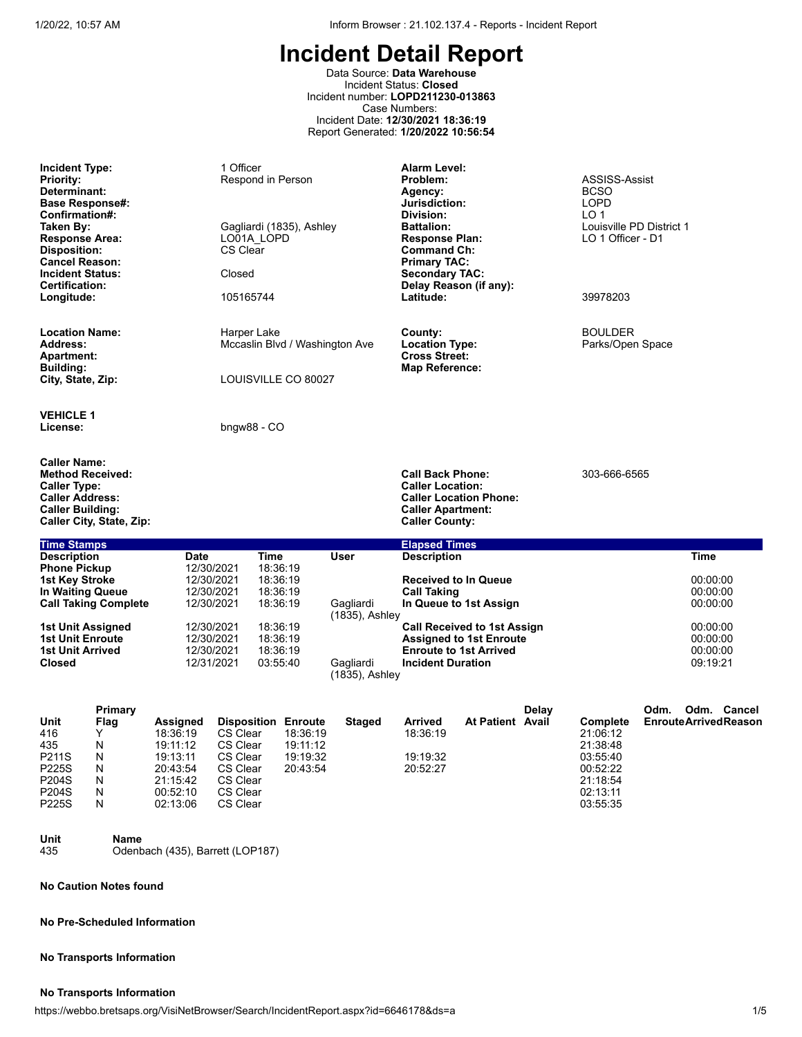Data Source: **Data Warehouse** Incident Status: **Closed** Incident number: **LOPD211230-013863** Case Numbers: Incident Date: **12/30/2021 18:36:19** Report Generated: **1/20/2022 10:56:54**

| <b>Incident Type:</b><br><b>Priority:</b><br>Determinant:<br><b>Base Response#:</b><br>Confirmation#:<br>Taken By:<br><b>Response Area:</b><br>Disposition:<br><b>Cancel Reason:</b><br><b>Incident Status:</b> |                                                           |                                                                                              | 1 Officer<br>Respond in Person<br>LO01A LOPD<br><b>CS Clear</b><br>Closed        |                                              | Gagliardi (1835), Ashley                                                   |                                | Alarm Level:<br>Problem:<br>Agency:<br>Jurisdiction:<br>Division:<br><b>Battalion:</b><br><b>Response Plan:</b><br><b>Command Ch:</b><br><b>Primary TAC:</b><br><b>Secondary TAC:</b> |                                                                                                       |       | ASSISS-Assist<br><b>BCSO</b><br>LOPD<br>LO <sub>1</sub><br>Louisville PD District 1<br>LO 1 Officer - D1 |                                     |                                              |  |
|-----------------------------------------------------------------------------------------------------------------------------------------------------------------------------------------------------------------|-----------------------------------------------------------|----------------------------------------------------------------------------------------------|----------------------------------------------------------------------------------|----------------------------------------------|----------------------------------------------------------------------------|--------------------------------|---------------------------------------------------------------------------------------------------------------------------------------------------------------------------------------|-------------------------------------------------------------------------------------------------------|-------|----------------------------------------------------------------------------------------------------------|-------------------------------------|----------------------------------------------|--|
| Certification:<br>Longitude:                                                                                                                                                                                    |                                                           |                                                                                              | 105165744                                                                        |                                              |                                                                            |                                | Latitude:                                                                                                                                                                             | Delay Reason (if any):                                                                                |       | 39978203                                                                                                 |                                     |                                              |  |
| <b>Location Name:</b><br><b>Address:</b><br><b>Apartment:</b><br>Building:<br>City, State, Zip:                                                                                                                 |                                                           |                                                                                              | Harper Lake                                                                      |                                              | LOUISVILLE CO 80027                                                        | Mccaslin Blvd / Washington Ave | County:<br><b>Location Type:</b><br><b>Cross Street:</b><br><b>Map Reference:</b>                                                                                                     |                                                                                                       |       | <b>BOULDER</b><br>Parks/Open Space                                                                       |                                     |                                              |  |
| <b>VEHICLE 1</b><br>License:                                                                                                                                                                                    |                                                           |                                                                                              | $b$ ngw $88 - CO$                                                                |                                              |                                                                            |                                |                                                                                                                                                                                       |                                                                                                       |       |                                                                                                          |                                     |                                              |  |
| <b>Caller Name:</b><br><b>Caller Type:</b><br><b>Caller Address:</b><br><b>Caller Building:</b>                                                                                                                 | <b>Method Received:</b><br>Caller City, State, Zip:       |                                                                                              |                                                                                  |                                              |                                                                            |                                | <b>Call Back Phone:</b><br><b>Caller Location:</b><br><b>Caller Apartment:</b><br><b>Caller County:</b>                                                                               | <b>Caller Location Phone:</b>                                                                         |       | 303-666-6565                                                                                             |                                     |                                              |  |
| <b>Time Stamps</b>                                                                                                                                                                                              |                                                           |                                                                                              |                                                                                  |                                              |                                                                            |                                | <b>Elapsed Times</b>                                                                                                                                                                  |                                                                                                       |       |                                                                                                          |                                     |                                              |  |
| <b>Description</b>                                                                                                                                                                                              |                                                           | <b>Date</b>                                                                                  |                                                                                  | <b>Time</b>                                  |                                                                            | <b>User</b>                    | <b>Description</b>                                                                                                                                                                    |                                                                                                       |       |                                                                                                          |                                     | <b>Time</b>                                  |  |
| <b>Phone Pickup</b><br><b>1st Key Stroke</b><br>In Waiting Queue                                                                                                                                                | <b>Call Taking Complete</b>                               |                                                                                              | 12/30/2021<br>12/30/2021<br>12/30/2021<br>12/30/2021                             | 18:36:19<br>18:36:19<br>18:36:19<br>18:36:19 |                                                                            | Gagliardi<br>(1835), Ashley    | <b>Call Taking</b>                                                                                                                                                                    | <b>Received to In Queue</b><br>In Queue to 1st Assign                                                 |       |                                                                                                          |                                     | 00:00:00<br>00:00:00<br>00:00:00             |  |
| <b>1st Unit Enroute</b><br><b>1st Unit Arrived</b><br><b>Closed</b>                                                                                                                                             | 1st Unit Assigned                                         |                                                                                              | 12/30/2021<br>12/30/2021<br>12/30/2021<br>12/31/2021                             | 18:36:19<br>18:36:19<br>18:36:19<br>03:55:40 |                                                                            | Gagliardi<br>(1835), Ashley    | <b>Incident Duration</b>                                                                                                                                                              | <b>Call Received to 1st Assign</b><br><b>Assigned to 1st Enroute</b><br><b>Enroute to 1st Arrived</b> |       |                                                                                                          |                                     | 00:00:00<br>00:00:00<br>00:00:00<br>09:19:21 |  |
| Unit<br>416<br>435<br>P211S<br>P225S<br>P204S<br>P204S<br>P225S                                                                                                                                                 | Primary<br><b>Flag</b><br>Y<br>N<br>N<br>N<br>N<br>N<br>N | Assigned<br>18:36:19<br>19:11:12<br>19:13:11<br>20:43:54<br>21:15:42<br>00:52:10<br>02:13:06 | CS Clear<br>CS Clear<br>CS Clear<br>CS Clear<br>CS Clear<br>CS Clear<br>CS Clear |                                              | <b>Disposition Enroute</b><br>18:36:19<br>19:11:12<br>19:19:32<br>20:43:54 | <b>Staged</b>                  | Arrived<br>18:36:19<br>19:19:32<br>20:52:27                                                                                                                                           | <b>At Patient Avail</b>                                                                               | Delay | Complete<br>21:06:12<br>21:38:48<br>03:55:40<br>00:52:22<br>21:18:54<br>02:13:11<br>03:55:35             | Odm.<br><b>EnrouteArrivedReason</b> | Odm. Cancel                                  |  |

# **Unit Name**

Odenbach (435), Barrett (LOP187)

### **No Caution Notes found**

#### **No Pre-Scheduled Information**

#### **No Transports Information**

#### **No Transports Information**

https://webbo.bretsaps.org/VisiNetBrowser/Search/IncidentReport.aspx?id=6646178&ds=a 1/5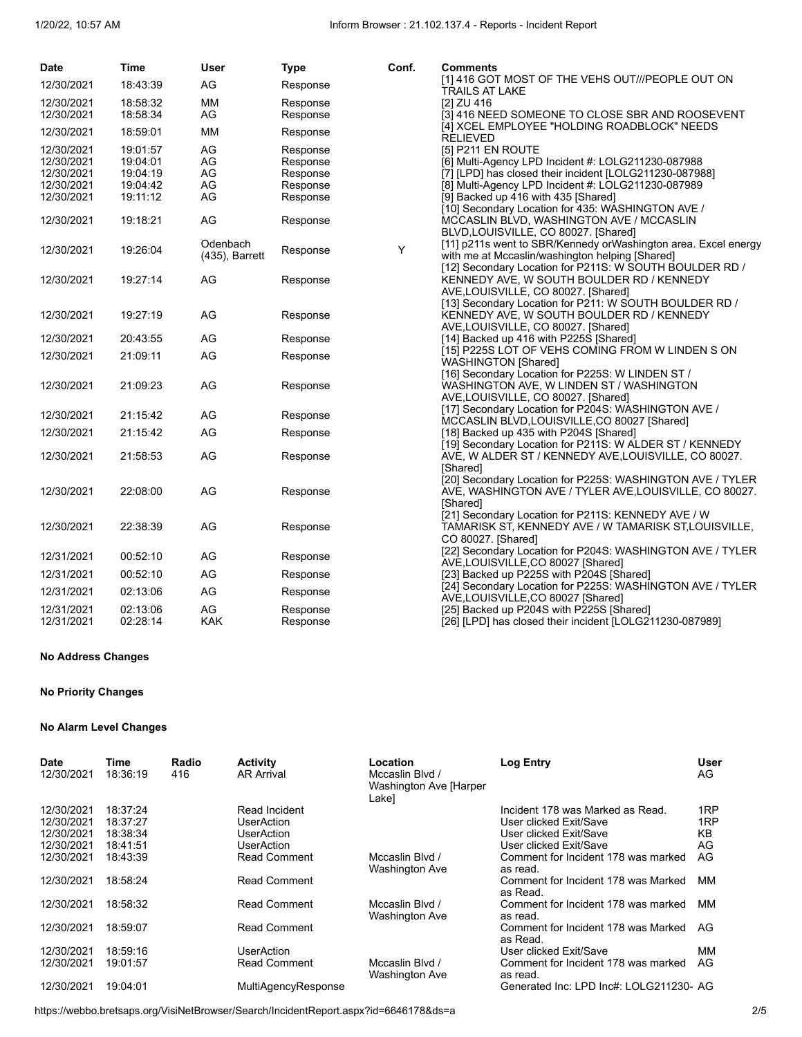| <b>Date</b>              | <b>Time</b>          | <b>User</b>      | <b>Type</b> | Conf. | <b>Comments</b>                                                                                            |
|--------------------------|----------------------|------------------|-------------|-------|------------------------------------------------------------------------------------------------------------|
| 12/30/2021               | 18:43:39             | AG               | Response    |       | [1] 416 GOT MOST OF THE VEHS OUT///PEOPLE OUT ON<br>TRAILS AT LAKE                                         |
| 12/30/2021               | 18:58:32             | <b>MM</b>        | Response    |       | [2] ZU 416                                                                                                 |
| 12/30/2021               | 18:58:34             | AG               | Response    |       | [3] 416 NEED SOMEONE TO CLOSE SBR AND ROOSEVENT                                                            |
| 12/30/2021               | 18:59:01             | <b>MM</b>        | Response    |       | [4] XCEL EMPLOYEE "HOLDING ROADBLOCK" NEEDS<br><b>RELIEVED</b>                                             |
| 12/30/2021               | 19:01:57             | AG               | Response    |       | [5] P211 EN ROUTE                                                                                          |
| 12/30/2021               | 19:04:01             | AG               | Response    |       | [6] Multi-Agency LPD Incident #: LOLG211230-087988                                                         |
| 12/30/2021               | 19:04:19             | AG               | Response    |       | [7] [LPD] has closed their incident [LOLG211230-087988]                                                    |
| 12/30/2021               | 19:04:42             | AG               | Response    |       | [8] Multi-Agency LPD Incident #: LOLG211230-087989                                                         |
| 12/30/2021               | 19:11:12             | AG               | Response    |       | [9] Backed up 416 with 435 [Shared]                                                                        |
|                          |                      |                  |             |       | [10] Secondary Location for 435: WASHINGTON AVE /                                                          |
| 12/30/2021               | 19:18:21             | AG               | Response    |       | MCCASLIN BLVD, WASHINGTON AVE / MCCASLIN                                                                   |
|                          |                      |                  |             |       | BLVD, LOUISVILLE, CO 80027. [Shared]                                                                       |
| 12/30/2021               | 19:26:04             | Odenbach         | Response    | Y     | [11] p211s went to SBR/Kennedy orWashington area. Excel energy                                             |
|                          |                      | (435), Barrett   |             |       | with me at Mccaslin/washington helping [Shared]<br>[12] Secondary Location for P211S: W SOUTH BOULDER RD / |
| 12/30/2021               | 19:27:14             | AG               | Response    |       | KENNEDY AVE, W SOUTH BOULDER RD / KENNEDY                                                                  |
|                          |                      |                  |             |       | AVE, LOUISVILLE, CO 80027. [Shared]                                                                        |
|                          |                      |                  |             |       | [13] Secondary Location for P211: W SOUTH BOULDER RD /                                                     |
| 12/30/2021               | 19:27:19             | AG               | Response    |       | KENNEDY AVE, W SOUTH BOULDER RD / KENNEDY                                                                  |
|                          |                      |                  |             |       | AVE, LOUISVILLE, CO 80027. [Shared]                                                                        |
| 12/30/2021               | 20:43:55             | AG               | Response    |       | [14] Backed up 416 with P225S [Shared]                                                                     |
| 12/30/2021               | 21:09:11             | AG               | Response    |       | [15] P225S LOT OF VEHS COMING FROM W LINDEN S ON                                                           |
|                          |                      |                  |             |       | <b>WASHINGTON [Shared]</b>                                                                                 |
|                          |                      |                  |             |       | [16] Secondary Location for P225S: W LINDEN ST /                                                           |
| 12/30/2021               | 21:09:23             | AG               | Response    |       | WASHINGTON AVE, W LINDEN ST / WASHINGTON                                                                   |
|                          |                      |                  |             |       | AVE,LOUISVILLE, CO 80027. [Shared]                                                                         |
| 12/30/2021               | 21:15:42             | AG               | Response    |       | [17] Secondary Location for P204S: WASHINGTON AVE /                                                        |
|                          | 21:15:42             | AG               |             |       | MCCASLIN BLVD, LOUISVILLE, CO 80027 [Shared]                                                               |
| 12/30/2021               |                      |                  | Response    |       | [18] Backed up 435 with P204S [Shared]<br>[19] Secondary Location for P211S: W ALDER ST / KENNEDY          |
| 12/30/2021               | 21:58:53             | AG               | Response    |       | AVE, W ALDER ST / KENNEDY AVE, LOUISVILLE, CO 80027.                                                       |
|                          |                      |                  |             |       | [Shared]                                                                                                   |
|                          |                      |                  |             |       | [20] Secondary Location for P225S: WASHINGTON AVE / TYLER                                                  |
| 12/30/2021               | 22:08:00             | AG               | Response    |       | AVE, WASHINGTON AVE / TYLER AVE, LOUISVILLE, CO 80027.                                                     |
|                          |                      |                  |             |       | [Shared]                                                                                                   |
|                          |                      |                  |             |       | [21] Secondary Location for P211S: KENNEDY AVE / W                                                         |
| 12/30/2021               | 22:38:39             | AG               | Response    |       | TAMARISK ST, KENNEDY AVE / W TAMARISK ST, LOUISVILLE,                                                      |
|                          |                      |                  |             |       | CO 80027. [Shared]                                                                                         |
| 12/31/2021               | 00:52:10             | AG               | Response    |       | [22] Secondary Location for P204S: WASHINGTON AVE / TYLER                                                  |
|                          |                      |                  |             |       | AVE,LOUISVILLE,CO 80027 [Shared]                                                                           |
| 12/31/2021               | 00:52:10             | AG               | Response    |       | [23] Backed up P225S with P204S [Shared]                                                                   |
| 12/31/2021               | 02:13:06             | AG               | Response    |       | [24] Secondary Location for P225S: WASHINGTON AVE / TYLER                                                  |
|                          |                      |                  |             |       | AVE,LOUISVILLE,CO 80027 [Shared]                                                                           |
| 12/31/2021<br>12/31/2021 | 02:13:06<br>02:28:14 | AG<br><b>KAK</b> | Response    |       | [25] Backed up P204S with P225S [Shared]                                                                   |
|                          |                      |                  | Response    |       | [26] [LPD] has closed their incident [LOLG211230-087989]                                                   |

#### **No Address Changes**

#### **No Priority Changes**

#### **No Alarm Level Changes**

| <b>Date</b><br>12/30/2021              | Time<br>18:36:19                 | Radio<br>416 | <b>Activity</b><br><b>AR Arrival</b>             | Location<br>Mccaslin Blvd /<br>Washington Ave [Harper<br>Lake] | <b>Log Entry</b>                                                                     | User<br>AG       |
|----------------------------------------|----------------------------------|--------------|--------------------------------------------------|----------------------------------------------------------------|--------------------------------------------------------------------------------------|------------------|
| 12/30/2021<br>12/30/2021<br>12/30/2021 | 18:37:24<br>18:37:27<br>18:38:34 |              | Read Incident<br><b>UserAction</b><br>UserAction |                                                                | Incident 178 was Marked as Read.<br>User clicked Exit/Save<br>User clicked Exit/Save | 1RP<br>1RP<br>KB |
| 12/30/2021<br>12/30/2021               | 18:41:51<br>18:43:39             |              | UserAction<br><b>Read Comment</b>                | Mccaslin Blvd /<br><b>Washington Ave</b>                       | User clicked Exit/Save<br>Comment for Incident 178 was marked<br>as read.            | AG<br>AG         |
| 12/30/2021                             | 18:58:24                         |              | <b>Read Comment</b>                              |                                                                | Comment for Incident 178 was Marked<br>as Read.                                      | MМ               |
| 12/30/2021                             | 18:58:32                         |              | <b>Read Comment</b>                              | Mccaslin Blvd /<br><b>Washington Ave</b>                       | Comment for Incident 178 was marked<br>as read.                                      | ΜМ               |
| 12/30/2021                             | 18:59:07                         |              | <b>Read Comment</b>                              |                                                                | Comment for Incident 178 was Marked<br>as Read.                                      | AG               |
| 12/30/2021<br>12/30/2021               | 18:59:16<br>19:01:57             |              | UserAction<br><b>Read Comment</b>                | Mccaslin Blvd /<br><b>Washington Ave</b>                       | User clicked Exit/Save<br>Comment for Incident 178 was marked<br>as read.            | MМ<br>AG         |
| 12/30/2021                             | 19:04:01                         |              | MultiAgencyResponse                              |                                                                | Generated Inc: LPD Inc#: LOLG211230- AG                                              |                  |

https://webbo.bretsaps.org/VisiNetBrowser/Search/IncidentReport.aspx?id=6646178&ds=a 2/5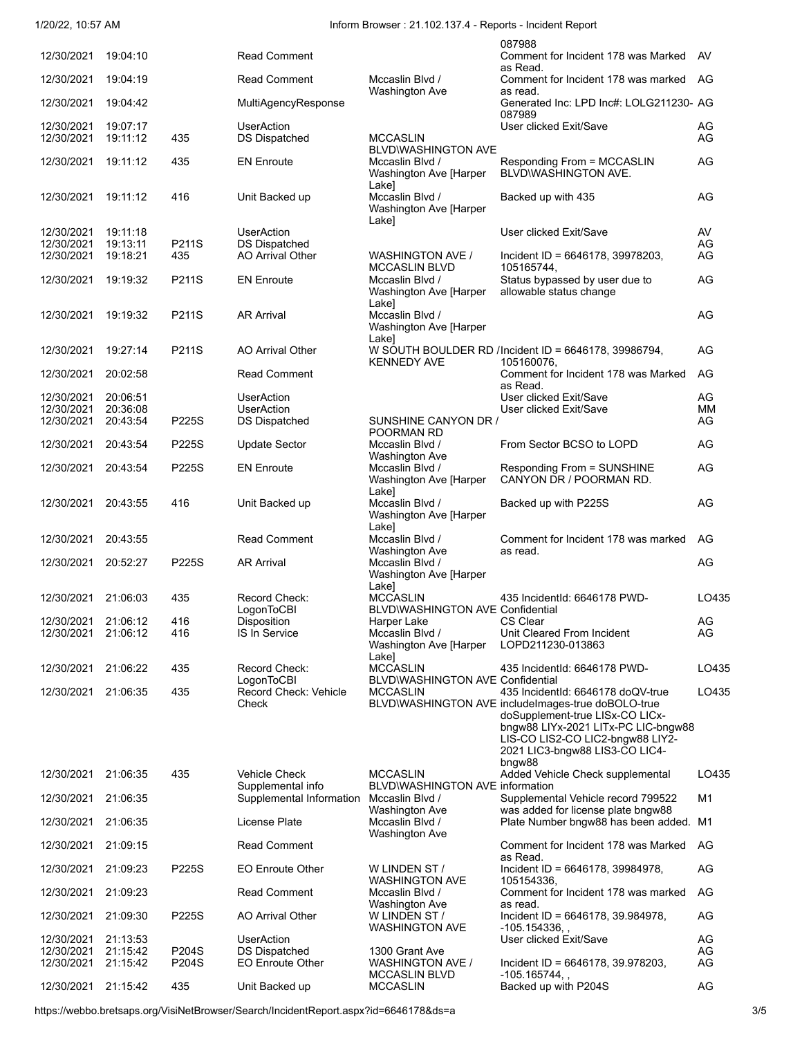1/20/22, 10:57 AM Inform Browser : 21.102.137.4 - Reports - Incident Report

|                          |                      |                |                                                 |                                                             | 087988                                                                                                                     |          |
|--------------------------|----------------------|----------------|-------------------------------------------------|-------------------------------------------------------------|----------------------------------------------------------------------------------------------------------------------------|----------|
| 12/30/2021               | 19:04:10             |                | <b>Read Comment</b>                             |                                                             | Comment for Incident 178 was Marked<br>as Read.                                                                            | AV       |
| 12/30/2021               | 19:04:19             |                | <b>Read Comment</b>                             | Mccaslin Blvd /<br><b>Washington Ave</b>                    | Comment for Incident 178 was marked AG<br>as read.                                                                         |          |
| 12/30/2021               | 19:04:42             |                | MultiAgencyResponse                             |                                                             | Generated Inc: LPD Inc#: LOLG211230- AG<br>087989                                                                          |          |
| 12/30/2021<br>12/30/2021 | 19:07:17<br>19:11:12 | 435            | <b>UserAction</b><br><b>DS Dispatched</b>       | <b>MCCASLIN</b><br><b>BLVD\WASHINGTON AVE</b>               | User clicked Exit/Save                                                                                                     | AG<br>AG |
| 12/30/2021               | 19:11:12             | 435            | <b>EN Enroute</b>                               | Mccaslin Blvd /<br>Washington Ave [Harper                   | Responding From = MCCASLIN<br>BLVD\WASHINGTON AVE.                                                                         | AG       |
| 12/30/2021               | 19:11:12             | 416            | Unit Backed up                                  | Lake]<br>Mccaslin Blvd /<br>Washington Ave [Harper<br>Lake] | Backed up with 435                                                                                                         | AG       |
| 12/30/2021               | 19:11:18             |                | <b>UserAction</b>                               |                                                             | User clicked Exit/Save                                                                                                     | AV       |
| 12/30/2021<br>12/30/2021 | 19:13:11<br>19:18:21 | P211S<br>435   | <b>DS Dispatched</b><br>AO Arrival Other        | <b>WASHINGTON AVE /</b>                                     | Incident ID = $6646178$ , 39978203,                                                                                        | AG<br>AG |
|                          |                      |                |                                                 | <b>MCCASLIN BLVD</b>                                        | 105165744.                                                                                                                 |          |
| 12/30/2021               | 19:19:32             | P211S          | <b>EN Enroute</b>                               | Mccaslin Blvd /<br>Washington Ave [Harper<br>Lake]          | Status bypassed by user due to<br>allowable status change                                                                  | AG       |
| 12/30/2021               | 19:19:32             | P211S          | <b>AR Arrival</b>                               | Mccaslin Blvd /<br>Washington Ave [Harper<br>Lake]          |                                                                                                                            | AG       |
| 12/30/2021               | 19:27:14             | P211S          | AO Arrival Other                                | <b>KENNEDY AVE</b>                                          | W SOUTH BOULDER RD /Incident ID = 6646178, 39986794,<br>105160076,                                                         | AG       |
| 12/30/2021               | 20:02:58             |                | <b>Read Comment</b>                             |                                                             | Comment for Incident 178 was Marked<br>as Read.                                                                            | AG       |
| 12/30/2021               | 20:06:51             |                | <b>UserAction</b>                               |                                                             | User clicked Exit/Save                                                                                                     | AG       |
| 12/30/2021<br>12/30/2021 | 20:36:08<br>20:43:54 | P225S          | <b>UserAction</b><br>DS Dispatched              | SUNSHINE CANYON DR /                                        | User clicked Exit/Save                                                                                                     | MМ<br>AG |
| 12/30/2021               | 20:43:54             | P225S          | <b>Update Sector</b>                            | POORMAN RD<br>Mccaslin Blvd /                               | From Sector BCSO to LOPD                                                                                                   | AG       |
|                          |                      |                |                                                 | Washington Ave                                              |                                                                                                                            |          |
| 12/30/2021               | 20:43:54             | P225S          | <b>EN Enroute</b>                               | Mccaslin Blvd /<br>Washington Ave [Harper<br>Lake]          | Responding From = SUNSHINE<br>CANYON DR / POORMAN RD.                                                                      | AG       |
| 12/30/2021               | 20:43:55             | 416            | Unit Backed up                                  | Mccaslin Blvd /<br>Washington Ave [Harper<br>Lake]          | Backed up with P225S                                                                                                       | AG       |
| 12/30/2021               | 20:43:55             |                | <b>Read Comment</b>                             | Mccaslin Blvd /<br><b>Washington Ave</b>                    | Comment for Incident 178 was marked<br>as read.                                                                            | AG       |
| 12/30/2021               | 20:52:27             | P225S          | <b>AR Arrival</b>                               | Mccaslin Blvd /<br>Washington Ave [Harper<br>Lake]          |                                                                                                                            | AG       |
| 12/30/2021               | 21:06:03             | 435            | Record Check:<br>LogonToCBI                     | <b>MCCASLIN</b><br><b>BLVD\WASHINGTON AVE Confidential</b>  | 435 IncidentId: 6646178 PWD-                                                                                               | LO435    |
| 12/30/2021               | 21:06:12             | 416            | Disposition                                     | Harper Lake                                                 | CS Clear                                                                                                                   | AG       |
| 12/30/2021 21:06:12      |                      | 416            | IS In Service                                   | Mccaslin Blvd /<br>Washington Ave [Harper<br>Lake]          | Unit Cleared From Incident<br>LOPD211230-013863                                                                            | AG       |
| 12/30/2021               | 21:06:22             | 435            | Record Check:                                   | <b>MCCASLIN</b>                                             | 435 IncidentId: 6646178 PWD-                                                                                               | LO435    |
| 12/30/2021               | 21:06:35             | 435            | LogonToCBI<br>Record Check: Vehicle<br>Check    | BLVD\WASHINGTON AVE Confidential<br><b>MCCASLIN</b>         | 435 IncidentId: 6646178 doQV-true<br>BLVD\WASHINGTON AVE includeImages-true doBOLO-true<br>doSupplement-true LISx-CO LICx- | LO435    |
|                          |                      |                |                                                 |                                                             | bngw88 LIYx-2021 LITx-PC LIC-bngw88<br>LIS-CO LIS2-CO LIC2-bngw88 LIY2-<br>2021 LIC3-bngw88 LIS3-CO LIC4-                  |          |
| 12/30/2021               | 21:06:35             | 435            | <b>Vehicle Check</b><br>Supplemental info       | <b>MCCASLIN</b><br><b>BLVD\WASHINGTON AVE information</b>   | bngw88<br>Added Vehicle Check supplemental                                                                                 | LO435    |
| 12/30/2021               | 21:06:35             |                | Supplemental Information                        | Mccaslin Blvd /<br><b>Washington Ave</b>                    | Supplemental Vehicle record 799522<br>was added for license plate bngw88                                                   | M1       |
| 12/30/2021               | 21:06:35             |                | License Plate                                   | Mccaslin Blvd /<br><b>Washington Ave</b>                    | Plate Number bngw88 has been added. M1                                                                                     |          |
| 12/30/2021               | 21:09:15             |                | <b>Read Comment</b>                             |                                                             | Comment for Incident 178 was Marked<br>as Read.                                                                            | AG       |
| 12/30/2021               | 21:09:23             | P225S          | <b>EO Enroute Other</b>                         | W LINDEN ST /<br><b>WASHINGTON AVE</b>                      | Incident ID = $6646178$ , 39984978,<br>105154336,                                                                          | AG       |
| 12/30/2021               | 21:09:23             |                | <b>Read Comment</b>                             | Mccaslin Blvd /<br><b>Washington Ave</b>                    | Comment for Incident 178 was marked<br>as read.                                                                            | AG       |
| 12/30/2021               | 21:09:30             | P225S          | AO Arrival Other                                | W LINDEN ST /<br><b>WASHINGTON AVE</b>                      | Incident ID = $6646178, 39.984978,$<br>$-105.154336,$ ,                                                                    | AG       |
| 12/30/2021               | 21:13:53             |                | <b>UserAction</b>                               |                                                             | User clicked Exit/Save                                                                                                     | AG       |
| 12/30/2021<br>12/30/2021 | 21:15:42<br>21:15:42 | P204S<br>P204S | <b>DS Dispatched</b><br><b>EO Enroute Other</b> | 1300 Grant Ave<br>WASHINGTON AVE /                          | Incident ID = $6646178, 39.978203,$                                                                                        | AG<br>AG |
| 12/30/2021               | 21:15:42             | 435            | Unit Backed up                                  | <b>MCCASLIN BLVD</b><br><b>MCCASLIN</b>                     | $-105.165744,$<br>Backed up with P204S                                                                                     | AG       |

https://webbo.bretsaps.org/VisiNetBrowser/Search/IncidentReport.aspx?id=6646178&ds=a 3/5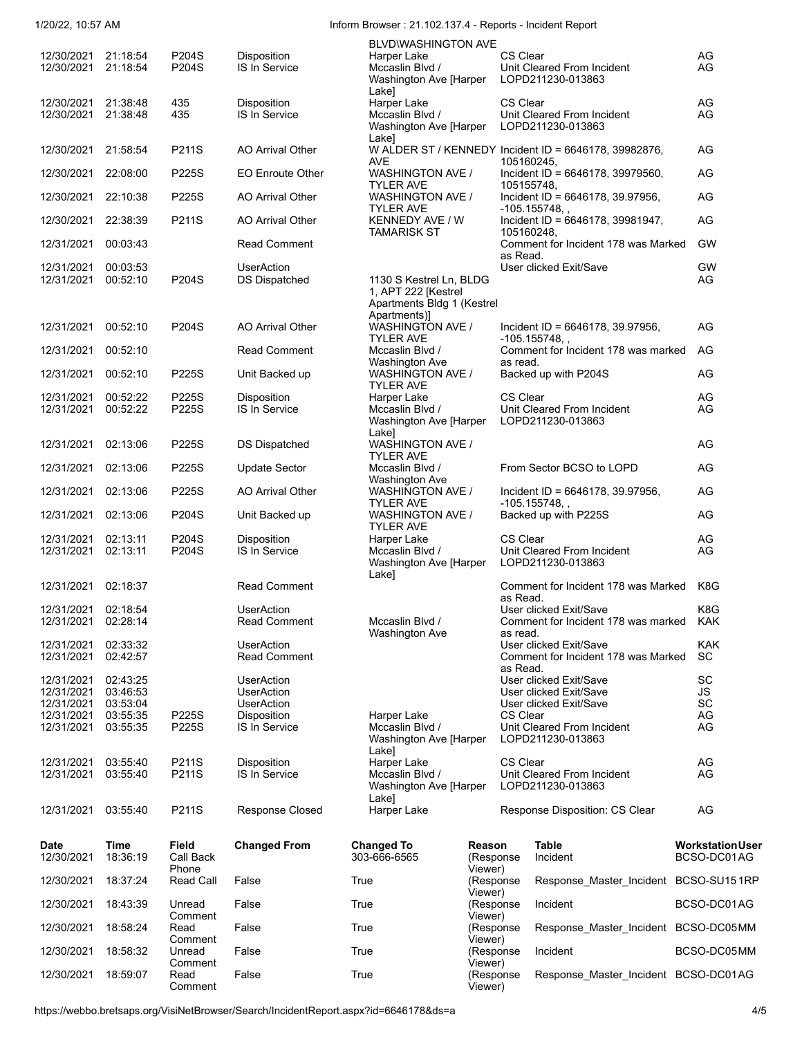1/20/22, 10:57 AM Inform Browser : 21.102.137.4 - Reports - Incident Report

|                                            |                      |                             |                                           | BLVD\WASHINGTON AVE                                                          |                                |                                                                     |                                        |
|--------------------------------------------|----------------------|-----------------------------|-------------------------------------------|------------------------------------------------------------------------------|--------------------------------|---------------------------------------------------------------------|----------------------------------------|
| 12/30/2021 21:18:54<br>12/30/2021 21:18:54 |                      | P204S<br>P204S              | Disposition<br>IS In Service              | Harper Lake<br>Mccaslin Blvd /<br>Washington Ave [Harper<br>Lake]            |                                | CS Clear<br>Unit Cleared From Incident<br>LOPD211230-013863         | AG<br>AG                               |
| 12/30/2021<br>12/30/2021                   | 21:38:48<br>21:38:48 | 435<br>435                  | Disposition<br>IS In Service              | Harper Lake<br>Mccaslin Blvd /<br>Washington Ave [Harper<br>Lake]            |                                | <b>CS Clear</b><br>Unit Cleared From Incident<br>LOPD211230-013863  | AG<br>AG                               |
| 12/30/2021                                 | 21:58:54             | P211S                       | AO Arrival Other                          | <b>AVE</b>                                                                   |                                | W ALDER ST / KENNEDY Incident ID = 6646178, 39982876,<br>105160245, | AG                                     |
| 12/30/2021                                 | 22:08:00             | P225S                       | <b>EO Enroute Other</b>                   | <b>WASHINGTON AVE /</b><br><b>TYLER AVE</b>                                  |                                | Incident ID = 6646178, 39979560,<br>105155748,                      | AG                                     |
| 12/30/2021                                 | 22:10:38             | P225S                       | AO Arrival Other                          | WASHINGTON AVE /<br><b>TYLER AVE</b>                                         |                                | Incident ID = $6646178$ , 39.97956,<br>$-105.155748,$ ,             | AG                                     |
| 12/30/2021 22:38:39                        |                      | P211S                       | <b>AO Arrival Other</b>                   | KENNEDY AVE / W<br><b>TAMARISK ST</b>                                        |                                | Incident ID = 6646178, 39981947,<br>105160248,                      | AG                                     |
| 12/31/2021                                 | 00:03:43             |                             | <b>Read Comment</b>                       |                                                                              |                                | Comment for Incident 178 was Marked<br>as Read.                     | <b>GW</b>                              |
| 12/31/2021<br>12/31/2021                   | 00:03:53<br>00:52:10 | P204S                       | <b>UserAction</b><br><b>DS Dispatched</b> | 1130 S Kestrel Ln, BLDG<br>1, APT 222 [Kestrel<br>Apartments Bldg 1 (Kestrel |                                | User clicked Exit/Save                                              | <b>GW</b><br>AG                        |
| 12/31/2021                                 | 00:52:10             | P204S                       | AO Arrival Other                          | Apartments)]<br><b>WASHINGTON AVE /</b>                                      |                                | Incident ID = $6646178$ , 39.97956,<br>$-105.155748.$               | AG                                     |
| 12/31/2021                                 | 00:52:10             |                             | <b>Read Comment</b>                       | <b>TYLER AVE</b><br>Mccaslin Blvd /                                          |                                | Comment for Incident 178 was marked<br>as read.                     | AG.                                    |
| 12/31/2021                                 | 00:52:10             | P225S                       | Unit Backed up                            | <b>Washington Ave</b><br><b>WASHINGTON AVE /</b><br><b>TYLER AVE</b>         |                                | Backed up with P204S                                                | AG                                     |
| 12/31/2021                                 | 00:52:22             | P225S                       | Disposition                               | Harper Lake                                                                  |                                | <b>CS Clear</b>                                                     | AG                                     |
| 12/31/2021 00:52:22                        |                      | P225S                       | IS In Service                             | Mccaslin Blvd /<br>Washington Ave [Harper<br>Lake]                           |                                | Unit Cleared From Incident<br>LOPD211230-013863                     | AG                                     |
| 12/31/2021                                 | 02:13:06             | P225S                       | <b>DS Dispatched</b>                      | <b>WASHINGTON AVE /</b><br><b>TYLER AVE</b>                                  |                                |                                                                     | AG                                     |
| 12/31/2021                                 | 02:13:06             | P225S                       | <b>Update Sector</b>                      | Mccaslin Blvd /<br>Washington Ave                                            |                                | From Sector BCSO to LOPD                                            | AG                                     |
| 12/31/2021                                 | 02:13:06             | P225S                       | <b>AO Arrival Other</b>                   | WASHINGTON AVE /<br><b>TYLER AVE</b>                                         |                                | Incident ID = $6646178$ , 39.97956,<br>$-105.155748.$               | AG                                     |
| 12/31/2021 02:13:06                        |                      | P204S                       | Unit Backed up                            | WASHINGTON AVE /<br><b>TYLER AVE</b>                                         |                                | Backed up with P225S                                                | AG                                     |
| 12/31/2021<br>12/31/2021 02:13:11          | 02:13:11             | P204S<br>P204S              | Disposition<br>IS In Service              | Harper Lake<br>Mccaslin Blvd /<br>Washington Ave [Harper<br>Lake]            |                                | <b>CS Clear</b><br>Unit Cleared From Incident<br>LOPD211230-013863  | AG<br>AG                               |
| 12/31/2021                                 | 02:18:37             |                             | <b>Read Comment</b>                       |                                                                              |                                | Comment for Incident 178 was Marked<br>as Read.                     | K8G                                    |
| 12/31/2021<br>12/31/2021                   | 02:18:54<br>02:28:14 |                             | <b>UserAction</b><br>Read Comment         | Mccaslin Blvd /                                                              |                                | User clicked Exit/Save<br>Comment for Incident 178 was marked       | K8G<br>KAK.                            |
| 12/31/2021                                 | 02:33:32             |                             | <b>UserAction</b>                         | Washington Ave                                                               |                                | as read.<br>User clicked Exit/Save                                  | KAK                                    |
| 12/31/2021                                 | 02:42:57             |                             | <b>Read Comment</b>                       |                                                                              |                                | Comment for Incident 178 was Marked<br>as Read.                     | SC                                     |
| 12/31/2021<br>12/31/2021                   | 02:43:25<br>03:46:53 |                             | <b>UserAction</b><br><b>UserAction</b>    |                                                                              |                                | User clicked Exit/Save<br>User clicked Exit/Save                    | SC<br>JS                               |
| 12/31/2021                                 | 03:53:04             |                             | <b>UserAction</b>                         |                                                                              |                                | User clicked Exit/Save                                              | SC                                     |
| 12/31/2021<br>12/31/2021                   | 03:55:35<br>03:55:35 | P225S<br>P225S              | Disposition<br>IS In Service              | Harper Lake<br>Mccaslin Blvd /<br>Washington Ave [Harper<br>Lake]            |                                | CS Clear<br>Unit Cleared From Incident<br>LOPD211230-013863         | AG<br>AG                               |
| 12/31/2021<br>12/31/2021                   | 03:55:40<br>03:55:40 | P211S<br>P211S              | <b>Disposition</b><br>IS In Service       | Harper Lake<br>Mccaslin Blvd /<br>Washington Ave [Harper                     |                                | <b>CS Clear</b><br>Unit Cleared From Incident<br>LOPD211230-013863  | AG<br>AG                               |
| 12/31/2021 03:55:40                        |                      | P211S                       | <b>Response Closed</b>                    | Lake]<br>Harper Lake                                                         |                                | Response Disposition: CS Clear                                      | AG                                     |
| Date<br>12/30/2021                         | Time<br>18:36:19     | Field<br>Call Back<br>Phone | <b>Changed From</b>                       | <b>Changed To</b><br>303-666-6565                                            | Reason<br>(Response<br>Viewer) | <b>Table</b><br>Incident                                            | <b>Workstation User</b><br>BCSO-DC01AG |
| 12/30/2021                                 | 18:37:24             | Read Call                   | False                                     | True                                                                         | (Response<br>Viewer)           | Response_Master_Incident BCSO-SU151RP                               |                                        |
| 12/30/2021                                 | 18:43:39             | Unread<br>Comment           | False                                     | True                                                                         | (Response<br>Viewer)           | Incident                                                            | BCSO-DC01AG                            |
| 12/30/2021                                 | 18:58:24             | Read<br>Comment             | False                                     | True                                                                         | (Response<br>Viewer)           | Response Master Incident BCSO-DC05MM                                |                                        |
| 12/30/2021                                 | 18:58:32             | Unread<br>Comment           | False                                     | True                                                                         | (Response<br>Viewer)           | Incident                                                            | BCSO-DC05MM                            |
| 12/30/2021                                 | 18:59:07             | Read<br>Comment             | False                                     | True                                                                         | (Response<br>Viewer)           | Response_Master_Incident BCSO-DC01AG                                |                                        |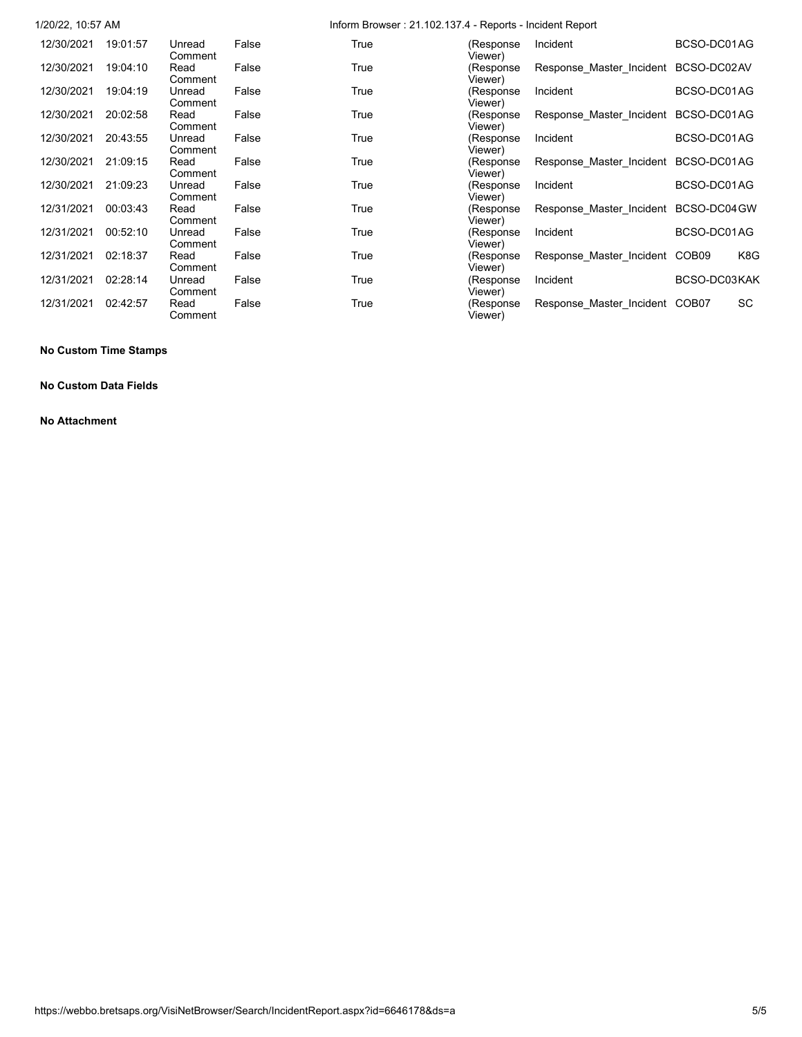| 1/20/22, 10:57 AM |          |                   |       | Inform Browser: 21.102.137.4 - Reports - Incident Report |                       |                                      |              |           |
|-------------------|----------|-------------------|-------|----------------------------------------------------------|-----------------------|--------------------------------------|--------------|-----------|
| 12/30/2021        | 19:01:57 | Unread<br>Comment | False | True                                                     | (Response<br>Viewer)  | Incident                             | BCSO-DC01AG  |           |
| 12/30/2021        | 19:04:10 | Read<br>Comment   | False | True                                                     | (Response<br>Viewer)  | Response Master Incident             | BCSO-DC02AV  |           |
| 12/30/2021        | 19:04:19 | Unread<br>Comment | False | True                                                     | (Response<br>Viewer)  | Incident                             | BCSO-DC01AG  |           |
| 12/30/2021        | 20:02:58 | Read<br>Comment   | False | True                                                     | (Response<br>Viewer)  | Response Master Incident             | BCSO-DC01AG  |           |
| 12/30/2021        | 20:43:55 | Unread<br>Comment | False | True                                                     | (Response<br>Viewer)  | Incident                             | BCSO-DC01AG  |           |
| 12/30/2021        | 21:09:15 | Read<br>Comment   | False | True                                                     | (Response<br>Viewer). | Response Master Incident BCSO-DC01AG |              |           |
| 12/30/2021        | 21:09:23 | Unread<br>Comment | False | True                                                     | (Response<br>Viewer)  | Incident                             | BCSO-DC01AG  |           |
| 12/31/2021        | 00:03:43 | Read<br>Comment   | False | True                                                     | (Response<br>Viewer)  | Response_Master_Incident BCSO-DC04GW |              |           |
| 12/31/2021        | 00:52:10 | Unread<br>Comment | False | True                                                     | (Response<br>Viewer)  | Incident                             | BCSO-DC01AG  |           |
| 12/31/2021        | 02:18:37 | Read<br>Comment   | False | True                                                     | (Response<br>Viewer)  | Response Master Incident COB09       |              | K8G       |
| 12/31/2021        | 02:28:14 | Unread<br>Comment | False | True                                                     | (Response<br>Viewer)  | Incident                             | BCSO-DC03KAK |           |
| 12/31/2021        | 02:42:57 | Read<br>Comment   | False | True                                                     | (Response<br>Viewer)  | Response Master Incident COB07       |              | <b>SC</b> |

## **No Custom Time Stamps**

## **No Custom Data Fields**

**No Attachment**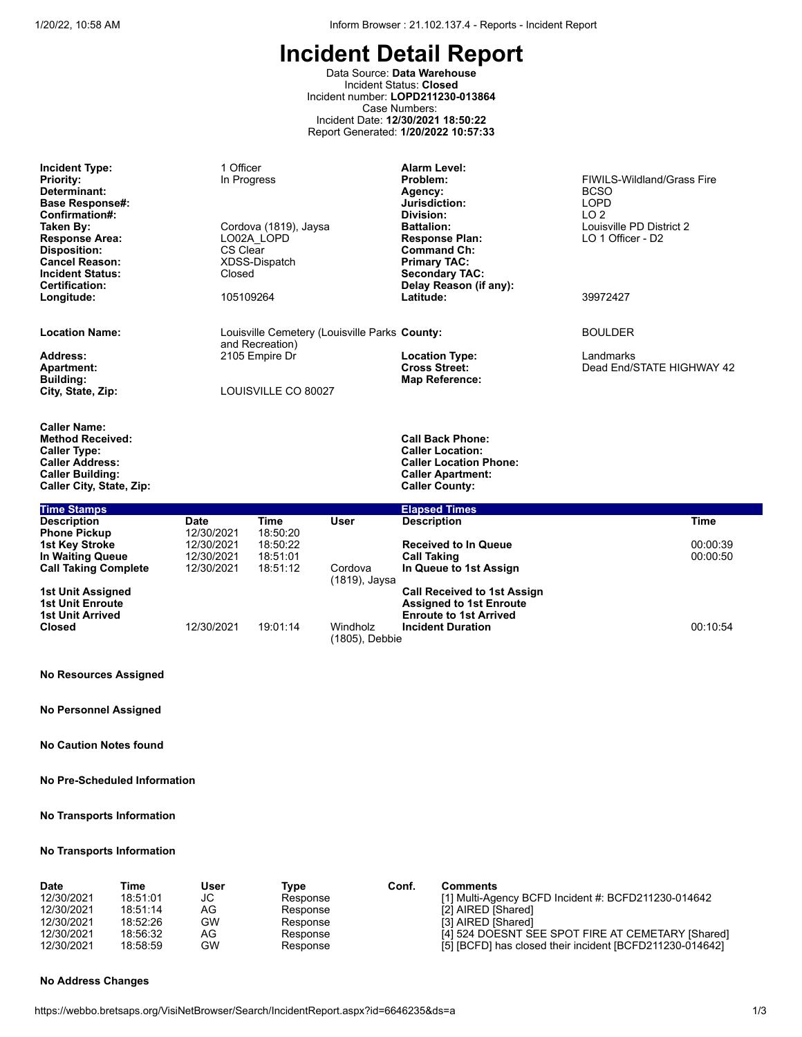Data Source: **Data Warehouse** Incident Status: **Closed** Incident number: **LOPD211230-013864** Case Numbers: Incident Date: **12/30/2021 18:50:22** Report Generated: **1/20/2022 10:57:33**

| <b>Incident Type:</b><br><b>Priority:</b><br>Determinant:<br><b>Base Response#:</b><br>Confirmation#:<br>Taken By:<br><b>Response Area:</b><br><b>Disposition:</b> | 1 Officer<br>In Progress<br>Cordova (1819), Jaysa<br>LO02A LOPD<br>CS Clear | <b>Alarm Level:</b><br>Problem:<br>Agency:<br>Jurisdiction:<br>Division:<br><b>Battalion:</b><br><b>Response Plan:</b><br><b>Command Ch:</b> | <b>FIWII S-Wildland/Grass Fire</b><br><b>BCSO</b><br>LOPD<br>LO <sub>2</sub><br>Louisville PD District 2<br>LO 1 Officer - D2 |
|--------------------------------------------------------------------------------------------------------------------------------------------------------------------|-----------------------------------------------------------------------------|----------------------------------------------------------------------------------------------------------------------------------------------|-------------------------------------------------------------------------------------------------------------------------------|
| <b>Cancel Reason:</b><br><b>Incident Status:</b><br><b>Certification:</b><br>Longitude:                                                                            | XDSS-Dispatch<br>Closed<br>105109264                                        | <b>Primary TAC:</b><br><b>Secondary TAC:</b><br>Delay Reason (if any):<br>Latitude:                                                          | 39972427                                                                                                                      |
| <b>Location Name:</b>                                                                                                                                              | Louisville Cemetery (Louisville Parks County:<br>and Recreation)            |                                                                                                                                              | <b>BOULDER</b>                                                                                                                |
| Address:<br><b>Apartment:</b><br><b>Building:</b><br>City, State, Zip:                                                                                             | 2105 Empire Dr<br>LOUISVILLE CO 80027                                       | <b>Location Type:</b><br><b>Cross Street:</b><br>Map Reference:                                                                              | Landmarks<br>Dead End/STATE HIGHWAY 42                                                                                        |
| <b>Caller Name:</b><br><b>Method Received:</b><br><b>Caller Type:</b><br><b>Caller Address:</b><br><b>Caller Building:</b>                                         |                                                                             | <b>Call Back Phone:</b><br><b>Caller Location:</b><br><b>Caller Location Phone:</b><br><b>Caller Apartment:</b>                              |                                                                                                                               |

| <b>Time Stamps</b>                                               |            |          |                            | <b>Elapsed Times</b>                                                                                  |          |
|------------------------------------------------------------------|------------|----------|----------------------------|-------------------------------------------------------------------------------------------------------|----------|
| <b>Description</b>                                               | Date       | Time     | User                       | <b>Description</b>                                                                                    | Time     |
| <b>Phone Pickup</b>                                              | 12/30/2021 | 18:50:20 |                            |                                                                                                       |          |
| 1st Key Stroke                                                   | 12/30/2021 | 18:50:22 |                            | <b>Received to In Queue</b>                                                                           | 00:00:39 |
| In Waiting Queue                                                 | 12/30/2021 | 18:51:01 |                            | <b>Call Taking</b>                                                                                    | 00:00:50 |
| <b>Call Taking Complete</b>                                      | 12/30/2021 | 18:51:12 | Cordova<br>(1819), Jaysa   | In Queue to 1st Assign                                                                                |          |
| 1st Unit Assigned<br><b>1st Unit Enroute</b><br>1st Unit Arrived |            |          |                            | <b>Call Received to 1st Assign</b><br><b>Assigned to 1st Enroute</b><br><b>Enroute to 1st Arrived</b> |          |
| <b>Closed</b>                                                    | 12/30/2021 | 19:01:14 | Windholz<br>(1805), Debbie | <b>Incident Duration</b>                                                                              | 00:10:54 |

#### **No Resources Assigned**

**No Personnel Assigned**

**No Caution Notes found**

**No Pre-Scheduled Information**

**No Transports Information**

#### **No Transports Information**

| <b>Date</b> | Time     | User | Tvpe     | Conf. | <b>Comments</b>                                          |
|-------------|----------|------|----------|-------|----------------------------------------------------------|
| 12/30/2021  | 18:51:01 | JС   | Response |       | [1] Multi-Agency BCFD Incident #: BCFD211230-014642      |
| 12/30/2021  | 18:51:14 | AG   | Response |       | [2] AIRED [Shared]                                       |
| 12/30/2021  | 18:52:26 | GW   | Response |       | [3] AIRED [Shared]                                       |
| 12/30/2021  | 18:56:32 | AG   | Response |       | [4] 524 DOESNT SEE SPOT FIRE AT CEMETARY [Shared]        |
| 12/30/2021  | 18:58:59 | GW   | Response |       | [5] [BCFD] has closed their incident [BCFD211230-014642] |

#### **No Address Changes**

**Caller City, State, Zip: Caller County:**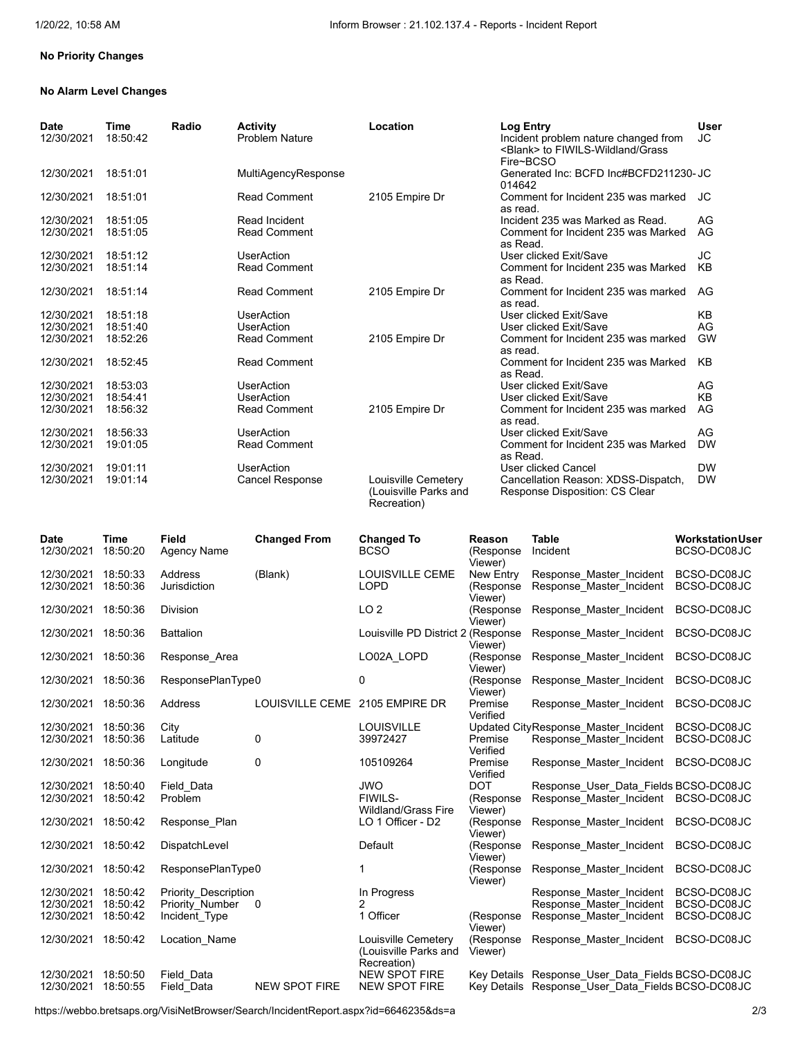### **No Priority Changes**

### **No Alarm Level Changes**

| <b>Date</b><br>12/30/2021 | Time<br>18:50:42 | Radio | <b>Activity</b><br><b>Problem Nature</b> | Location                                                    | <b>Log Entry</b><br>Incident problem nature changed from<br><blank> to FIWILS-Wildland/Grass<br/>Fire~BCSO</blank> | <b>User</b><br>JС |
|---------------------------|------------------|-------|------------------------------------------|-------------------------------------------------------------|--------------------------------------------------------------------------------------------------------------------|-------------------|
| 12/30/2021                | 18:51:01         |       | MultiAgencyResponse                      |                                                             | Generated Inc: BCFD Inc#BCFD211230-JC<br>014642                                                                    |                   |
| 12/30/2021                | 18:51:01         |       | <b>Read Comment</b>                      | 2105 Empire Dr                                              | Comment for Incident 235 was marked<br>as read.                                                                    | JC.               |
| 12/30/2021                | 18:51:05         |       | Read Incident                            |                                                             | Incident 235 was Marked as Read.                                                                                   | AG                |
| 12/30/2021                | 18:51:05         |       | <b>Read Comment</b>                      |                                                             | Comment for Incident 235 was Marked<br>as Read.                                                                    | AG                |
| 12/30/2021                | 18:51:12         |       | <b>UserAction</b>                        |                                                             | User clicked Exit/Save                                                                                             | JС                |
| 12/30/2021                | 18:51:14         |       | <b>Read Comment</b>                      |                                                             | Comment for Incident 235 was Marked<br>as Read.                                                                    | KB                |
| 12/30/2021                | 18:51:14         |       | <b>Read Comment</b>                      | 2105 Empire Dr                                              | Comment for Incident 235 was marked<br>as read.                                                                    | AG                |
| 12/30/2021                | 18:51:18         |       | <b>UserAction</b>                        |                                                             | User clicked Exit/Save                                                                                             | KВ                |
| 12/30/2021                | 18:51:40         |       | <b>UserAction</b>                        |                                                             | User clicked Exit/Save                                                                                             | AG                |
| 12/30/2021                | 18:52:26         |       | <b>Read Comment</b>                      | 2105 Empire Dr                                              | Comment for Incident 235 was marked<br>as read.                                                                    | <b>GW</b>         |
| 12/30/2021                | 18:52:45         |       | <b>Read Comment</b>                      |                                                             | Comment for Incident 235 was Marked<br>as Read.                                                                    | KB                |
| 12/30/2021                | 18:53:03         |       | <b>UserAction</b>                        |                                                             | User clicked Exit/Save                                                                                             | AG                |
| 12/30/2021                | 18:54:41         |       | <b>UserAction</b>                        |                                                             | User clicked Exit/Save                                                                                             | KB                |
| 12/30/2021                | 18:56:32         |       | <b>Read Comment</b>                      | 2105 Empire Dr                                              | Comment for Incident 235 was marked<br>as read.                                                                    | AG                |
| 12/30/2021                | 18:56:33         |       | <b>UserAction</b>                        |                                                             | User clicked Exit/Save                                                                                             | AG                |
| 12/30/2021                | 19:01:05         |       | <b>Read Comment</b>                      |                                                             | Comment for Incident 235 was Marked<br>as Read.                                                                    | <b>DW</b>         |
| 12/30/2021                | 19:01:11         |       | <b>UserAction</b>                        |                                                             | User clicked Cancel                                                                                                | <b>DW</b>         |
| 12/30/2021                | 19:01:14         |       | Cancel Response                          | Louisville Cemetery<br>(Louisville Parks and<br>Recreation) | Cancellation Reason: XDSS-Dispatch,<br>Response Disposition: CS Clear                                              | <b>DW</b>         |

| <b>Date</b><br>12/30/2021              | Time<br>18:50:20                 | <b>Field</b><br><b>Agency Name</b>                       | <b>Changed From</b>            | <b>Changed To</b><br><b>BCSO</b>                            | Reason<br>(Response                          | <b>Table</b><br>Incident                                                                               | <b>Workstation User</b><br>BCSO-DC08JC    |
|----------------------------------------|----------------------------------|----------------------------------------------------------|--------------------------------|-------------------------------------------------------------|----------------------------------------------|--------------------------------------------------------------------------------------------------------|-------------------------------------------|
| 12/30/2021<br>12/30/2021               | 18:50:33<br>18:50:36             | Address<br>Jurisdiction                                  | (Blank)                        | <b>LOUISVILLE CEME</b><br><b>LOPD</b>                       | Viewer)<br>New Entry<br>(Response<br>Viewer) | Response Master Incident<br>Response Master Incident                                                   | BCSO-DC08JC<br>BCSO-DC08JC                |
| 12/30/2021                             | 18:50:36                         | <b>Division</b>                                          |                                | LO <sub>2</sub>                                             | (Response<br>Viewer)                         | Response Master Incident                                                                               | BCSO-DC08JC                               |
| 12/30/2021                             | 18:50:36                         | <b>Battalion</b>                                         |                                | Louisville PD District 2 (Response                          | Viewer)                                      | Response Master Incident                                                                               | BCSO-DC08JC                               |
| 12/30/2021                             | 18:50:36                         | Response Area                                            |                                | LO02A LOPD                                                  | (Response<br>Viewer)                         | Response Master Incident                                                                               | BCSO-DC08JC                               |
| 12/30/2021                             | 18:50:36                         | ResponsePlanType0                                        |                                | 0                                                           | (Response<br>Viewer)                         | Response Master Incident                                                                               | BCSO-DC08JC                               |
| 12/30/2021                             | 18:50:36                         | Address                                                  | LOUISVILLE CEME 2105 EMPIRE DR |                                                             | Premise<br>Verified                          | Response Master Incident                                                                               | BCSO-DC08JC                               |
| 12/30/2021<br>12/30/2021               | 18:50:36<br>18:50:36             | City<br>Latitude                                         | 0                              | <b>LOUISVILLE</b><br>39972427                               | Premise<br>Verified                          | Updated CityResponse Master Incident<br>Response Master Incident                                       | BCSO-DC08JC<br>BCSO-DC08JC                |
| 12/30/2021                             | 18:50:36                         | Longitude                                                | 0                              | 105109264                                                   | Premise<br>Verified                          | Response Master Incident                                                                               | BCSO-DC08JC                               |
| 12/30/2021<br>12/30/2021               | 18:50:40<br>18:50:42             | Field Data<br>Problem                                    |                                | <b>JWO</b><br>FIWILS-<br><b>Wildland/Grass Fire</b>         | <b>DOT</b><br>(Response<br>Viewer)           | Response User Data Fields BCSO-DC08JC<br>Response Master Incident                                      | BCSO-DC08JC                               |
| 12/30/2021                             | 18:50:42                         | Response Plan                                            |                                | LO 1 Officer - D2                                           | (Response<br>Viewer)                         | Response Master Incident                                                                               | BCSO-DC08JC                               |
| 12/30/2021                             | 18:50:42                         | DispatchLevel                                            |                                | Default                                                     | (Response<br>Viewer)                         | Response Master Incident                                                                               | BCSO-DC08JC                               |
| 12/30/2021                             | 18:50:42                         | ResponsePlanType0                                        |                                | 1                                                           | (Response<br>Viewer)                         | Response Master Incident                                                                               | BCSO-DC08JC                               |
| 12/30/2021<br>12/30/2021<br>12/30/2021 | 18:50:42<br>18:50:42<br>18:50:42 | Priority_Description<br>Priority Number<br>Incident Type | $\mathbf 0$                    | In Progress<br>$\overline{2}$<br>1 Officer                  | (Response<br>Viewer)                         | Response Master Incident<br>Response Master Incident<br>Response Master Incident                       | BCSO-DC08JC<br>BCSO-DC08JC<br>BCSO-DC08JC |
| 12/30/2021                             | 18:50:42                         | Location Name                                            |                                | Louisville Cemetery<br>(Louisville Parks and<br>Recreation) | (Response<br>Viewer)                         | Response Master Incident                                                                               | BCSO-DC08JC                               |
| 12/30/2021<br>12/30/2021               | 18:50:50<br>18:50:55             | Field Data<br>Field Data                                 | <b>NEW SPOT FIRE</b>           | <b>NEW SPOT FIRE</b><br><b>NEW SPOT FIRE</b>                |                                              | Key Details Response User Data Fields BCSO-DC08JC<br>Key Details Response User Data Fields BCSO-DC08JC |                                           |
|                                        |                                  |                                                          |                                |                                                             |                                              |                                                                                                        |                                           |

https://webbo.bretsaps.org/VisiNetBrowser/Search/IncidentReport.aspx?id=6646235&ds=a 2/3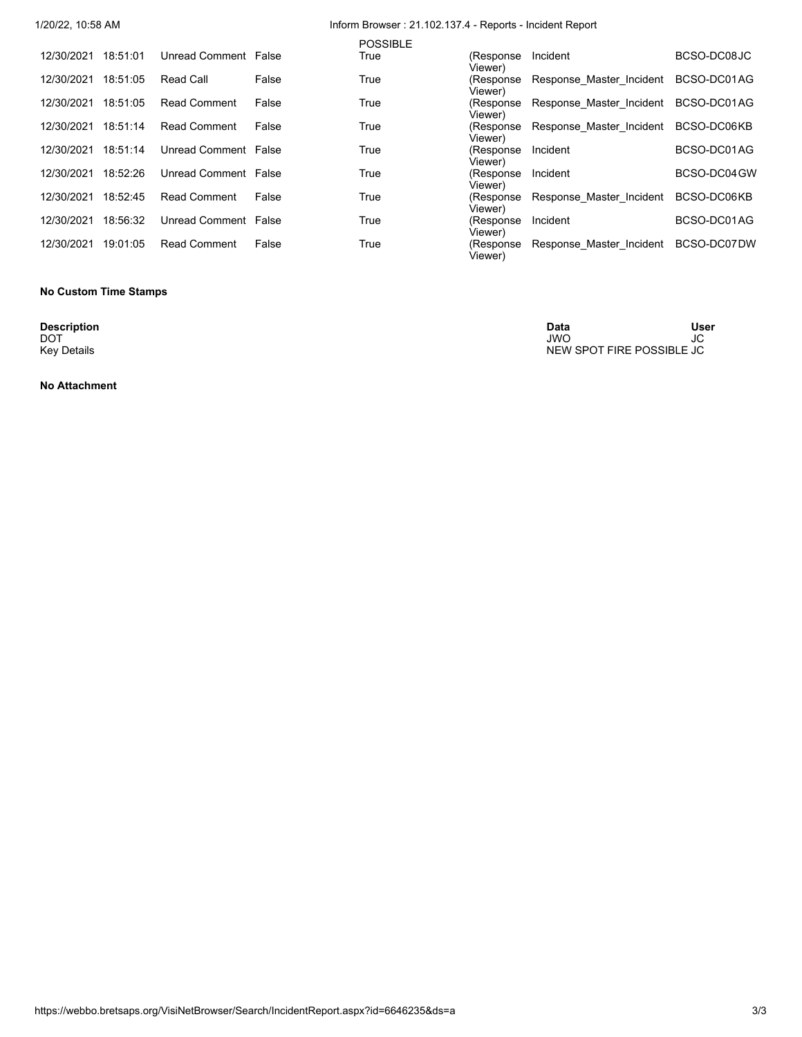|  |  | 1/20/22. 10:58 AM |
|--|--|-------------------|
|  |  |                   |

# Inform Browser : 21.102.137.4 - Reports - Incident Report

|            |          |                      |       | <b>POSSIBLE</b> |                       |                          |              |
|------------|----------|----------------------|-------|-----------------|-----------------------|--------------------------|--------------|
| 12/30/2021 | 18:51:01 | Unread Comment False |       | True            | (Response<br>Viewer)  | Incident                 | BCSO-DC08JC  |
| 12/30/2021 | 18:51:05 | Read Call            | False | True            | (Response<br>Viewer)  | Response Master Incident | BCSO-DC01AG  |
| 12/30/2021 | 18:51:05 | <b>Read Comment</b>  | False | True            | (Response<br>Viewer)  | Response Master Incident | BCSO-DC01AG  |
| 12/30/2021 | 18:51:14 | <b>Read Comment</b>  | False | True            | (Response<br>Viewer)  | Response Master Incident | BCSO-DC06KB  |
| 12/30/2021 | 18:51:14 | Unread Comment False |       | True            | (Response)<br>Viewer) | Incident                 | BCSO-DC01AG  |
| 12/30/2021 | 18:52:26 | Unread Comment False |       | True            | (Response)<br>Viewer) | Incident                 | BCSO-DC04 GW |
| 12/30/2021 | 18:52:45 | <b>Read Comment</b>  | False | True            | (Response<br>Viewer)  | Response Master Incident | BCSO-DC06KB  |
| 12/30/2021 | 18:56:32 | Unread Comment False |       | True            | (Response<br>Viewer)  | Incident                 | BCSO-DC01AG  |
| 12/30/2021 | 19:01:05 | <b>Read Comment</b>  | False | True            | (Response)<br>Viewer) | Response Master Incident | BCSO-DC07DW  |

### **No Custom Time Stamps**

**Description**<br>DOT<br>Key Details

**No Attachment**

**Description Data User** DOT JWO JC Key Details New Spot Transfer of the United States of the United States of the NEW SPOT FIRE POSSIBLE JC New Spot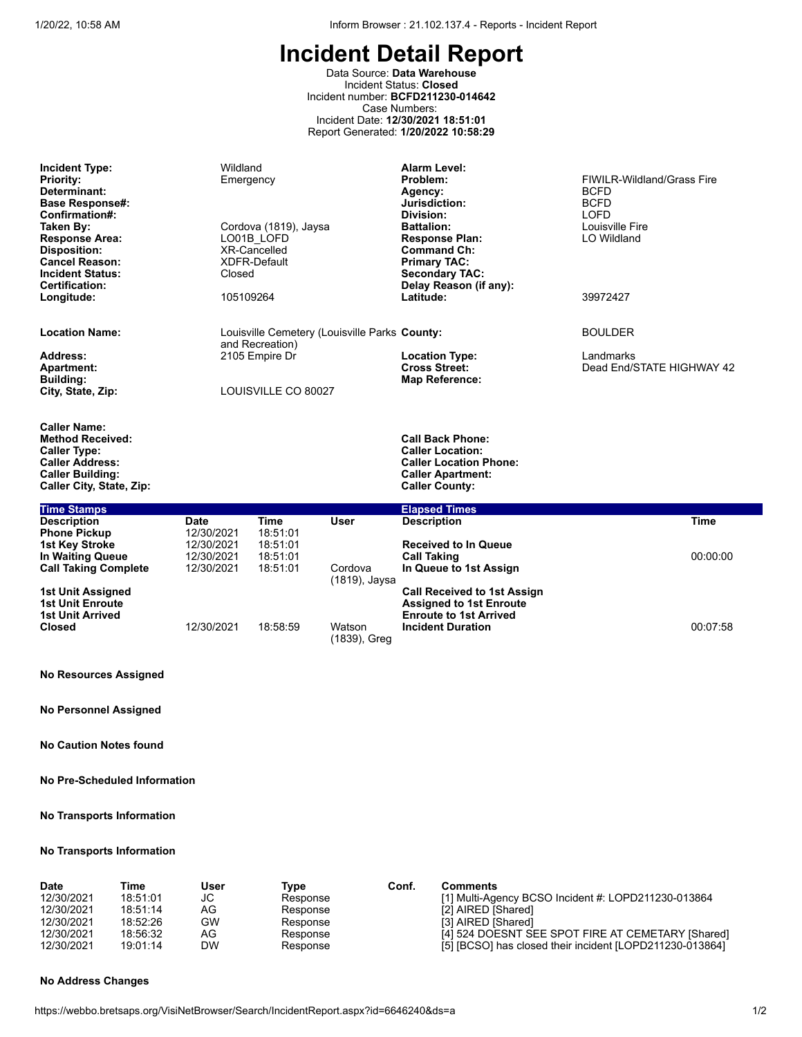**Assigned to 1st Enroute Enroute to 1st Arrived** 

**Incident Duration** 00:07:58

# **Incident Detail Report**

Data Source: **Data Warehouse** Incident Status: **Closed** Incident number: **BCFD211230-014642** Case Numbers: Incident Date: **12/30/2021 18:51:01** Report Generated: **1/20/2022 10:58:29**

| <b>Incident Type:</b><br><b>Priority:</b><br>Determinant:<br><b>Base Response#:</b><br>Confirmation#:<br>Taken By:<br><b>Response Area:</b><br><b>Disposition:</b><br><b>Cancel Reason:</b><br><b>Incident Status:</b><br><b>Certification:</b> | Wildland<br>Emergency<br>Closed                              | Cordova (1819), Jaysa<br>LO01B LOFD<br><b>XR-Cancelled</b><br><b>XDFR-Default</b> |                                               | <b>Alarm Level:</b><br>Problem:<br>Agency:<br>Jurisdiction:<br>Division:<br><b>Battalion:</b><br><b>Response Plan:</b><br><b>Command Ch:</b><br><b>Primary TAC:</b><br><b>Secondary TAC:</b><br>Delay Reason (if any): | FIWILR-Wildland/Grass Fire<br><b>BCFD</b><br><b>BCFD</b><br><b>LOFD</b><br>Louisville Fire<br>LO Wildland |
|-------------------------------------------------------------------------------------------------------------------------------------------------------------------------------------------------------------------------------------------------|--------------------------------------------------------------|-----------------------------------------------------------------------------------|-----------------------------------------------|------------------------------------------------------------------------------------------------------------------------------------------------------------------------------------------------------------------------|-----------------------------------------------------------------------------------------------------------|
| Longitude:                                                                                                                                                                                                                                      | 105109264                                                    |                                                                                   |                                               | Latitude:                                                                                                                                                                                                              | 39972427                                                                                                  |
| <b>Location Name:</b>                                                                                                                                                                                                                           |                                                              | and Recreation)                                                                   | Louisville Cemetery (Louisville Parks County: |                                                                                                                                                                                                                        | <b>BOULDER</b>                                                                                            |
| Address:<br><b>Apartment:</b><br><b>Building:</b>                                                                                                                                                                                               |                                                              | 2105 Empire Dr                                                                    |                                               | <b>Location Type:</b><br><b>Cross Street:</b><br><b>Map Reference:</b>                                                                                                                                                 | Landmarks<br>Dead End/STATE HIGHWAY 42                                                                    |
| City, State, Zip:                                                                                                                                                                                                                               |                                                              | LOUISVILLE CO 80027                                                               |                                               |                                                                                                                                                                                                                        |                                                                                                           |
| <b>Caller Name:</b><br><b>Method Received:</b><br><b>Caller Type:</b><br><b>Caller Address:</b><br><b>Caller Building:</b><br>Caller City, State, Zip:                                                                                          |                                                              |                                                                                   |                                               | <b>Call Back Phone:</b><br><b>Caller Location:</b><br><b>Caller Location Phone:</b><br><b>Caller Apartment:</b><br><b>Caller County:</b>                                                                               |                                                                                                           |
| <b>Time Stamps</b>                                                                                                                                                                                                                              |                                                              |                                                                                   |                                               | <b>Elapsed Times</b>                                                                                                                                                                                                   |                                                                                                           |
| <b>Description</b><br><b>Phone Pickup</b><br><b>1st Key Stroke</b><br>In Waiting Queue<br><b>Call Taking Complete</b>                                                                                                                           | Date<br>12/30/2021<br>12/30/2021<br>12/30/2021<br>12/30/2021 | <b>Time</b><br>18:51:01<br>18:51:01<br>18:51:01<br>18:51:01                       | User<br>Cordova                               | <b>Description</b><br><b>Received to In Queue</b><br><b>Call Taking</b><br>In Queue to 1st Assign                                                                                                                      | <b>Time</b><br>00:00:00                                                                                   |
| 1st Unit Assigned                                                                                                                                                                                                                               |                                                              |                                                                                   | (1819), Jaysa                                 | <b>Call Received to 1st Assign</b>                                                                                                                                                                                     |                                                                                                           |

|                         |            |          | (1819), Jaysa          |
|-------------------------|------------|----------|------------------------|
| 1st Unit Assigned       |            |          |                        |
| <b>1st Unit Enroute</b> |            |          |                        |
| <b>1st Unit Arrived</b> |            |          |                        |
| <b>Closed</b>           | 12/30/2021 | 18:58:59 | Watson<br>(1839), Greg |

# **No Resources Assigned**

**No Personnel Assigned**

**No Caution Notes found**

**No Pre-Scheduled Information**

**No Transports Information**

## **No Transports Information**

| <b>Date</b> | Time     | User | Tvpe     | Conf. | <b>Comments</b>                                          |
|-------------|----------|------|----------|-------|----------------------------------------------------------|
| 12/30/2021  | 18:51:01 | JC   | Response |       | [1] Multi-Agency BCSO Incident #: LOPD211230-013864      |
| 12/30/2021  | 18:51:14 | AG   | Response |       | [2] AIRED [Shared]                                       |
| 12/30/2021  | 18:52:26 | GW   | Response |       | [3] AIRED [Shared]                                       |
| 12/30/2021  | 18:56:32 | AG   | Response |       | [4] 524 DOESNT SEE SPOT FIRE AT CEMETARY [Shared]        |
| 12/30/2021  | 19:01:14 | DW   | Response |       | [5] [BCSO] has closed their incident [LOPD211230-013864] |

#### **No Address Changes**